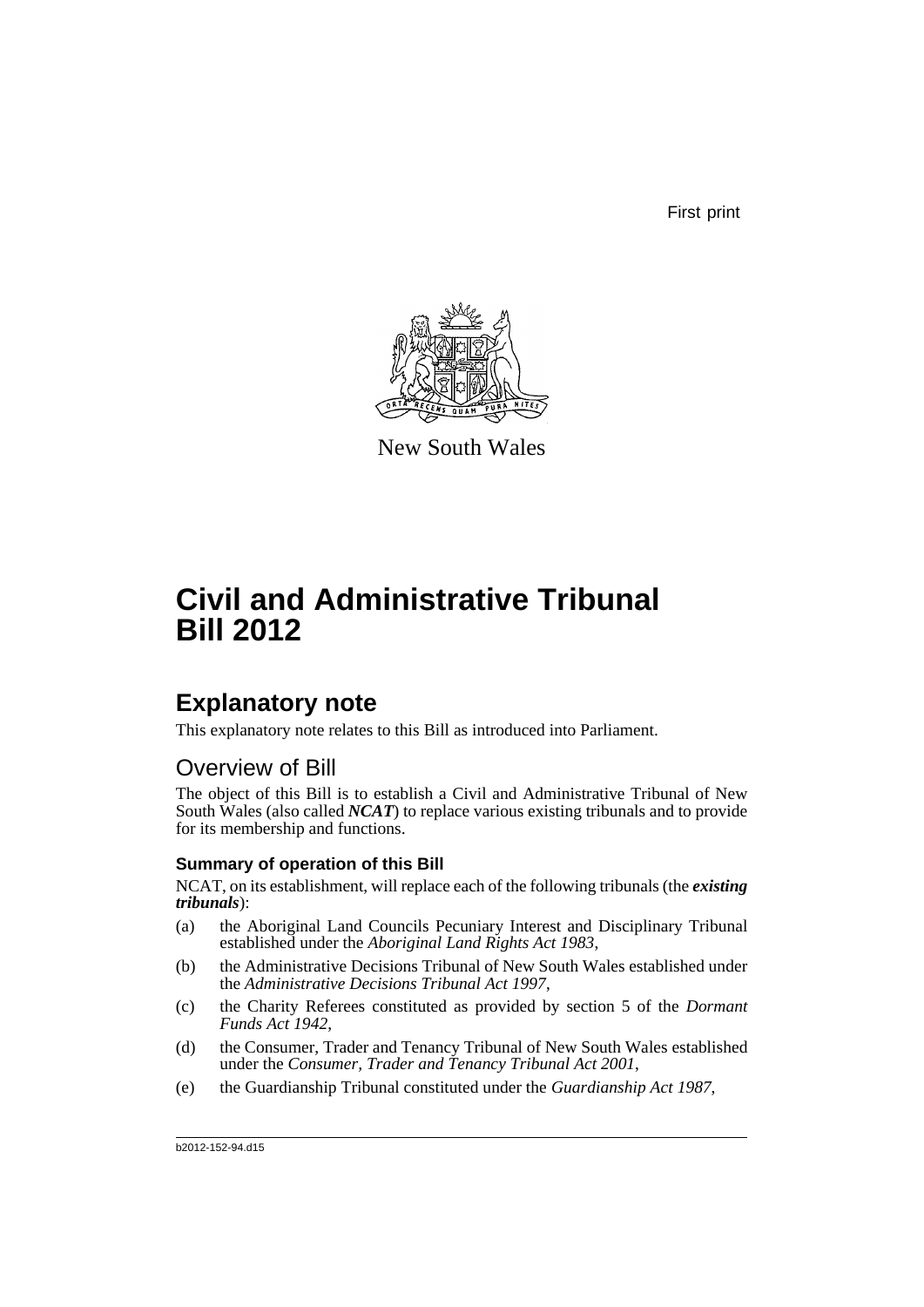First print



New South Wales

# **Civil and Administrative Tribunal Bill 2012**

# **Explanatory note**

This explanatory note relates to this Bill as introduced into Parliament.

# Overview of Bill

The object of this Bill is to establish a Civil and Administrative Tribunal of New South Wales (also called *NCAT*) to replace various existing tribunals and to provide for its membership and functions.

# **Summary of operation of this Bill**

NCAT, on its establishment, will replace each of the following tribunals (the *existing tribunals*):

- (a) the Aboriginal Land Councils Pecuniary Interest and Disciplinary Tribunal established under the *Aboriginal Land Rights Act 1983*,
- (b) the Administrative Decisions Tribunal of New South Wales established under the *Administrative Decisions Tribunal Act 1997*,
- (c) the Charity Referees constituted as provided by section 5 of the *Dormant Funds Act 1942*,
- (d) the Consumer, Trader and Tenancy Tribunal of New South Wales established under the *Consumer, Trader and Tenancy Tribunal Act 2001*,
- (e) the Guardianship Tribunal constituted under the *Guardianship Act 1987*,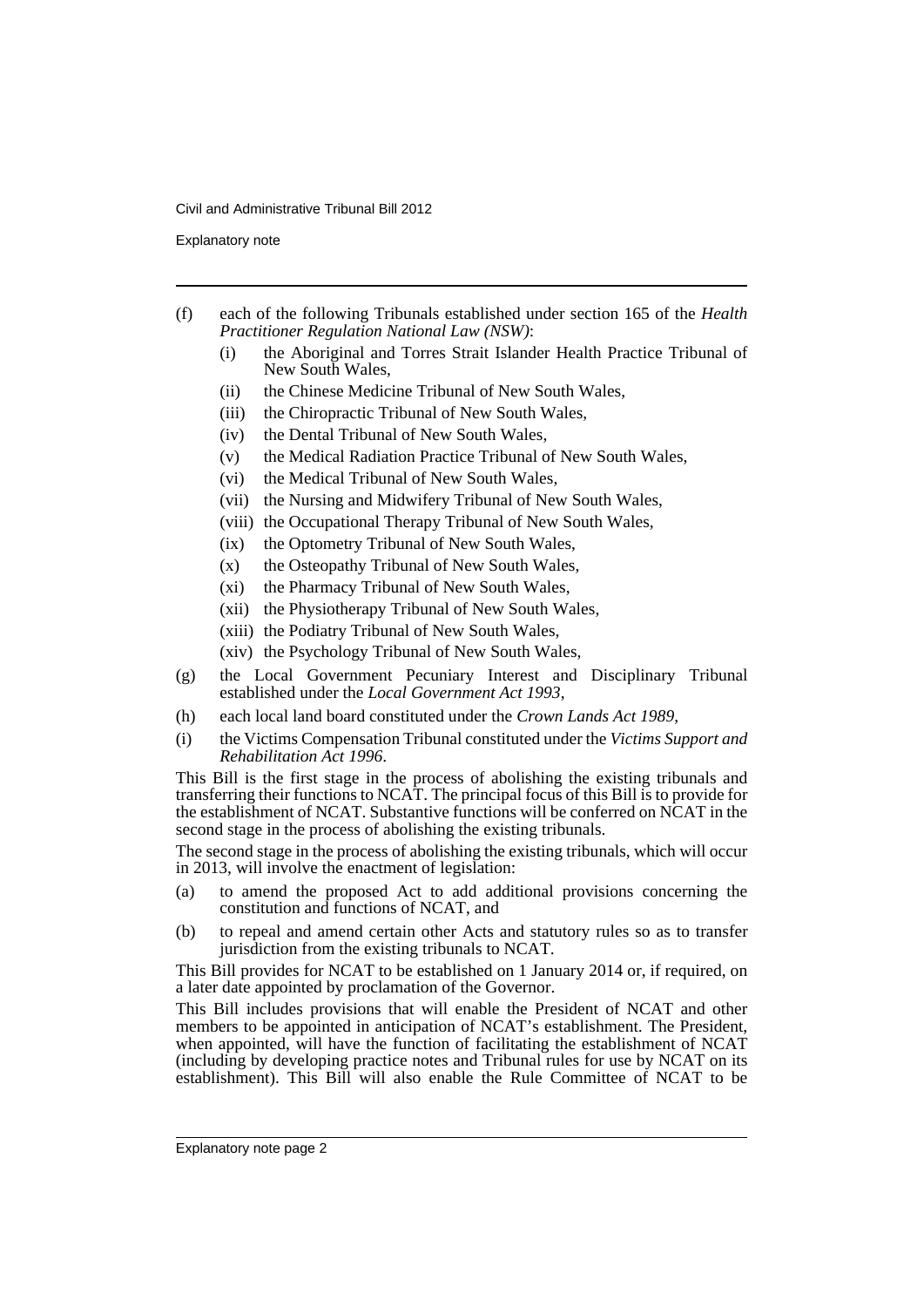Explanatory note

- (f) each of the following Tribunals established under section 165 of the *Health Practitioner Regulation National Law (NSW)*:
	- (i) the Aboriginal and Torres Strait Islander Health Practice Tribunal of New South Wales,
	- (ii) the Chinese Medicine Tribunal of New South Wales,
	- (iii) the Chiropractic Tribunal of New South Wales,
	- (iv) the Dental Tribunal of New South Wales,
	- (v) the Medical Radiation Practice Tribunal of New South Wales,
	- (vi) the Medical Tribunal of New South Wales,
	- (vii) the Nursing and Midwifery Tribunal of New South Wales,
	- (viii) the Occupational Therapy Tribunal of New South Wales,
	- (ix) the Optometry Tribunal of New South Wales,
	- (x) the Osteopathy Tribunal of New South Wales,
	- (xi) the Pharmacy Tribunal of New South Wales,
	- (xii) the Physiotherapy Tribunal of New South Wales,
	- (xiii) the Podiatry Tribunal of New South Wales,
	- (xiv) the Psychology Tribunal of New South Wales,
- (g) the Local Government Pecuniary Interest and Disciplinary Tribunal established under the *Local Government Act 1993*,
- (h) each local land board constituted under the *Crown Lands Act 1989*,
- (i) the Victims Compensation Tribunal constituted under the *Victims Support and Rehabilitation Act 1996*.

This Bill is the first stage in the process of abolishing the existing tribunals and transferring their functions to NCAT. The principal focus of this Bill is to provide for the establishment of NCAT. Substantive functions will be conferred on NCAT in the second stage in the process of abolishing the existing tribunals.

The second stage in the process of abolishing the existing tribunals, which will occur in 2013, will involve the enactment of legislation:

- (a) to amend the proposed Act to add additional provisions concerning the constitution and functions of NCAT, and
- (b) to repeal and amend certain other Acts and statutory rules so as to transfer jurisdiction from the existing tribunals to NCAT.

This Bill provides for NCAT to be established on 1 January 2014 or, if required, on a later date appointed by proclamation of the Governor.

This Bill includes provisions that will enable the President of NCAT and other members to be appointed in anticipation of NCAT's establishment. The President, when appointed, will have the function of facilitating the establishment of NCAT (including by developing practice notes and Tribunal rules for use by NCAT on its establishment). This Bill will also enable the Rule Committee of NCAT to be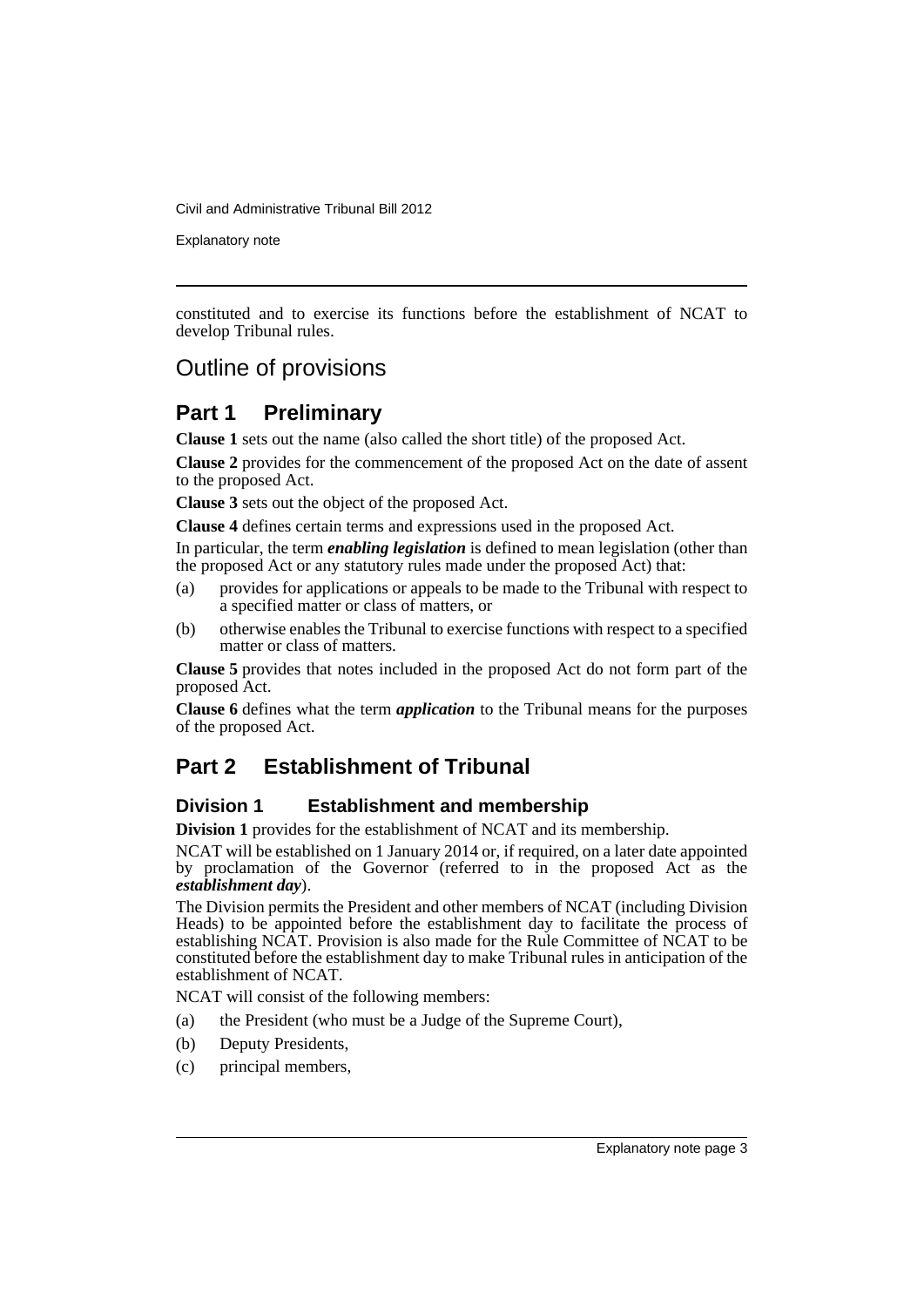Explanatory note

constituted and to exercise its functions before the establishment of NCAT to develop Tribunal rules.

# Outline of provisions

# **Part 1 Preliminary**

**Clause 1** sets out the name (also called the short title) of the proposed Act.

**Clause 2** provides for the commencement of the proposed Act on the date of assent to the proposed Act.

**Clause 3** sets out the object of the proposed Act.

**Clause 4** defines certain terms and expressions used in the proposed Act.

In particular, the term *enabling legislation* is defined to mean legislation (other than the proposed Act or any statutory rules made under the proposed Act) that:

- (a) provides for applications or appeals to be made to the Tribunal with respect to a specified matter or class of matters, or
- (b) otherwise enables the Tribunal to exercise functions with respect to a specified matter or class of matters.

**Clause 5** provides that notes included in the proposed Act do not form part of the proposed Act.

**Clause 6** defines what the term *application* to the Tribunal means for the purposes of the proposed Act.

# **Part 2 Establishment of Tribunal**

# **Division 1 Establishment and membership**

**Division 1** provides for the establishment of NCAT and its membership.

NCAT will be established on 1 January 2014 or, if required, on a later date appointed by proclamation of the Governor (referred to in the proposed Act as the *establishment day*).

The Division permits the President and other members of NCAT (including Division Heads) to be appointed before the establishment day to facilitate the process of establishing NCAT. Provision is also made for the Rule Committee of NCAT to be constituted before the establishment day to make Tribunal rules in anticipation of the establishment of NCAT.

NCAT will consist of the following members:

- (a) the President (who must be a Judge of the Supreme Court),
- (b) Deputy Presidents,
- (c) principal members,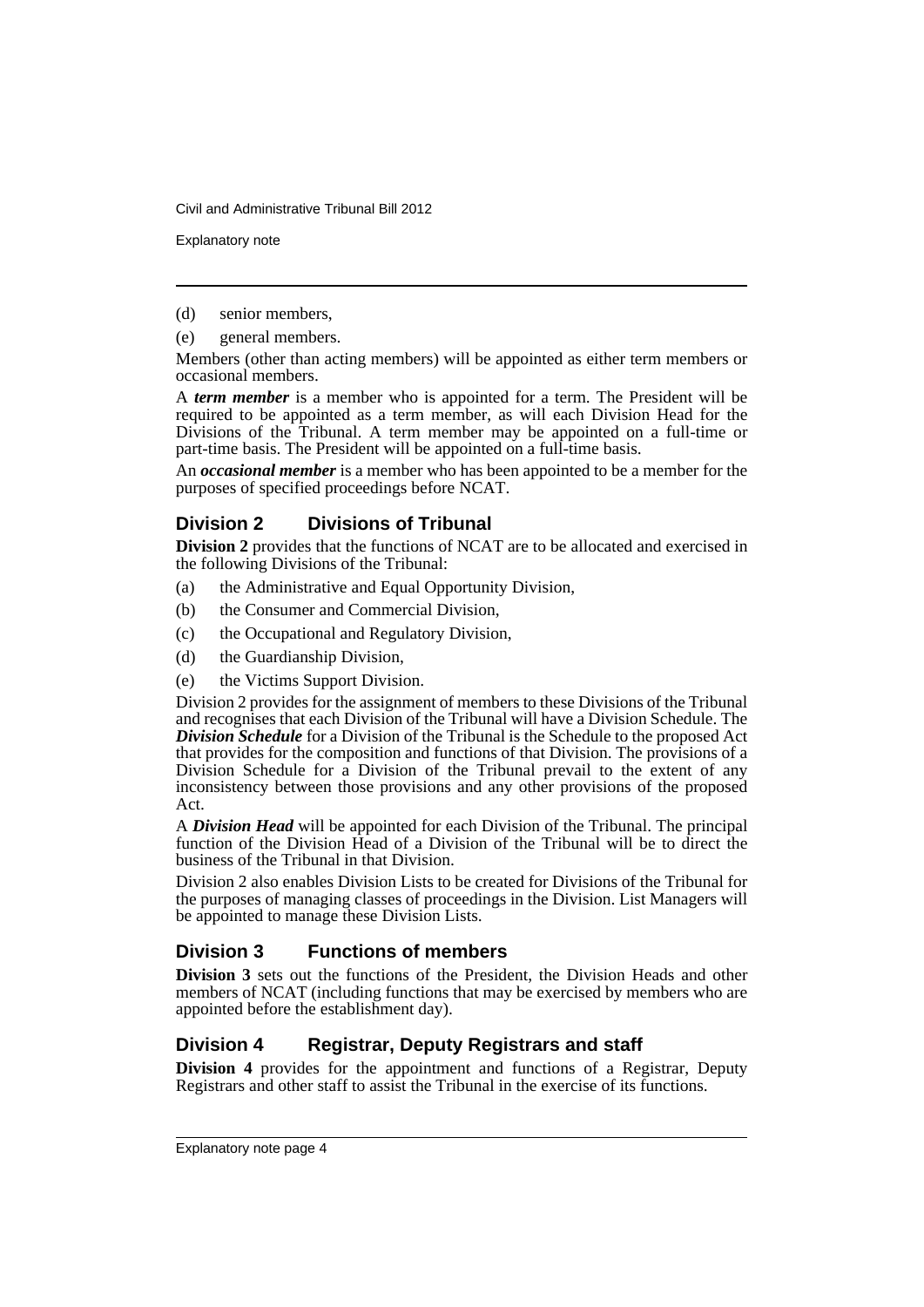Explanatory note

(d) senior members,

(e) general members.

Members (other than acting members) will be appointed as either term members or occasional members.

A *term member* is a member who is appointed for a term. The President will be required to be appointed as a term member, as will each Division Head for the Divisions of the Tribunal. A term member may be appointed on a full-time or part-time basis. The President will be appointed on a full-time basis.

An *occasional member* is a member who has been appointed to be a member for the purposes of specified proceedings before NCAT.

## **Division 2 Divisions of Tribunal**

**Division 2** provides that the functions of NCAT are to be allocated and exercised in the following Divisions of the Tribunal:

- (a) the Administrative and Equal Opportunity Division,
- (b) the Consumer and Commercial Division,
- (c) the Occupational and Regulatory Division,
- (d) the Guardianship Division,
- (e) the Victims Support Division.

Division 2 provides for the assignment of members to these Divisions of the Tribunal and recognises that each Division of the Tribunal will have a Division Schedule. The *Division Schedule* for a Division of the Tribunal is the Schedule to the proposed Act that provides for the composition and functions of that Division. The provisions of a Division Schedule for a Division of the Tribunal prevail to the extent of any inconsistency between those provisions and any other provisions of the proposed Act.

A *Division Head* will be appointed for each Division of the Tribunal. The principal function of the Division Head of a Division of the Tribunal will be to direct the business of the Tribunal in that Division.

Division 2 also enables Division Lists to be created for Divisions of the Tribunal for the purposes of managing classes of proceedings in the Division. List Managers will be appointed to manage these Division Lists.

# **Division 3 Functions of members**

**Division 3** sets out the functions of the President, the Division Heads and other members of NCAT (including functions that may be exercised by members who are appointed before the establishment day).

# **Division 4 Registrar, Deputy Registrars and staff**

**Division 4** provides for the appointment and functions of a Registrar, Deputy Registrars and other staff to assist the Tribunal in the exercise of its functions.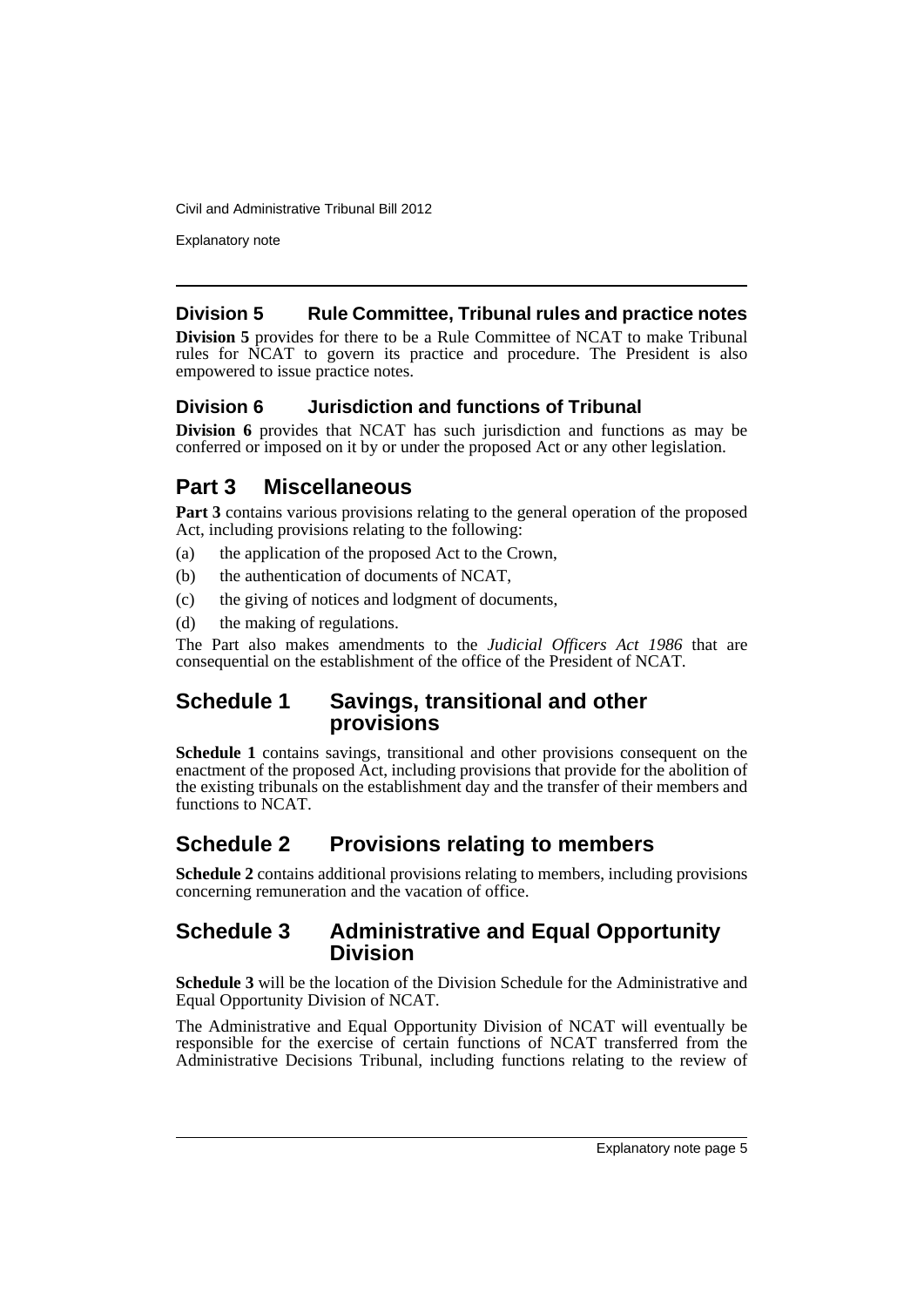Explanatory note

## **Division 5 Rule Committee, Tribunal rules and practice notes**

**Division 5** provides for there to be a Rule Committee of NCAT to make Tribunal rules for NCAT to govern its practice and procedure. The President is also empowered to issue practice notes.

# **Division 6 Jurisdiction and functions of Tribunal**

**Division 6** provides that NCAT has such jurisdiction and functions as may be conferred or imposed on it by or under the proposed Act or any other legislation.

# **Part 3 Miscellaneous**

**Part 3** contains various provisions relating to the general operation of the proposed Act, including provisions relating to the following:

- (a) the application of the proposed Act to the Crown,
- (b) the authentication of documents of NCAT,
- (c) the giving of notices and lodgment of documents,
- (d) the making of regulations.

The Part also makes amendments to the *Judicial Officers Act 1986* that are consequential on the establishment of the office of the President of NCAT.

# **Schedule 1 Savings, transitional and other provisions**

**Schedule 1** contains savings, transitional and other provisions consequent on the enactment of the proposed Act, including provisions that provide for the abolition of the existing tribunals on the establishment day and the transfer of their members and functions to NCAT.

# **Schedule 2 Provisions relating to members**

**Schedule 2** contains additional provisions relating to members, including provisions concerning remuneration and the vacation of office.

# **Schedule 3 Administrative and Equal Opportunity Division**

**Schedule 3** will be the location of the Division Schedule for the Administrative and Equal Opportunity Division of NCAT.

The Administrative and Equal Opportunity Division of NCAT will eventually be responsible for the exercise of certain functions of NCAT transferred from the Administrative Decisions Tribunal, including functions relating to the review of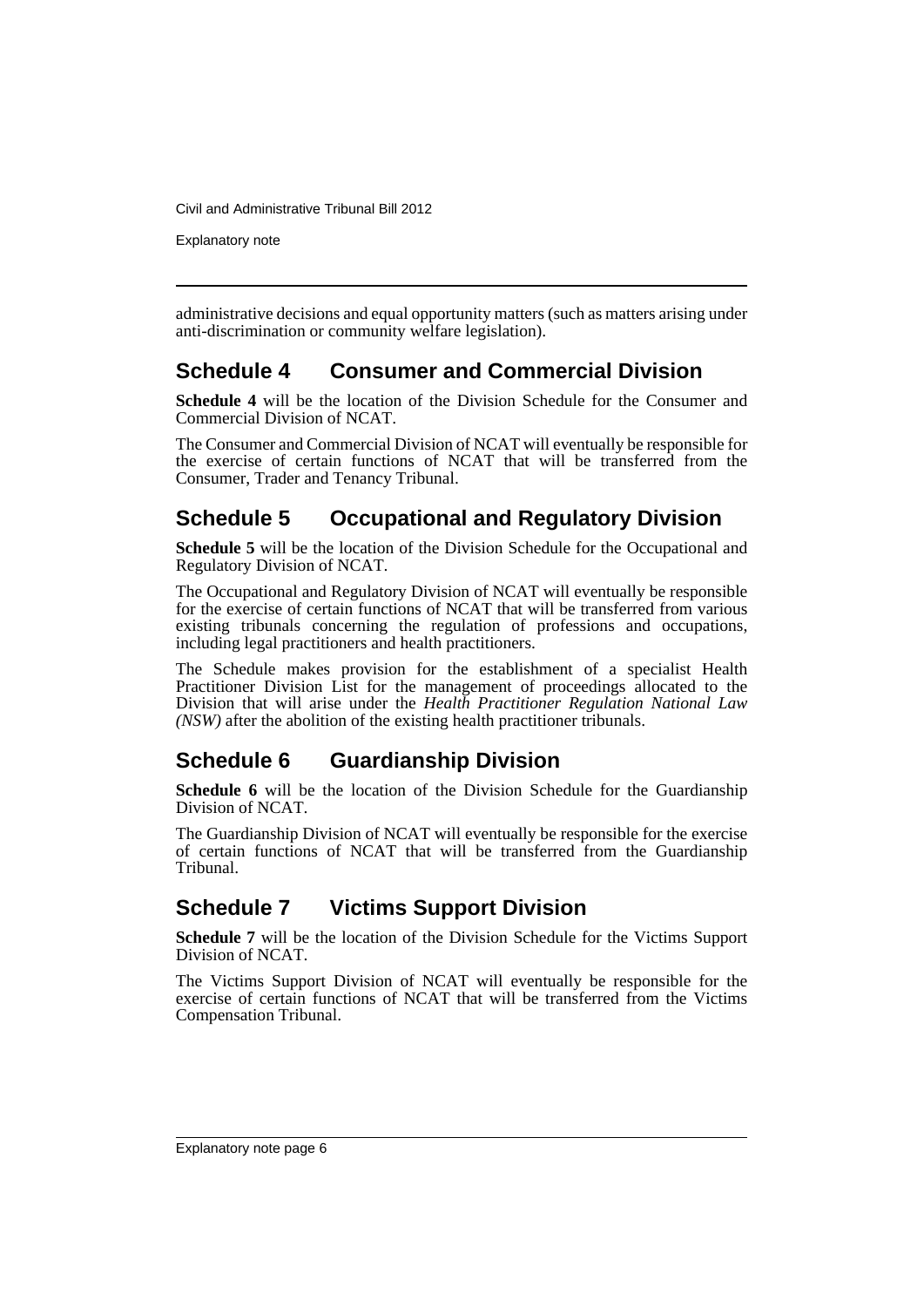Explanatory note

administrative decisions and equal opportunity matters (such as matters arising under anti-discrimination or community welfare legislation).

# **Schedule 4 Consumer and Commercial Division**

**Schedule 4** will be the location of the Division Schedule for the Consumer and Commercial Division of NCAT.

The Consumer and Commercial Division of NCAT will eventually be responsible for the exercise of certain functions of NCAT that will be transferred from the Consumer, Trader and Tenancy Tribunal.

# **Schedule 5 Occupational and Regulatory Division**

**Schedule 5** will be the location of the Division Schedule for the Occupational and Regulatory Division of NCAT.

The Occupational and Regulatory Division of NCAT will eventually be responsible for the exercise of certain functions of NCAT that will be transferred from various existing tribunals concerning the regulation of professions and occupations, including legal practitioners and health practitioners.

The Schedule makes provision for the establishment of a specialist Health Practitioner Division List for the management of proceedings allocated to the Division that will arise under the *Health Practitioner Regulation National Law (NSW)* after the abolition of the existing health practitioner tribunals.

# **Schedule 6 Guardianship Division**

**Schedule 6** will be the location of the Division Schedule for the Guardianship Division of NCAT.

The Guardianship Division of NCAT will eventually be responsible for the exercise of certain functions of NCAT that will be transferred from the Guardianship Tribunal.

# **Schedule 7 Victims Support Division**

**Schedule 7** will be the location of the Division Schedule for the Victims Support Division of NCAT.

The Victims Support Division of NCAT will eventually be responsible for the exercise of certain functions of NCAT that will be transferred from the Victims Compensation Tribunal.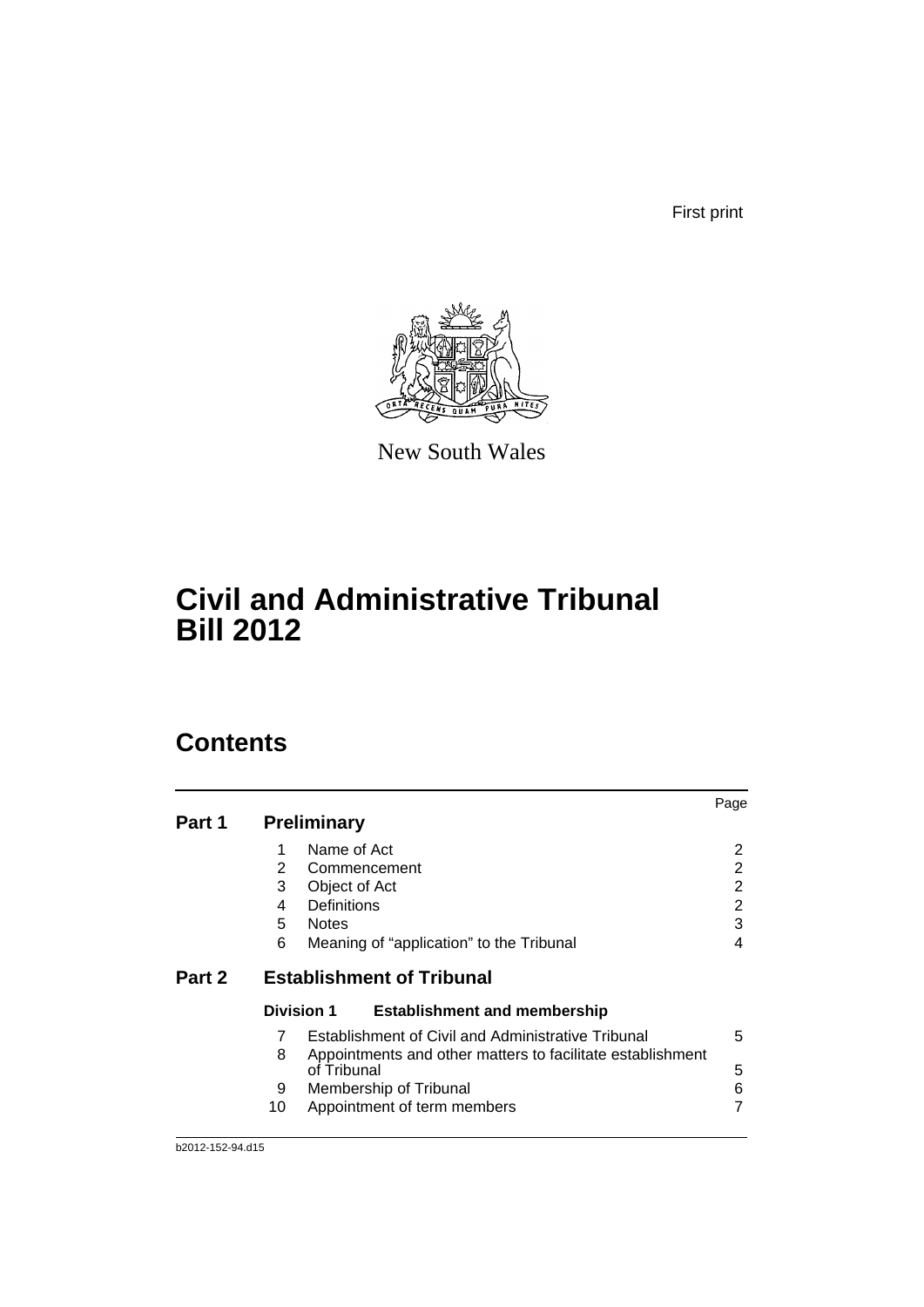First print



New South Wales

# **Civil and Administrative Tribunal Bill 2012**

# **Contents**

|        |    |                    |                                                            | Page |
|--------|----|--------------------|------------------------------------------------------------|------|
| Part 1 |    | <b>Preliminary</b> |                                                            |      |
|        | 1  | Name of Act        |                                                            | 2    |
|        | 2  |                    | Commencement                                               | 2    |
|        | 3  | Object of Act      |                                                            | 2    |
|        | 4  | Definitions        |                                                            | 2    |
|        | 5  | <b>Notes</b>       |                                                            | 3    |
|        | 6  |                    | Meaning of "application" to the Tribunal                   | 4    |
| Part 2 |    |                    | <b>Establishment of Tribunal</b>                           |      |
|        |    | <b>Division 1</b>  | <b>Establishment and membership</b>                        |      |
|        | 7  |                    | Establishment of Civil and Administrative Tribunal         | 5    |
|        | 8  |                    | Appointments and other matters to facilitate establishment |      |
|        |    | of Tribunal        |                                                            | 5    |
|        | 9  |                    | Membership of Tribunal                                     | 6    |
|        | 10 |                    | Appointment of term members                                |      |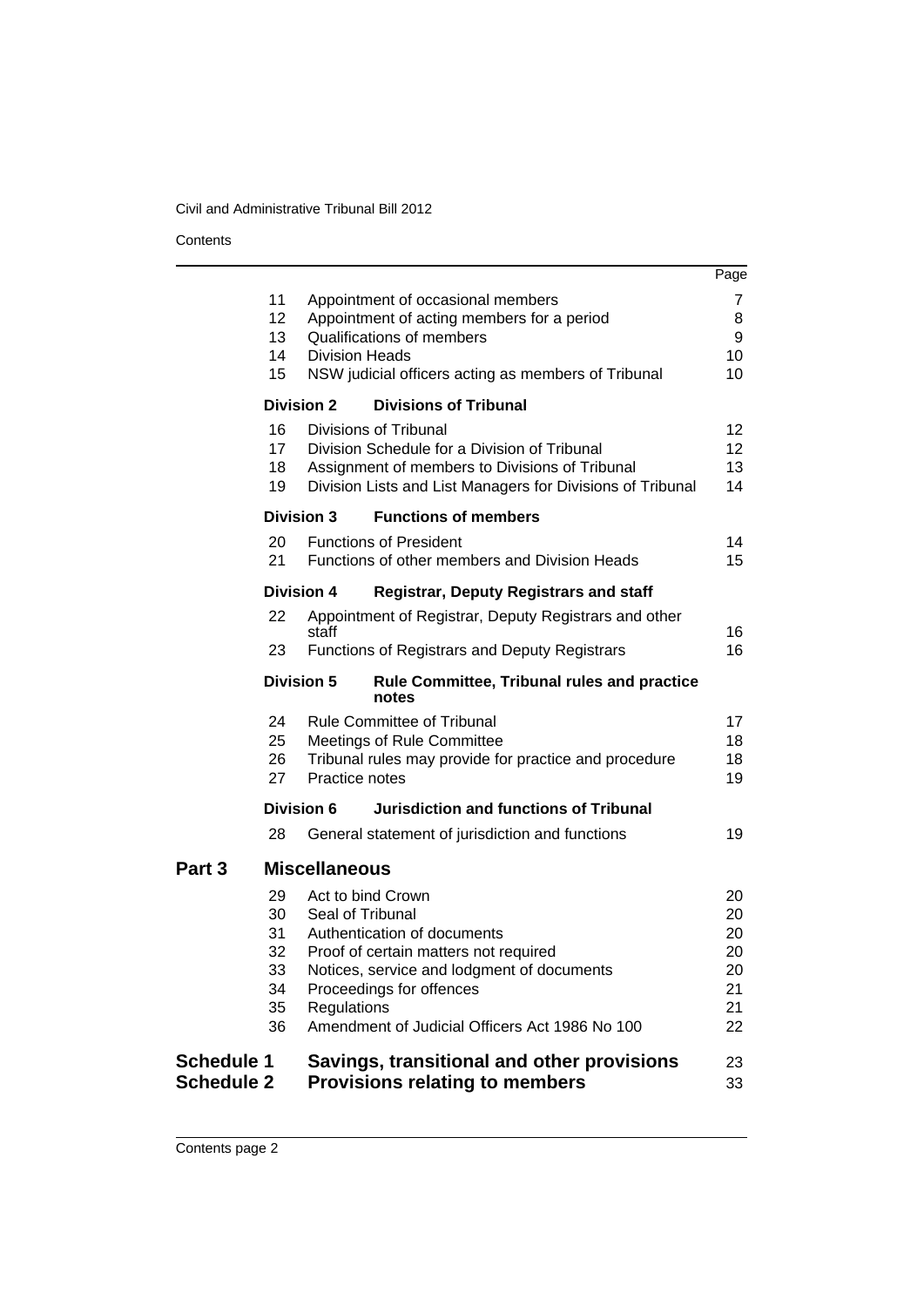**Contents** 

|                                        |                                              |                                                      |                                                                                                                                                                                                  | Page                                           |
|----------------------------------------|----------------------------------------------|------------------------------------------------------|--------------------------------------------------------------------------------------------------------------------------------------------------------------------------------------------------|------------------------------------------------|
|                                        | 11<br>12<br>13<br>14<br>15                   | <b>Division Heads</b>                                | Appointment of occasional members<br>Appointment of acting members for a period<br>Qualifications of members<br>NSW judicial officers acting as members of Tribunal                              | 7<br>8<br>9<br>10<br>10                        |
|                                        | <b>Division 2</b>                            |                                                      | <b>Divisions of Tribunal</b>                                                                                                                                                                     |                                                |
|                                        | 16<br>17<br>18<br>19                         |                                                      | Divisions of Tribunal<br>Division Schedule for a Division of Tribunal<br>Assignment of members to Divisions of Tribunal<br>Division Lists and List Managers for Divisions of Tribunal            | 12 <sup>2</sup><br>12 <sup>2</sup><br>13<br>14 |
|                                        | <b>Division 3</b>                            |                                                      | <b>Functions of members</b>                                                                                                                                                                      |                                                |
|                                        | 20<br>21                                     |                                                      | <b>Functions of President</b><br>Functions of other members and Division Heads                                                                                                                   | 14<br>15                                       |
|                                        | <b>Division 4</b>                            |                                                      | <b>Registrar, Deputy Registrars and staff</b>                                                                                                                                                    |                                                |
|                                        | 22                                           | staff                                                | Appointment of Registrar, Deputy Registrars and other                                                                                                                                            | 16                                             |
|                                        | 23                                           |                                                      | <b>Functions of Registrars and Deputy Registrars</b>                                                                                                                                             | 16                                             |
|                                        | <b>Division 5</b>                            |                                                      | <b>Rule Committee, Tribunal rules and practice</b><br>notes                                                                                                                                      |                                                |
|                                        | 24<br>25<br>26<br>27                         | Practice notes                                       | <b>Rule Committee of Tribunal</b><br><b>Meetings of Rule Committee</b><br>Tribunal rules may provide for practice and procedure                                                                  | 17<br>18<br>18<br>19                           |
|                                        | Division 6                                   |                                                      | <b>Jurisdiction and functions of Tribunal</b>                                                                                                                                                    |                                                |
|                                        | 28                                           |                                                      | General statement of jurisdiction and functions                                                                                                                                                  | 19                                             |
| Part <sub>3</sub>                      |                                              | <b>Miscellaneous</b>                                 |                                                                                                                                                                                                  |                                                |
|                                        | 29<br>30<br>31<br>32<br>33<br>34<br>35<br>36 | Act to bind Crown<br>Seal of Tribunal<br>Regulations | Authentication of documents<br>Proof of certain matters not required<br>Notices, service and lodgment of documents<br>Proceedings for offences<br>Amendment of Judicial Officers Act 1986 No 100 | 20<br>20<br>20<br>20<br>20<br>21<br>21<br>22   |
| <b>Schedule 1</b><br><b>Schedule 2</b> |                                              |                                                      | Savings, transitional and other provisions<br><b>Provisions relating to members</b>                                                                                                              | 23<br>33                                       |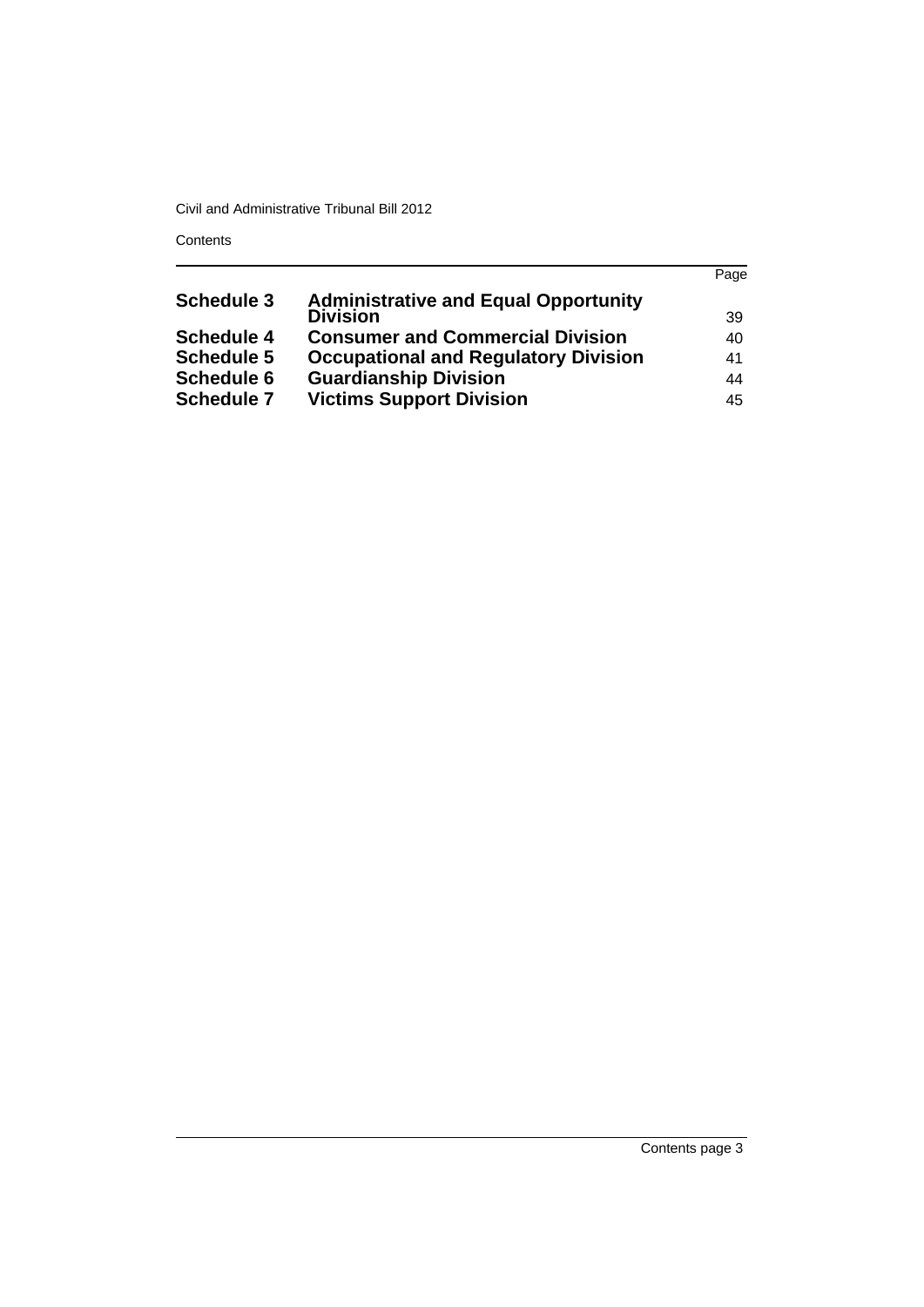**Contents** 

|                   |                                             | Page |
|-------------------|---------------------------------------------|------|
| <b>Schedule 3</b> | <b>Administrative and Equal Opportunity</b> |      |
|                   | <b>Division</b>                             | -39  |
| <b>Schedule 4</b> | <b>Consumer and Commercial Division</b>     | 40   |
| <b>Schedule 5</b> | <b>Occupational and Regulatory Division</b> | 41   |
| <b>Schedule 6</b> | <b>Guardianship Division</b>                | 44   |
| <b>Schedule 7</b> | <b>Victims Support Division</b>             | 45   |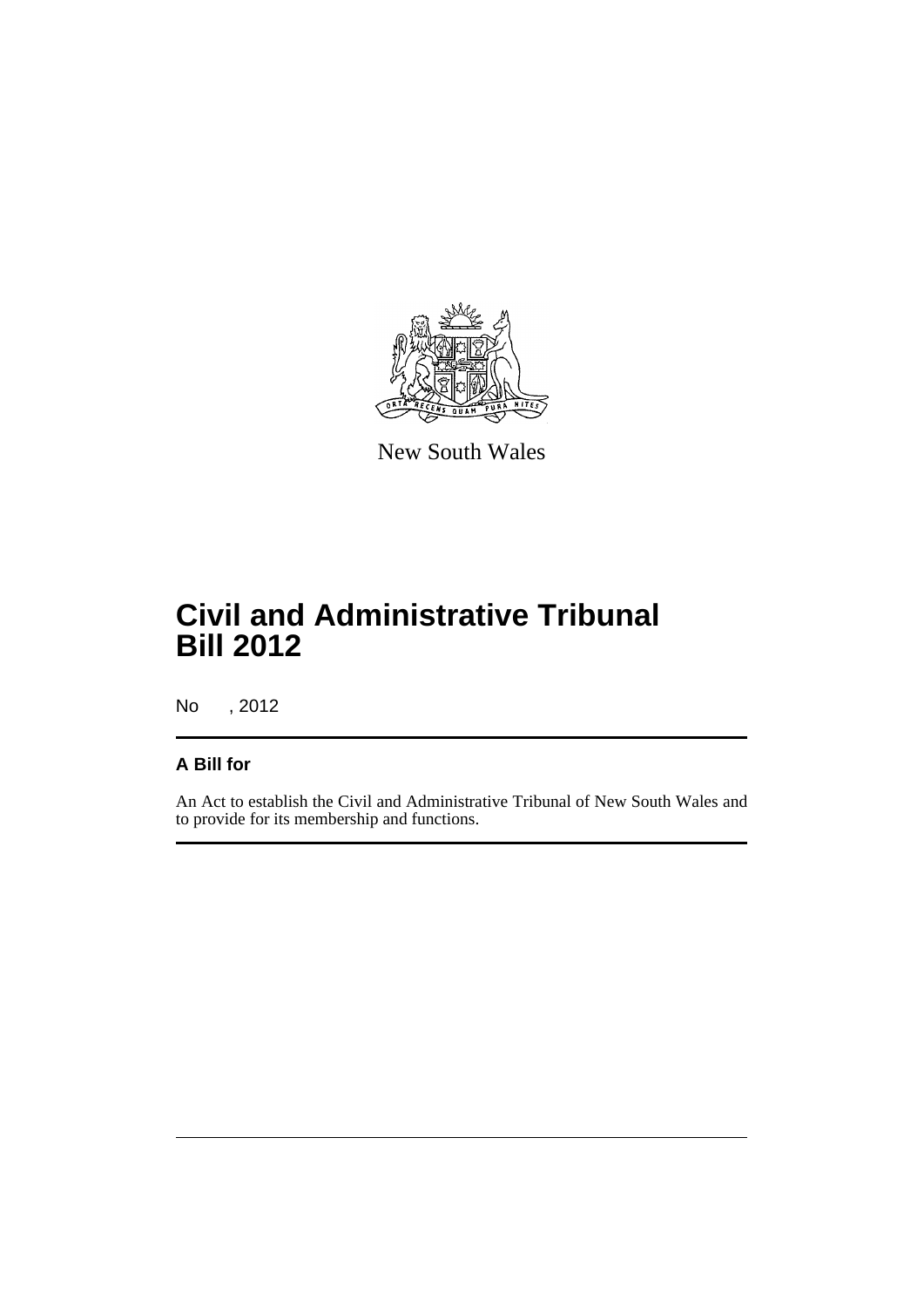

New South Wales

# **Civil and Administrative Tribunal Bill 2012**

No , 2012

# **A Bill for**

An Act to establish the Civil and Administrative Tribunal of New South Wales and to provide for its membership and functions.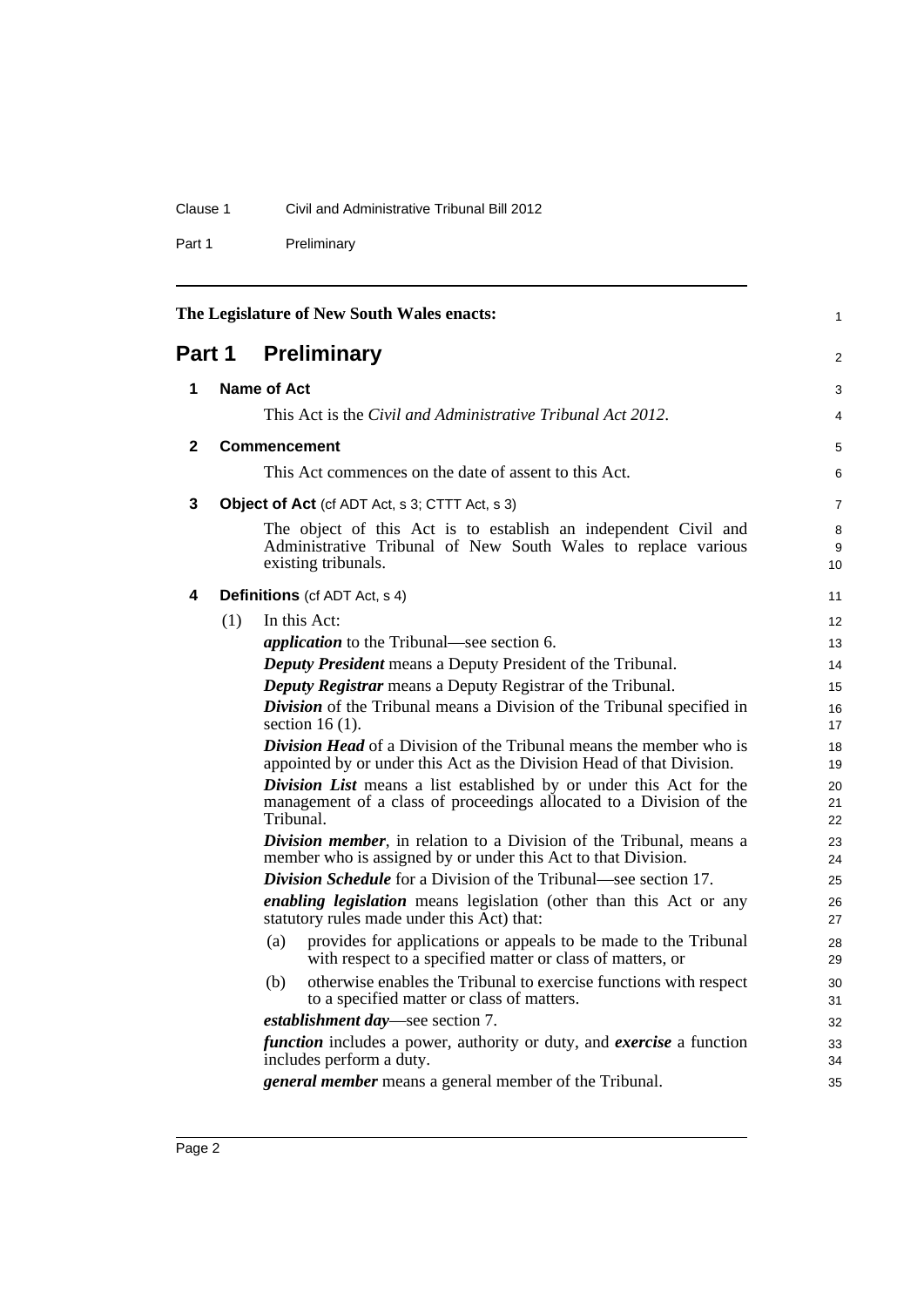## Clause 1 Civil and Administrative Tribunal Bill 2012

Part 1 Preliminary

<span id="page-11-4"></span><span id="page-11-3"></span><span id="page-11-2"></span><span id="page-11-1"></span><span id="page-11-0"></span>

| The Legislature of New South Wales enacts: |                                                                                                                                                                                                                                                                                                                                                                                                                                                                |                                                                     |                                                                                                                                                         |                |
|--------------------------------------------|----------------------------------------------------------------------------------------------------------------------------------------------------------------------------------------------------------------------------------------------------------------------------------------------------------------------------------------------------------------------------------------------------------------------------------------------------------------|---------------------------------------------------------------------|---------------------------------------------------------------------------------------------------------------------------------------------------------|----------------|
| Part 1                                     |                                                                                                                                                                                                                                                                                                                                                                                                                                                                |                                                                     | <b>Preliminary</b>                                                                                                                                      | 2              |
| 1                                          |                                                                                                                                                                                                                                                                                                                                                                                                                                                                | Name of Act                                                         |                                                                                                                                                         | 3              |
|                                            |                                                                                                                                                                                                                                                                                                                                                                                                                                                                | This Act is the <i>Civil and Administrative Tribunal Act 2012</i> . |                                                                                                                                                         |                |
| $\mathbf{2}$                               |                                                                                                                                                                                                                                                                                                                                                                                                                                                                | <b>Commencement</b>                                                 |                                                                                                                                                         | 5              |
|                                            |                                                                                                                                                                                                                                                                                                                                                                                                                                                                |                                                                     | This Act commences on the date of assent to this Act.                                                                                                   | 6              |
| 3                                          | <b>Object of Act</b> (cf ADT Act, s 3; CTTT Act, s 3)                                                                                                                                                                                                                                                                                                                                                                                                          |                                                                     | $\overline{7}$                                                                                                                                          |                |
|                                            |                                                                                                                                                                                                                                                                                                                                                                                                                                                                |                                                                     | The object of this Act is to establish an independent Civil and<br>Administrative Tribunal of New South Wales to replace various<br>existing tribunals. | 8<br>9<br>10   |
| 4                                          |                                                                                                                                                                                                                                                                                                                                                                                                                                                                |                                                                     | <b>Definitions</b> (cf ADT Act, s 4)                                                                                                                    | 11             |
|                                            | (1)                                                                                                                                                                                                                                                                                                                                                                                                                                                            |                                                                     | In this Act:                                                                                                                                            | 12             |
|                                            |                                                                                                                                                                                                                                                                                                                                                                                                                                                                |                                                                     | <i>application</i> to the Tribunal—see section 6.                                                                                                       | 13             |
|                                            |                                                                                                                                                                                                                                                                                                                                                                                                                                                                |                                                                     | <b>Deputy President</b> means a Deputy President of the Tribunal.                                                                                       | 14             |
|                                            |                                                                                                                                                                                                                                                                                                                                                                                                                                                                |                                                                     | <b>Deputy Registrar</b> means a Deputy Registrar of the Tribunal.                                                                                       | 15             |
|                                            |                                                                                                                                                                                                                                                                                                                                                                                                                                                                |                                                                     | <b>Division</b> of the Tribunal means a Division of the Tribunal specified in<br>section 16 $(1)$ .                                                     | 16<br>17       |
|                                            | <b>Division Head</b> of a Division of the Tribunal means the member who is<br>appointed by or under this Act as the Division Head of that Division.<br>Division List means a list established by or under this Act for the<br>management of a class of proceedings allocated to a Division of the<br>Tribunal.<br><b>Division member</b> , in relation to a Division of the Tribunal, means a<br>member who is assigned by or under this Act to that Division. |                                                                     | 18<br>19                                                                                                                                                |                |
|                                            |                                                                                                                                                                                                                                                                                                                                                                                                                                                                |                                                                     |                                                                                                                                                         | 20<br>21<br>22 |
|                                            |                                                                                                                                                                                                                                                                                                                                                                                                                                                                |                                                                     |                                                                                                                                                         | 23<br>24       |
|                                            |                                                                                                                                                                                                                                                                                                                                                                                                                                                                |                                                                     | <b>Division Schedule</b> for a Division of the Tribunal—see section 17.                                                                                 | 25             |
|                                            | <i>enabling legislation</i> means legislation (other than this Act or any<br>statutory rules made under this Act) that:                                                                                                                                                                                                                                                                                                                                        |                                                                     |                                                                                                                                                         | 26<br>27       |
|                                            |                                                                                                                                                                                                                                                                                                                                                                                                                                                                | (a)                                                                 | provides for applications or appeals to be made to the Tribunal<br>with respect to a specified matter or class of matters, or                           | 28<br>29       |
|                                            |                                                                                                                                                                                                                                                                                                                                                                                                                                                                | (b)                                                                 | otherwise enables the Tribunal to exercise functions with respect<br>to a specified matter or class of matters.                                         | 30<br>31       |
|                                            |                                                                                                                                                                                                                                                                                                                                                                                                                                                                |                                                                     | establishment day—see section 7.                                                                                                                        | 32             |
|                                            |                                                                                                                                                                                                                                                                                                                                                                                                                                                                |                                                                     | <i>function</i> includes a power, authority or duty, and <i>exercise</i> a function                                                                     | 33             |
|                                            |                                                                                                                                                                                                                                                                                                                                                                                                                                                                |                                                                     | includes perform a duty.                                                                                                                                | 34             |
|                                            |                                                                                                                                                                                                                                                                                                                                                                                                                                                                |                                                                     | general member means a general member of the Tribunal.                                                                                                  | 35             |
|                                            |                                                                                                                                                                                                                                                                                                                                                                                                                                                                |                                                                     |                                                                                                                                                         |                |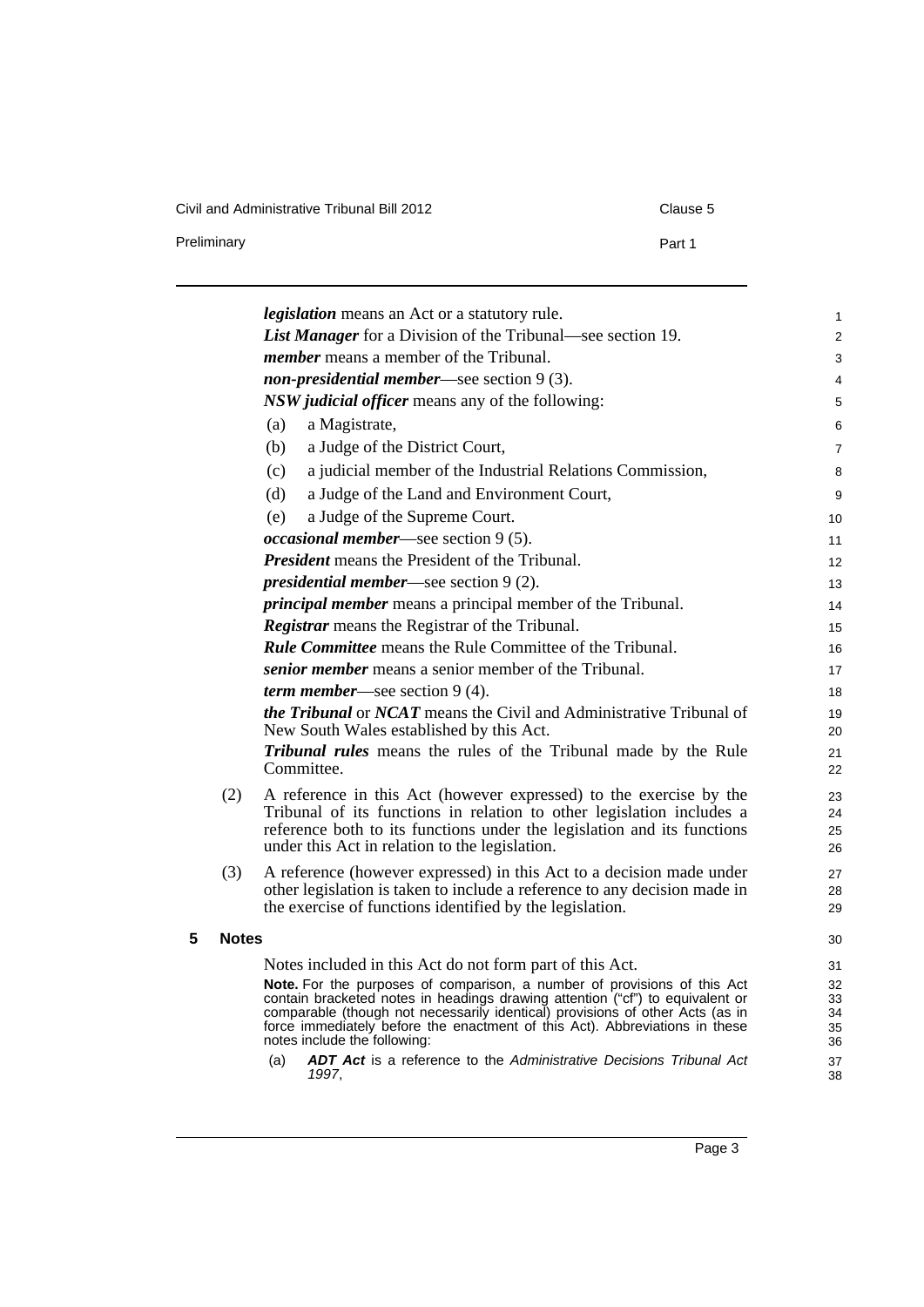Civil and Administrative Tribunal Bill 2012 Clause 5 and 5 and 5 and 5 and 5 clause 5 clause 5 and 5 clause 5 c

| Clause 5 |
|----------|
|----------|

|     | <b>List Manager</b> for a Division of the Tribunal—see section 19. |
|-----|--------------------------------------------------------------------|
|     | <i>member</i> means a member of the Tribunal.                      |
|     | <i>non-presidential member—see section</i> $9(3)$ .                |
|     | <i>NSW judicial officer</i> means any of the following:            |
| (a) | a Magistrate,                                                      |
| (b) | a Judge of the District Court,                                     |
| (c) | a judicial member of the Industrial Relations Commission,          |
| (d) | a Judge of the Land and Environment Court,                         |
| (e) | a Judge of the Supreme Court.                                      |
|     | <i>occasional member</i> —see section $9(5)$ .                     |
|     | <b>President</b> means the President of the Tribunal.              |
|     | <i>presidential member—see section</i> $9(2)$ .                    |
|     | <i>principal member</i> means a principal member of the Tribunal.  |
|     | <b>Registrar</b> means the Registrar of the Tribunal.              |
|     | <b>Rule Committee</b> means the Rule Committee of the Tribunal.    |
|     | <i>senior member</i> means a senior member of the Tribunal.        |
|     | <i>term member—see section</i> $9(4)$ .                            |

Preliminary **Preliminary Part 1** 

*Tribunal rules* means the rules of the Tribunal made by the Rule Committee.

- (2) A reference in this Act (however expressed) to the exercise by the Tribunal of its functions in relation to other legislation includes a reference both to its functions under the legislation and its functions under this Act in relation to the legislation.
- (3) A reference (however expressed) in this Act to a decision made under other legislation is taken to include a reference to any decision made in the exercise of functions identified by the legislation.
- <span id="page-12-0"></span>**5 Notes**

Notes included in this Act do not form part of this Act.

**Note.** For the purposes of comparison, a number of provisions of this Act contain bracketed notes in headings drawing attention ("cf") to equivalent or comparable (though not necessarily identical) provisions of other Acts (as in force immediately before the enactment of this Act). Abbreviations in these notes include the following:

(a) *ADT Act* is a reference to the *Administrative Decisions Tribunal Act 1997*,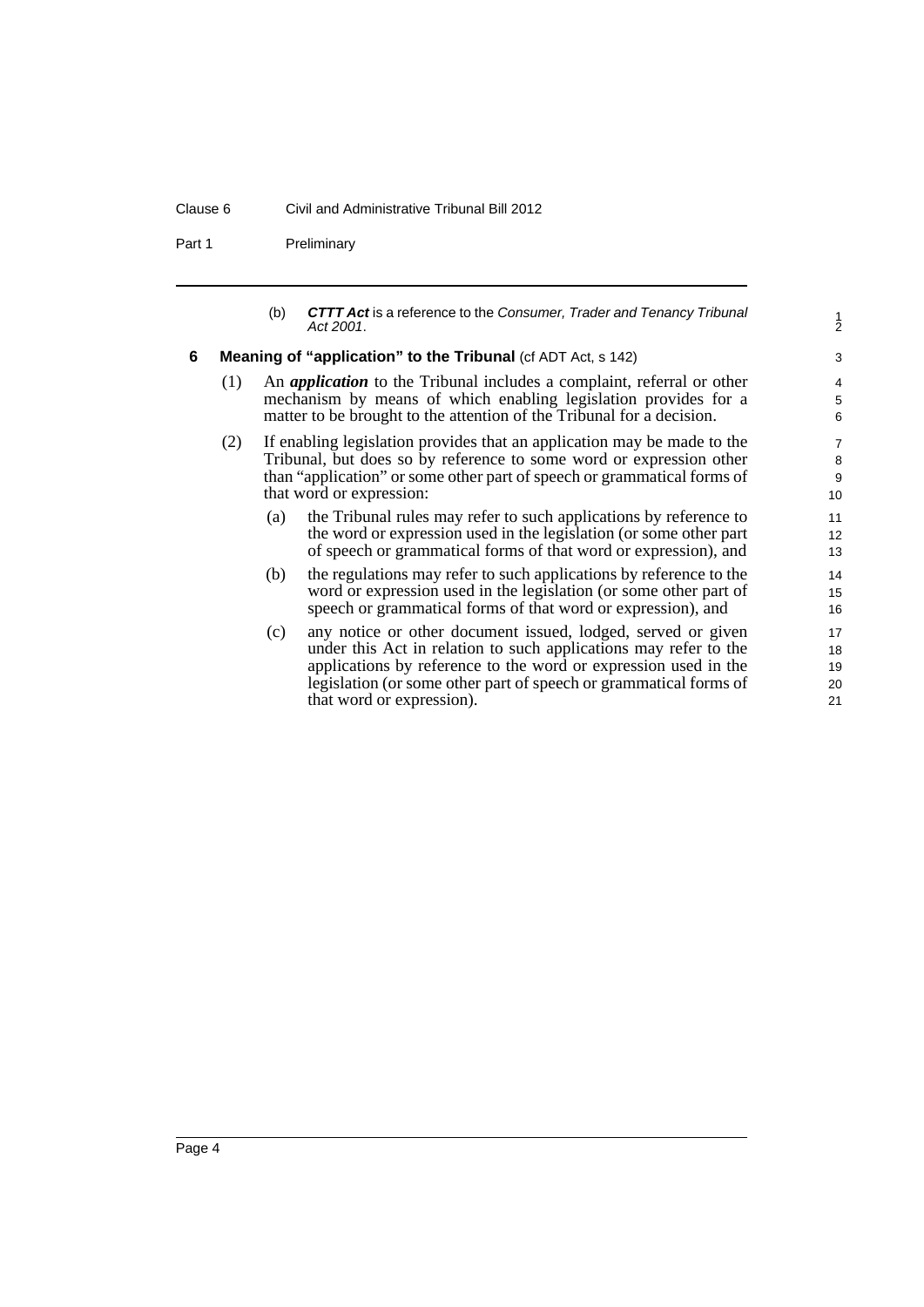#### Clause 6 Civil and Administrative Tribunal Bill 2012

Part 1 Preliminary

| (b) | <b>CTTT Act</b> is a reference to the Consumer, Trader and Tenancy Tribunal<br>Act 2001. |
|-----|------------------------------------------------------------------------------------------|
|     |                                                                                          |

1 2

#### <span id="page-13-0"></span>**6 Meaning of "application" to the Tribunal** (cf ADT Act, s 142)

- (1) An *application* to the Tribunal includes a complaint, referral or other mechanism by means of which enabling legislation provides for a matter to be brought to the attention of the Tribunal for a decision.
- (2) If enabling legislation provides that an application may be made to the Tribunal, but does so by reference to some word or expression other than "application" or some other part of speech or grammatical forms of that word or expression:
	- (a) the Tribunal rules may refer to such applications by reference to the word or expression used in the legislation (or some other part of speech or grammatical forms of that word or expression), and
	- (b) the regulations may refer to such applications by reference to the word or expression used in the legislation (or some other part of speech or grammatical forms of that word or expression), and
	- (c) any notice or other document issued, lodged, served or given under this Act in relation to such applications may refer to the applications by reference to the word or expression used in the legislation (or some other part of speech or grammatical forms of that word or expression).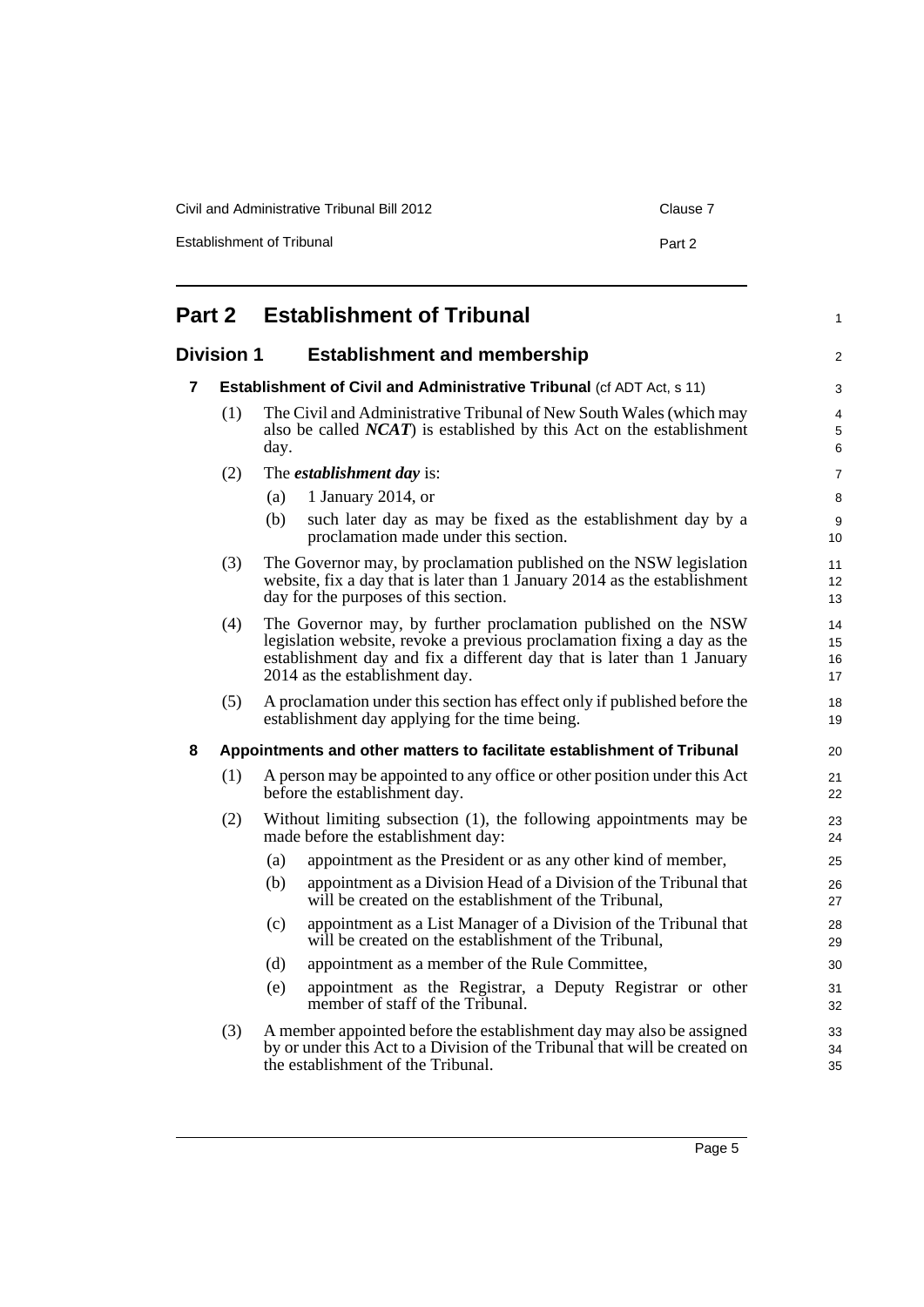| Civil and Administrative Tribunal Bill 2012 | Clause 7 |
|---------------------------------------------|----------|
| <b>Establishment of Tribunal</b>            | Part 2   |

<span id="page-14-3"></span><span id="page-14-2"></span><span id="page-14-1"></span><span id="page-14-0"></span>

| Part 2<br><b>Establishment of Tribunal</b>               |     |                                                                                                                                                                                                                                                       |                |  |  |  |
|----------------------------------------------------------|-----|-------------------------------------------------------------------------------------------------------------------------------------------------------------------------------------------------------------------------------------------------------|----------------|--|--|--|
| <b>Division 1</b><br><b>Establishment and membership</b> |     |                                                                                                                                                                                                                                                       |                |  |  |  |
| 7                                                        |     | <b>Establishment of Civil and Administrative Tribunal (cf ADT Act, s 11)</b>                                                                                                                                                                          |                |  |  |  |
|                                                          | (1) | The Civil and Administrative Tribunal of New South Wales (which may<br>also be called $NCAT$ ) is established by this Act on the establishment<br>day.                                                                                                |                |  |  |  |
|                                                          | (2) | The <i>establishment day</i> is:                                                                                                                                                                                                                      |                |  |  |  |
|                                                          |     | 1 January 2014, or<br>(a)                                                                                                                                                                                                                             |                |  |  |  |
|                                                          |     | such later day as may be fixed as the establishment day by a<br>(b)<br>proclamation made under this section.                                                                                                                                          |                |  |  |  |
|                                                          | (3) | The Governor may, by proclamation published on the NSW legislation<br>website, fix a day that is later than 1 January 2014 as the establishment<br>day for the purposes of this section.                                                              | 11<br>12<br>13 |  |  |  |
|                                                          | (4) | The Governor may, by further proclamation published on the NSW<br>legislation website, revoke a previous proclamation fixing a day as the<br>establishment day and fix a different day that is later than 1 January<br>2014 as the establishment day. |                |  |  |  |
|                                                          | (5) | A proclamation under this section has effect only if published before the<br>establishment day applying for the time being.                                                                                                                           | 18<br>19       |  |  |  |
| 8                                                        |     | Appointments and other matters to facilitate establishment of Tribunal                                                                                                                                                                                |                |  |  |  |
|                                                          | (1) | A person may be appointed to any office or other position under this Act<br>before the establishment day.                                                                                                                                             | 21<br>22       |  |  |  |
|                                                          | (2) | Without limiting subsection (1), the following appointments may be<br>made before the establishment day:                                                                                                                                              | 23<br>24       |  |  |  |
|                                                          |     | (a)<br>appointment as the President or as any other kind of member,                                                                                                                                                                                   | 25             |  |  |  |
|                                                          |     | appointment as a Division Head of a Division of the Tribunal that<br>(b)<br>will be created on the establishment of the Tribunal,                                                                                                                     | 26<br>27       |  |  |  |
|                                                          |     | appointment as a List Manager of a Division of the Tribunal that<br>(c)<br>will be created on the establishment of the Tribunal,                                                                                                                      | 28<br>29       |  |  |  |
|                                                          |     | (d)<br>appointment as a member of the Rule Committee,                                                                                                                                                                                                 | 30             |  |  |  |
|                                                          |     | appointment as the Registrar, a Deputy Registrar or other<br>(e)<br>member of staff of the Tribunal.                                                                                                                                                  | 31<br>32       |  |  |  |
|                                                          | (3) | A member appointed before the establishment day may also be assigned<br>by or under this Act to a Division of the Tribunal that will be created on<br>the establishment of the Tribunal.                                                              | 33<br>34<br>35 |  |  |  |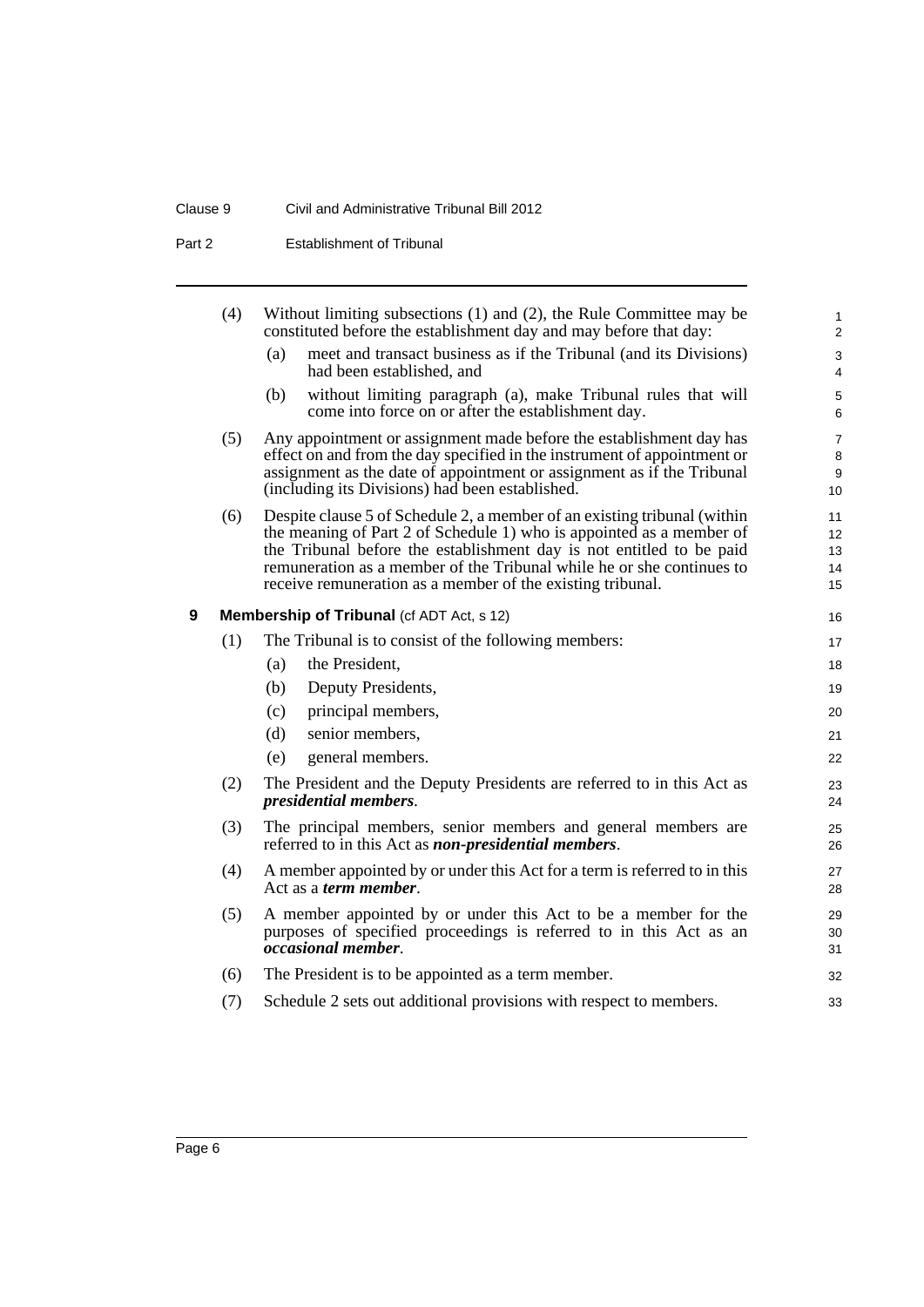#### Clause 9 Civil and Administrative Tribunal Bill 2012

Part 2 **Establishment of Tribunal** 

<span id="page-15-0"></span>

|   | (4) | Without limiting subsections (1) and (2), the Rule Committee may be<br>constituted before the establishment day and may before that day:                                                                                                                                                                                                                        | $\mathbf{1}$<br>$\overline{2}$ |
|---|-----|-----------------------------------------------------------------------------------------------------------------------------------------------------------------------------------------------------------------------------------------------------------------------------------------------------------------------------------------------------------------|--------------------------------|
|   |     | meet and transact business as if the Tribunal (and its Divisions)<br>(a)<br>had been established, and                                                                                                                                                                                                                                                           | $\mathsf 3$<br>4               |
|   |     | without limiting paragraph (a), make Tribunal rules that will<br>(b)<br>come into force on or after the establishment day.                                                                                                                                                                                                                                      | 5<br>6                         |
|   | (5) | Any appointment or assignment made before the establishment day has<br>effect on and from the day specified in the instrument of appointment or<br>assignment as the date of appointment or assignment as if the Tribunal<br>(including its Divisions) had been established.                                                                                    | $\overline{7}$<br>8<br>9<br>10 |
|   | (6) | Despite clause 5 of Schedule 2, a member of an existing tribunal (within<br>the meaning of Part 2 of Schedule 1) who is appointed as a member of<br>the Tribunal before the establishment day is not entitled to be paid<br>remuneration as a member of the Tribunal while he or she continues to<br>receive remuneration as a member of the existing tribunal. | 11<br>12<br>13<br>14<br>15     |
| 9 |     | <b>Membership of Tribunal (cf ADT Act, s 12)</b>                                                                                                                                                                                                                                                                                                                | 16                             |
|   | (1) | The Tribunal is to consist of the following members:                                                                                                                                                                                                                                                                                                            | 17                             |
|   |     | the President,<br>(a)                                                                                                                                                                                                                                                                                                                                           | 18                             |
|   |     | Deputy Presidents,<br>(b)                                                                                                                                                                                                                                                                                                                                       | 19                             |
|   |     | principal members,<br>(c)                                                                                                                                                                                                                                                                                                                                       | 20                             |
|   |     | senior members,<br>(d)                                                                                                                                                                                                                                                                                                                                          | 21                             |
|   |     | (e)<br>general members.                                                                                                                                                                                                                                                                                                                                         | 22                             |
|   | (2) | The President and the Deputy Presidents are referred to in this Act as<br>presidential members.                                                                                                                                                                                                                                                                 | 23<br>24                       |
|   | (3) | The principal members, senior members and general members are<br>referred to in this Act as <i>non-presidential members</i> .                                                                                                                                                                                                                                   | 25<br>26                       |
|   | (4) | A member appointed by or under this Act for a term is referred to in this<br>Act as a <i>term member</i> .                                                                                                                                                                                                                                                      | 27<br>28                       |
|   | (5) | A member appointed by or under this Act to be a member for the<br>purposes of specified proceedings is referred to in this Act as an<br><i>occasional member.</i>                                                                                                                                                                                               | 29<br>30<br>31                 |
|   | (6) | The President is to be appointed as a term member.                                                                                                                                                                                                                                                                                                              | 32                             |
|   | (7) | Schedule 2 sets out additional provisions with respect to members.                                                                                                                                                                                                                                                                                              | 33                             |
|   |     |                                                                                                                                                                                                                                                                                                                                                                 |                                |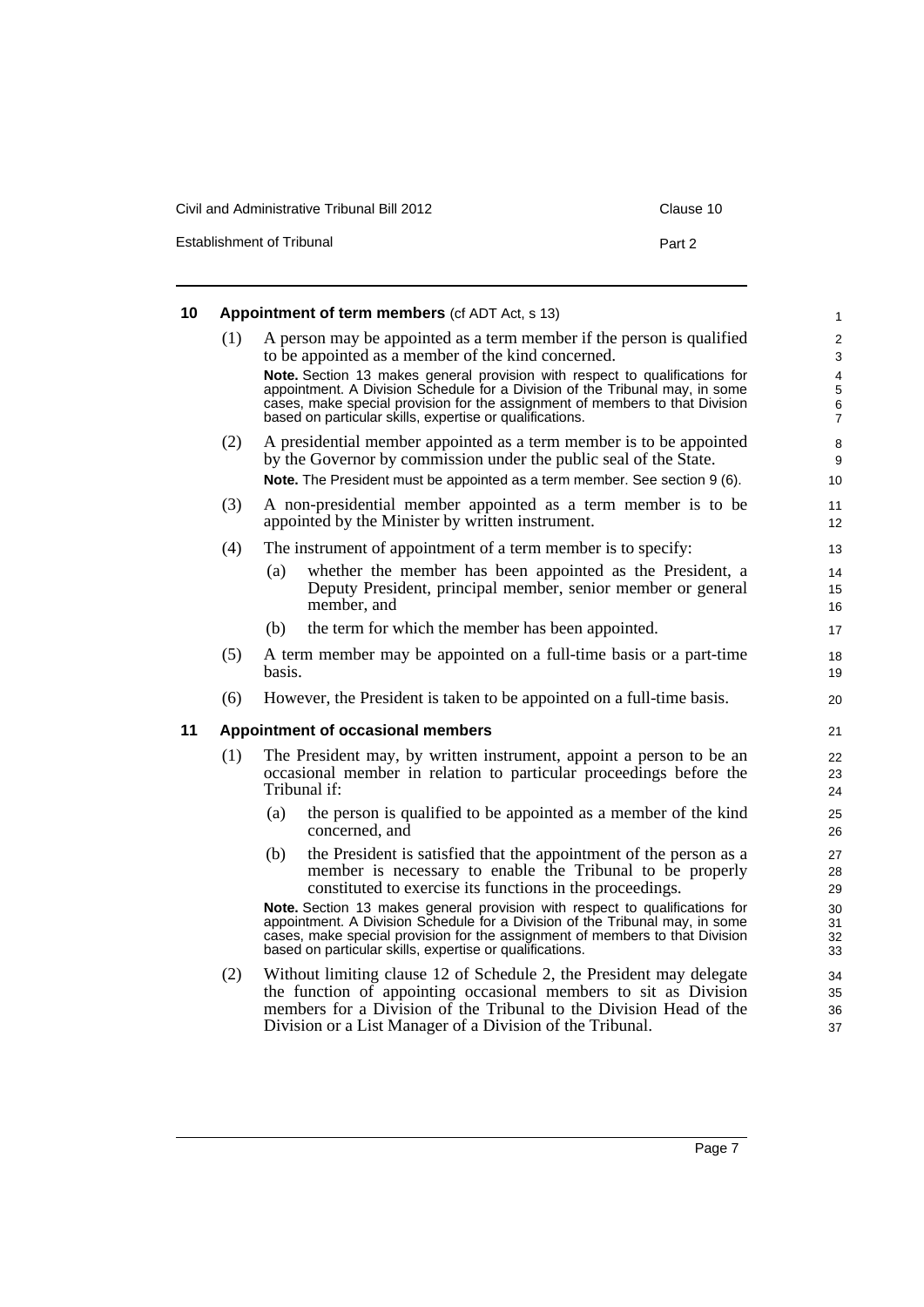| Civil and Administrative Tribunal Bill 2012 | Clause 10 |
|---------------------------------------------|-----------|
| Establishment of Tribunal                   | Part 2    |

<span id="page-16-0"></span>

| 10 | Appointment of term members (cf ADT Act, s 13) |        |                                                                                                                                                                                                                                                                                                         |                                                          |  |  |  |  |
|----|------------------------------------------------|--------|---------------------------------------------------------------------------------------------------------------------------------------------------------------------------------------------------------------------------------------------------------------------------------------------------------|----------------------------------------------------------|--|--|--|--|
|    | (1)                                            |        | A person may be appointed as a term member if the person is qualified<br>to be appointed as a member of the kind concerned.                                                                                                                                                                             | 2<br>3                                                   |  |  |  |  |
|    |                                                |        | Note. Section 13 makes general provision with respect to qualifications for<br>appointment. A Division Schedule for a Division of the Tribunal may, in some<br>cases, make special provision for the assignment of members to that Division<br>based on particular skills, expertise or qualifications. | $\overline{4}$<br>$\mathbf 5$<br>$\,6$<br>$\overline{7}$ |  |  |  |  |
|    | (2)                                            |        | A presidential member appointed as a term member is to be appointed<br>by the Governor by commission under the public seal of the State.<br>Note. The President must be appointed as a term member. See section 9 (6).                                                                                  | 8<br>9<br>10                                             |  |  |  |  |
|    | (3)                                            |        | A non-presidential member appointed as a term member is to be<br>appointed by the Minister by written instrument.                                                                                                                                                                                       | 11<br>12                                                 |  |  |  |  |
|    | (4)                                            |        | The instrument of appointment of a term member is to specify:                                                                                                                                                                                                                                           | 13                                                       |  |  |  |  |
|    |                                                | (a)    | whether the member has been appointed as the President, a<br>Deputy President, principal member, senior member or general<br>member, and                                                                                                                                                                | 14<br>15<br>16                                           |  |  |  |  |
|    |                                                | (b)    | the term for which the member has been appointed.                                                                                                                                                                                                                                                       | 17                                                       |  |  |  |  |
|    | (5)                                            | basis. | A term member may be appointed on a full-time basis or a part-time                                                                                                                                                                                                                                      | 18<br>19                                                 |  |  |  |  |
|    | (6)                                            |        | However, the President is taken to be appointed on a full-time basis.                                                                                                                                                                                                                                   | 20                                                       |  |  |  |  |
| 11 | Appointment of occasional members              |        |                                                                                                                                                                                                                                                                                                         |                                                          |  |  |  |  |
|    | (1)                                            |        | The President may, by written instrument, appoint a person to be an<br>occasional member in relation to particular proceedings before the<br>Tribunal if:                                                                                                                                               | 22<br>23<br>24                                           |  |  |  |  |
|    |                                                | (a)    | the person is qualified to be appointed as a member of the kind<br>concerned, and                                                                                                                                                                                                                       | 25<br>26                                                 |  |  |  |  |
|    |                                                | (b)    | the President is satisfied that the appointment of the person as a<br>member is necessary to enable the Tribunal to be properly<br>constituted to exercise its functions in the proceedings.                                                                                                            | 27<br>28<br>29                                           |  |  |  |  |
|    |                                                |        | Note. Section 13 makes general provision with respect to qualifications for<br>appointment. A Division Schedule for a Division of the Tribunal may, in some<br>cases, make special provision for the assignment of members to that Division<br>based on particular skills, expertise or qualifications. | 30<br>31<br>32<br>33                                     |  |  |  |  |
|    | (2)                                            |        | Without limiting clause 12 of Schedule 2, the President may delegate<br>the function of appointing occasional members to sit as Division<br>members for a Division of the Tribunal to the Division Head of the                                                                                          | 34<br>35<br>36                                           |  |  |  |  |

<span id="page-16-1"></span>members for a Division of the Tribunal to the Division Head of the Division or a List Manager of a Division of the Tribunal.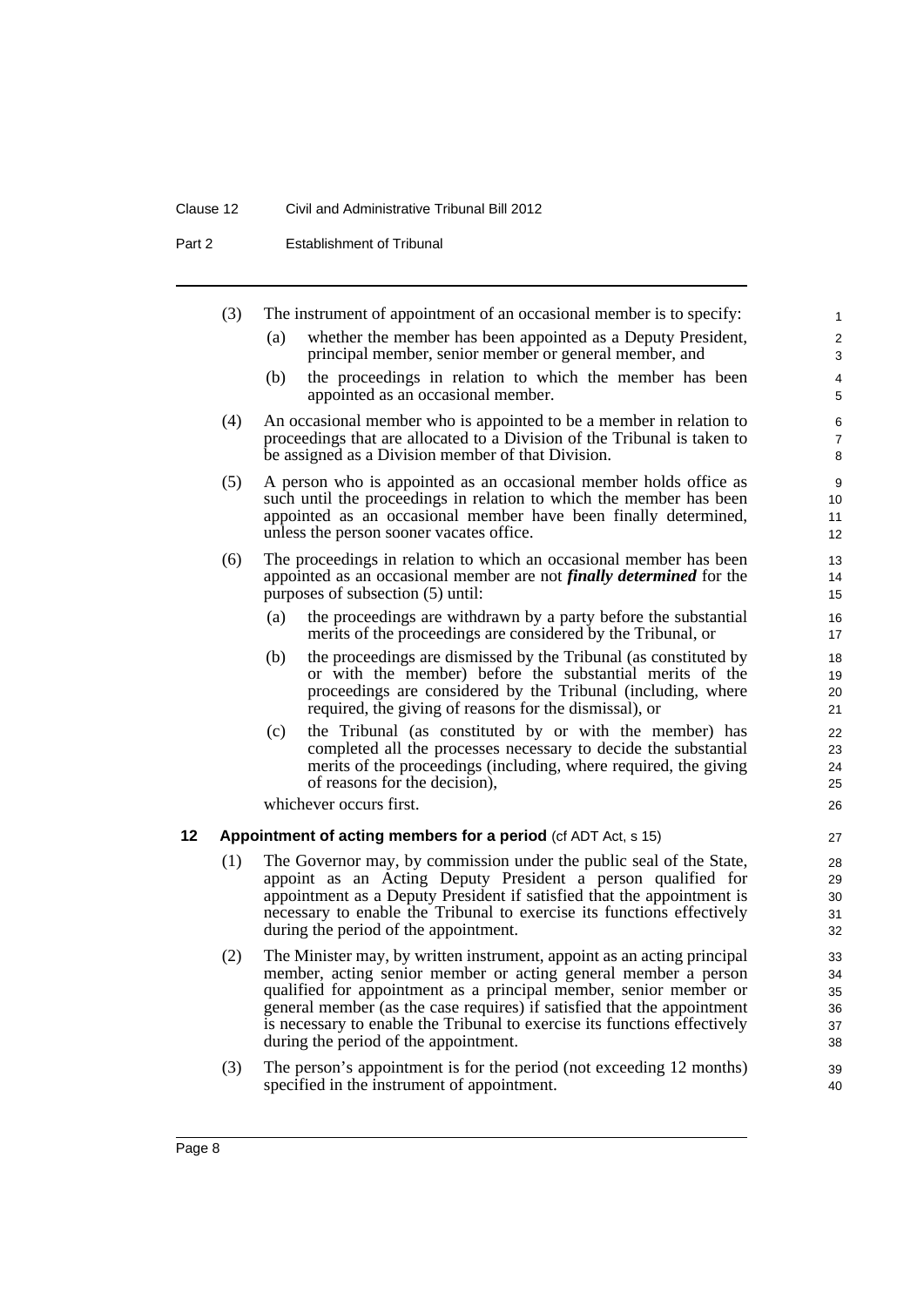#### Clause 12 Civil and Administrative Tribunal Bill 2012

Part 2 **Establishment of Tribunal** 

<span id="page-17-0"></span>

|    | (3) |                                                                             | The instrument of appointment of an occasional member is to specify:                                                                             | $\mathbf{1}$        |
|----|-----|-----------------------------------------------------------------------------|--------------------------------------------------------------------------------------------------------------------------------------------------|---------------------|
|    |     | (a)                                                                         | whether the member has been appointed as a Deputy President,                                                                                     | 2                   |
|    |     |                                                                             | principal member, senior member or general member, and                                                                                           | 3                   |
|    |     | (b)                                                                         | the proceedings in relation to which the member has been<br>appointed as an occasional member.                                                   | 4<br>5              |
|    | (4) |                                                                             | An occasional member who is appointed to be a member in relation to                                                                              | 6                   |
|    |     |                                                                             | proceedings that are allocated to a Division of the Tribunal is taken to<br>be assigned as a Division member of that Division.                   | $\overline{7}$<br>8 |
|    | (5) |                                                                             | A person who is appointed as an occasional member holds office as                                                                                | 9                   |
|    |     |                                                                             | such until the proceedings in relation to which the member has been<br>appointed as an occasional member have been finally determined,           | 10<br>11            |
|    |     |                                                                             | unless the person sooner vacates office.                                                                                                         | 12                  |
|    | (6) |                                                                             | The proceedings in relation to which an occasional member has been                                                                               | 13                  |
|    |     | appointed as an occasional member are not <i>finally determined</i> for the |                                                                                                                                                  |                     |
|    |     |                                                                             | purposes of subsection (5) until:                                                                                                                | 15                  |
|    |     | (a)                                                                         | the proceedings are withdrawn by a party before the substantial<br>merits of the proceedings are considered by the Tribunal, or                  | 16<br>17            |
|    |     | (b)                                                                         | the proceedings are dismissed by the Tribunal (as constituted by                                                                                 | 18                  |
|    |     |                                                                             | or with the member) before the substantial merits of the<br>proceedings are considered by the Tribunal (including, where                         | 19<br>20            |
|    |     |                                                                             | required, the giving of reasons for the dismissal), or                                                                                           | 21                  |
|    |     | (c)                                                                         | the Tribunal (as constituted by or with the member) has                                                                                          | 22                  |
|    |     |                                                                             | completed all the processes necessary to decide the substantial                                                                                  | 23                  |
|    |     |                                                                             | merits of the proceedings (including, where required, the giving<br>of reasons for the decision),                                                | 24<br>25            |
|    |     |                                                                             | whichever occurs first.                                                                                                                          | 26                  |
| 12 |     |                                                                             | Appointment of acting members for a period (cf ADT Act, s 15)                                                                                    | 27                  |
|    | (1) |                                                                             | The Governor may, by commission under the public seal of the State,                                                                              | 28                  |
|    |     |                                                                             | appoint as an Acting Deputy President a person qualified for                                                                                     | 29                  |
|    |     |                                                                             | appointment as a Deputy President if satisfied that the appointment is<br>necessary to enable the Tribunal to exercise its functions effectively | 30<br>31            |
|    |     |                                                                             | during the period of the appointment.                                                                                                            | 32                  |
|    | (2) |                                                                             | The Minister may, by written instrument, appoint as an acting principal                                                                          | 33                  |
|    |     |                                                                             | member, acting senior member or acting general member a person                                                                                   | 34                  |
|    |     |                                                                             | qualified for appointment as a principal member, senior member or<br>general member (as the case requires) if satisfied that the appointment     | 35<br>36            |
|    |     |                                                                             | is necessary to enable the Tribunal to exercise its functions effectively                                                                        | 37                  |
|    |     |                                                                             | during the period of the appointment.                                                                                                            | 38                  |
|    | (3) |                                                                             | The person's appointment is for the period (not exceeding 12 months)<br>specified in the instrument of appointment.                              | 39<br>40            |
|    |     |                                                                             |                                                                                                                                                  |                     |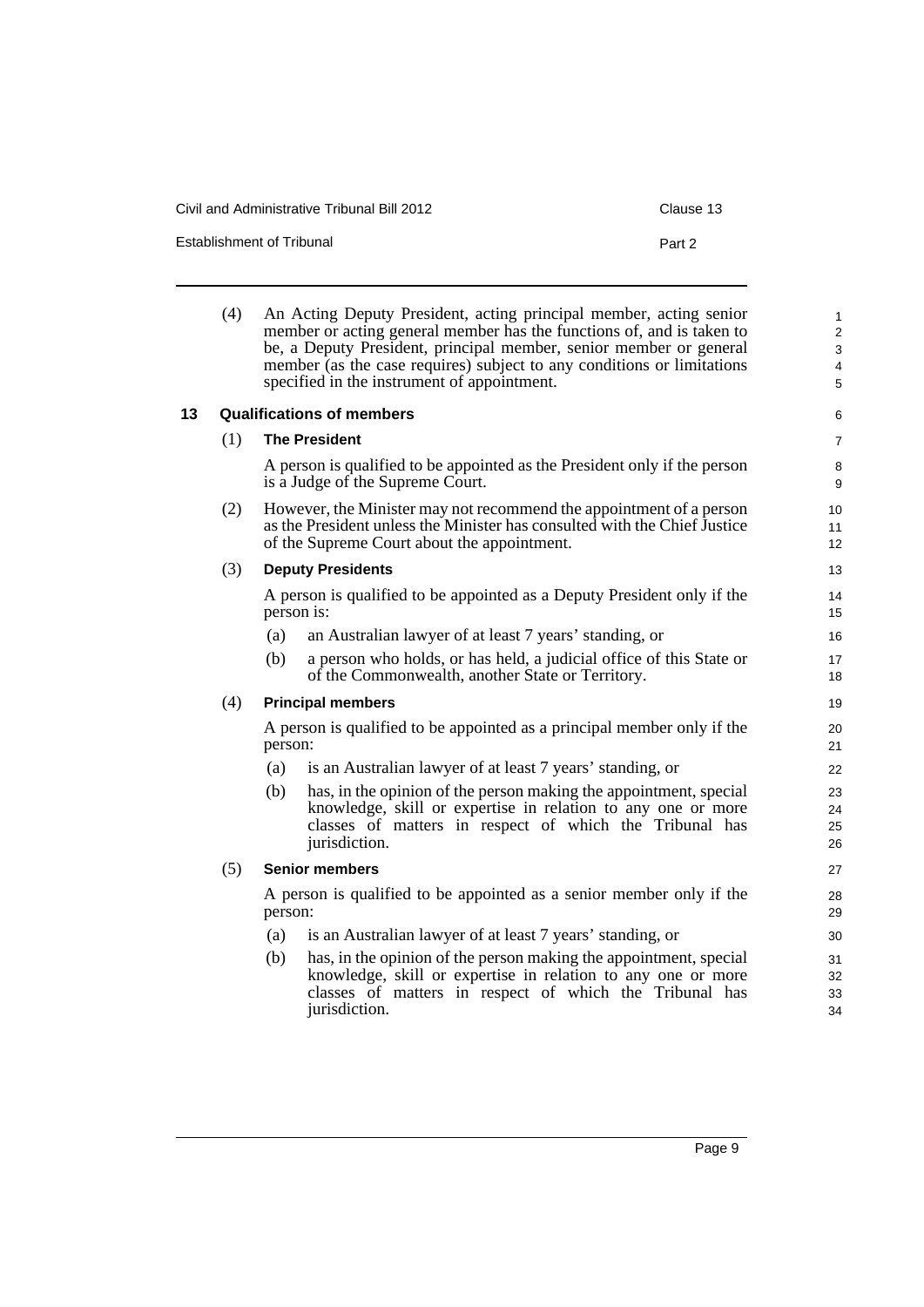Civil and Administrative Tribunal Bill 2012 Clause 13

Establishment of Tribunal **Part 2** Part 2

<span id="page-18-0"></span>

|    | (4) |                                                                                 | An Acting Deputy President, acting principal member, acting senior<br>member or acting general member has the functions of, and is taken to<br>be, a Deputy President, principal member, senior member or general<br>member (as the case requires) subject to any conditions or limitations<br>specified in the instrument of appointment. | $\mathbf{1}$<br>$\overline{2}$<br>3<br>$\overline{\mathbf{4}}$<br>5 |
|----|-----|---------------------------------------------------------------------------------|--------------------------------------------------------------------------------------------------------------------------------------------------------------------------------------------------------------------------------------------------------------------------------------------------------------------------------------------|---------------------------------------------------------------------|
| 13 |     |                                                                                 | <b>Qualifications of members</b>                                                                                                                                                                                                                                                                                                           | 6                                                                   |
|    | (1) |                                                                                 | <b>The President</b>                                                                                                                                                                                                                                                                                                                       | 7                                                                   |
|    |     |                                                                                 | A person is qualified to be appointed as the President only if the person<br>is a Judge of the Supreme Court.                                                                                                                                                                                                                              | 8<br>9                                                              |
|    | (2) |                                                                                 | However, the Minister may not recommend the appointment of a person<br>as the President unless the Minister has consulted with the Chief Justice<br>of the Supreme Court about the appointment.                                                                                                                                            | 10 <sup>°</sup><br>11<br>12 <sup>2</sup>                            |
|    | (3) |                                                                                 | <b>Deputy Presidents</b>                                                                                                                                                                                                                                                                                                                   | 13                                                                  |
|    |     |                                                                                 | A person is qualified to be appointed as a Deputy President only if the<br>person is:                                                                                                                                                                                                                                                      | 14<br>15                                                            |
|    |     | (a)                                                                             | an Australian lawyer of at least 7 years' standing, or                                                                                                                                                                                                                                                                                     | 16                                                                  |
|    |     | (b)                                                                             | a person who holds, or has held, a judicial office of this State or<br>of the Commonwealth, another State or Territory.                                                                                                                                                                                                                    | 17<br>18                                                            |
|    | (4) |                                                                                 | <b>Principal members</b>                                                                                                                                                                                                                                                                                                                   | 19                                                                  |
|    |     | person:                                                                         | A person is qualified to be appointed as a principal member only if the                                                                                                                                                                                                                                                                    | 20<br>21                                                            |
|    |     | (a)                                                                             | is an Australian lawyer of at least 7 years' standing, or                                                                                                                                                                                                                                                                                  | 22                                                                  |
|    |     | (b)                                                                             | has, in the opinion of the person making the appointment, special<br>knowledge, skill or expertise in relation to any one or more<br>classes of matters in respect of which the Tribunal has<br>jurisdiction.                                                                                                                              | 23<br>24<br>25<br>26                                                |
|    | (5) |                                                                                 | <b>Senior members</b>                                                                                                                                                                                                                                                                                                                      | 27                                                                  |
|    |     | A person is qualified to be appointed as a senior member only if the<br>person: |                                                                                                                                                                                                                                                                                                                                            | 28<br>29                                                            |
|    |     | (a)                                                                             | is an Australian lawyer of at least 7 years' standing, or                                                                                                                                                                                                                                                                                  | 30                                                                  |
|    |     | (b)                                                                             | has, in the opinion of the person making the appointment, special<br>knowledge, skill or expertise in relation to any one or more<br>classes of matters in respect of which the Tribunal has<br>jurisdiction.                                                                                                                              | 31<br>32<br>33<br>34                                                |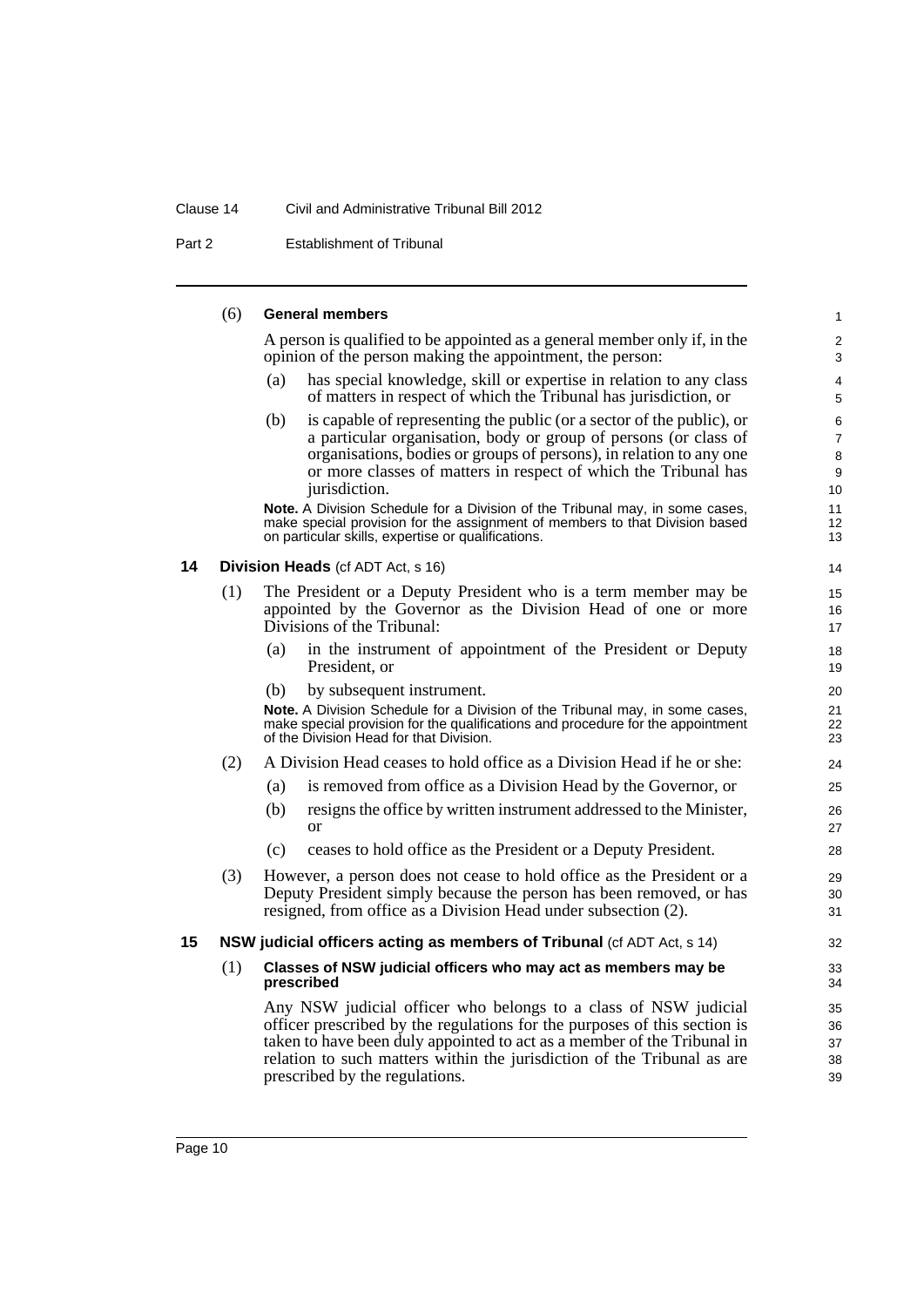#### Clause 14 Civil and Administrative Tribunal Bill 2012

Part 2 Establishment of Tribunal

#### <span id="page-19-0"></span>(6) **General members** A person is qualified to be appointed as a general member only if, in the opinion of the person making the appointment, the person: (a) has special knowledge, skill or expertise in relation to any class of matters in respect of which the Tribunal has jurisdiction, or (b) is capable of representing the public (or a sector of the public), or a particular organisation, body or group of persons (or class of organisations, bodies or groups of persons), in relation to any one or more classes of matters in respect of which the Tribunal has jurisdiction. **Note.** A Division Schedule for a Division of the Tribunal may, in some cases, make special provision for the assignment of members to that Division based on particular skills, expertise or qualifications. **14 Division Heads** (cf ADT Act, s 16) (1) The President or a Deputy President who is a term member may be appointed by the Governor as the Division Head of one or more Divisions of the Tribunal: (a) in the instrument of appointment of the President or Deputy President, or (b) by subsequent instrument. **Note.** A Division Schedule for a Division of the Tribunal may, in some cases, make special provision for the qualifications and procedure for the appointment of the Division Head for that Division. (2) A Division Head ceases to hold office as a Division Head if he or she: (a) is removed from office as a Division Head by the Governor, or (b) resigns the office by written instrument addressed to the Minister, or (c) ceases to hold office as the President or a Deputy President. (3) However, a person does not cease to hold office as the President or a Deputy President simply because the person has been removed, or has resigned, from office as a Division Head under subsection (2). **15 NSW judicial officers acting as members of Tribunal** (cf ADT Act, s 14) (1) **Classes of NSW judicial officers who may act as members may be prescribed** Any NSW judicial officer who belongs to a class of NSW judicial officer prescribed by the regulations for the purposes of this section is taken to have been duly appointed to act as a member of the Tribunal in 10 11 12 13 14 15 16 17 18 19 20 21 22 23 24 25 26 27 28 29 30 31 32 33 34 35 36

37 38 39

<span id="page-19-1"></span>relation to such matters within the jurisdiction of the Tribunal as are

prescribed by the regulations.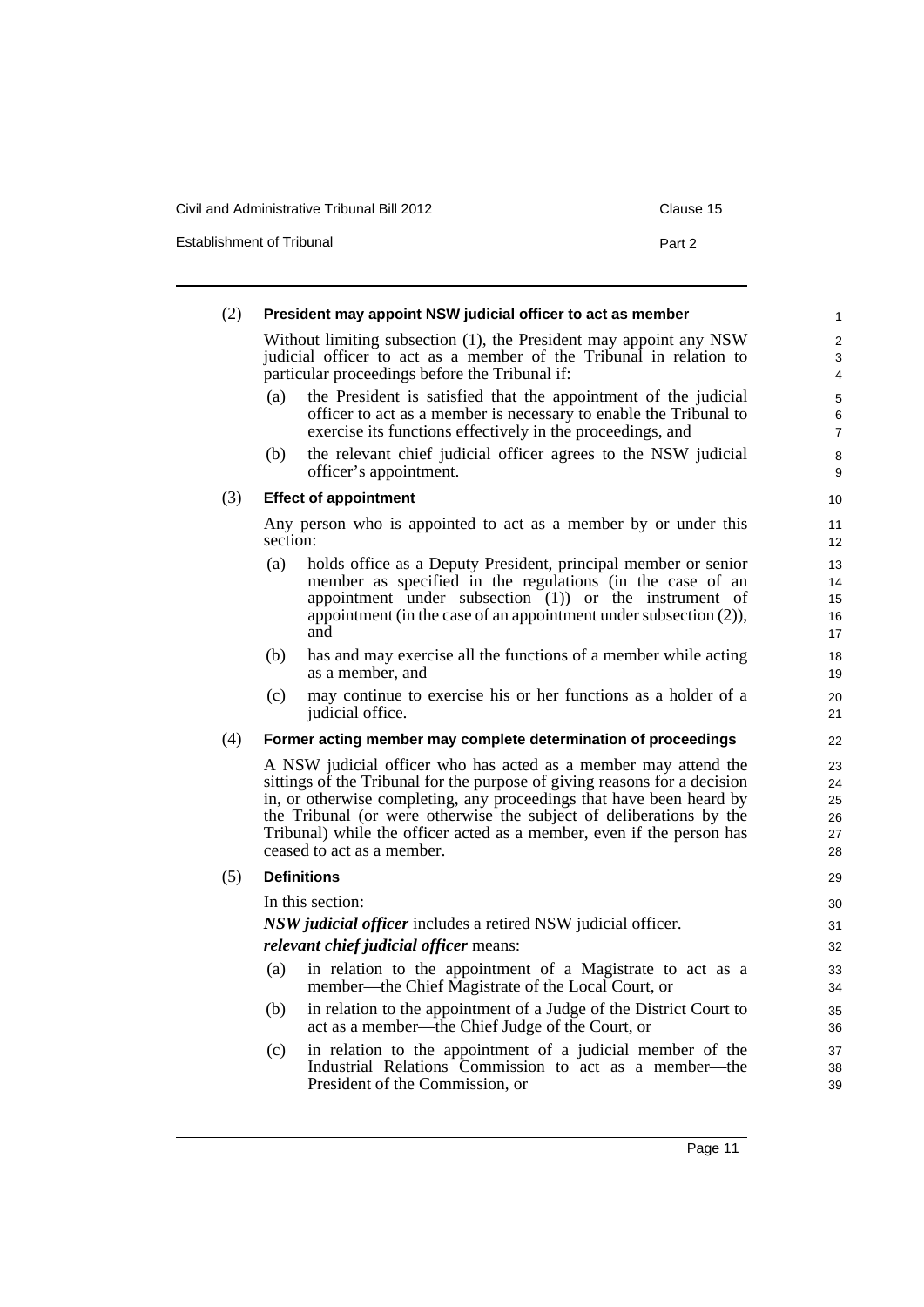Civil and Administrative Tribunal Bill 2012 Clause 15

Establishment of Tribunal **Part 2** Part 2

| (2) |                                                                                                                                                                                            | President may appoint NSW judicial officer to act as member                                                                                                                                                                                                                                                                                                                                        | $\mathbf{1}$                     |  |  |
|-----|--------------------------------------------------------------------------------------------------------------------------------------------------------------------------------------------|----------------------------------------------------------------------------------------------------------------------------------------------------------------------------------------------------------------------------------------------------------------------------------------------------------------------------------------------------------------------------------------------------|----------------------------------|--|--|
|     | Without limiting subsection (1), the President may appoint any NSW<br>judicial officer to act as a member of the Tribunal in relation to<br>particular proceedings before the Tribunal if: |                                                                                                                                                                                                                                                                                                                                                                                                    |                                  |  |  |
|     | (a)                                                                                                                                                                                        | the President is satisfied that the appointment of the judicial<br>officer to act as a member is necessary to enable the Tribunal to<br>exercise its functions effectively in the proceedings, and                                                                                                                                                                                                 | 5<br>6<br>$\overline{7}$         |  |  |
|     | (b)                                                                                                                                                                                        | the relevant chief judicial officer agrees to the NSW judicial<br>officer's appointment.                                                                                                                                                                                                                                                                                                           | 8<br>9                           |  |  |
| (3) |                                                                                                                                                                                            | <b>Effect of appointment</b>                                                                                                                                                                                                                                                                                                                                                                       | 10                               |  |  |
|     | section:                                                                                                                                                                                   | Any person who is appointed to act as a member by or under this                                                                                                                                                                                                                                                                                                                                    | 11<br>12                         |  |  |
|     | (a)                                                                                                                                                                                        | holds office as a Deputy President, principal member or senior<br>member as specified in the regulations (in the case of an<br>appointment under subsection $(1)$ or the instrument of<br>appointment (in the case of an appointment under subsection $(2)$ ),<br>and                                                                                                                              | 13<br>14<br>15<br>16<br>17       |  |  |
|     | (b)                                                                                                                                                                                        | has and may exercise all the functions of a member while acting<br>as a member, and                                                                                                                                                                                                                                                                                                                | 18<br>19                         |  |  |
|     | (c)                                                                                                                                                                                        | may continue to exercise his or her functions as a holder of a<br>judicial office.                                                                                                                                                                                                                                                                                                                 | 20<br>21                         |  |  |
| (4) |                                                                                                                                                                                            | Former acting member may complete determination of proceedings                                                                                                                                                                                                                                                                                                                                     | 22                               |  |  |
|     |                                                                                                                                                                                            | A NSW judicial officer who has acted as a member may attend the<br>sittings of the Tribunal for the purpose of giving reasons for a decision<br>in, or otherwise completing, any proceedings that have been heard by<br>the Tribunal (or were otherwise the subject of deliberations by the<br>Tribunal) while the officer acted as a member, even if the person has<br>ceased to act as a member. | 23<br>24<br>25<br>26<br>27<br>28 |  |  |
| (5) |                                                                                                                                                                                            | <b>Definitions</b>                                                                                                                                                                                                                                                                                                                                                                                 | 29                               |  |  |
|     | In this section:<br><i>NSW judicial officer</i> includes a retired NSW judicial officer.<br><i>relevant chief judicial officer means:</i>                                                  |                                                                                                                                                                                                                                                                                                                                                                                                    |                                  |  |  |
|     | (a)                                                                                                                                                                                        | in relation to the appointment of a Magistrate to act as a<br>member—the Chief Magistrate of the Local Court, or                                                                                                                                                                                                                                                                                   | 33<br>34                         |  |  |
|     | (b)                                                                                                                                                                                        | in relation to the appointment of a Judge of the District Court to<br>act as a member-the Chief Judge of the Court, or                                                                                                                                                                                                                                                                             | 35<br>36                         |  |  |
|     | (c)                                                                                                                                                                                        | in relation to the appointment of a judicial member of the<br>Industrial Relations Commission to act as a member—the<br>President of the Commission, or                                                                                                                                                                                                                                            | 37<br>38<br>39                   |  |  |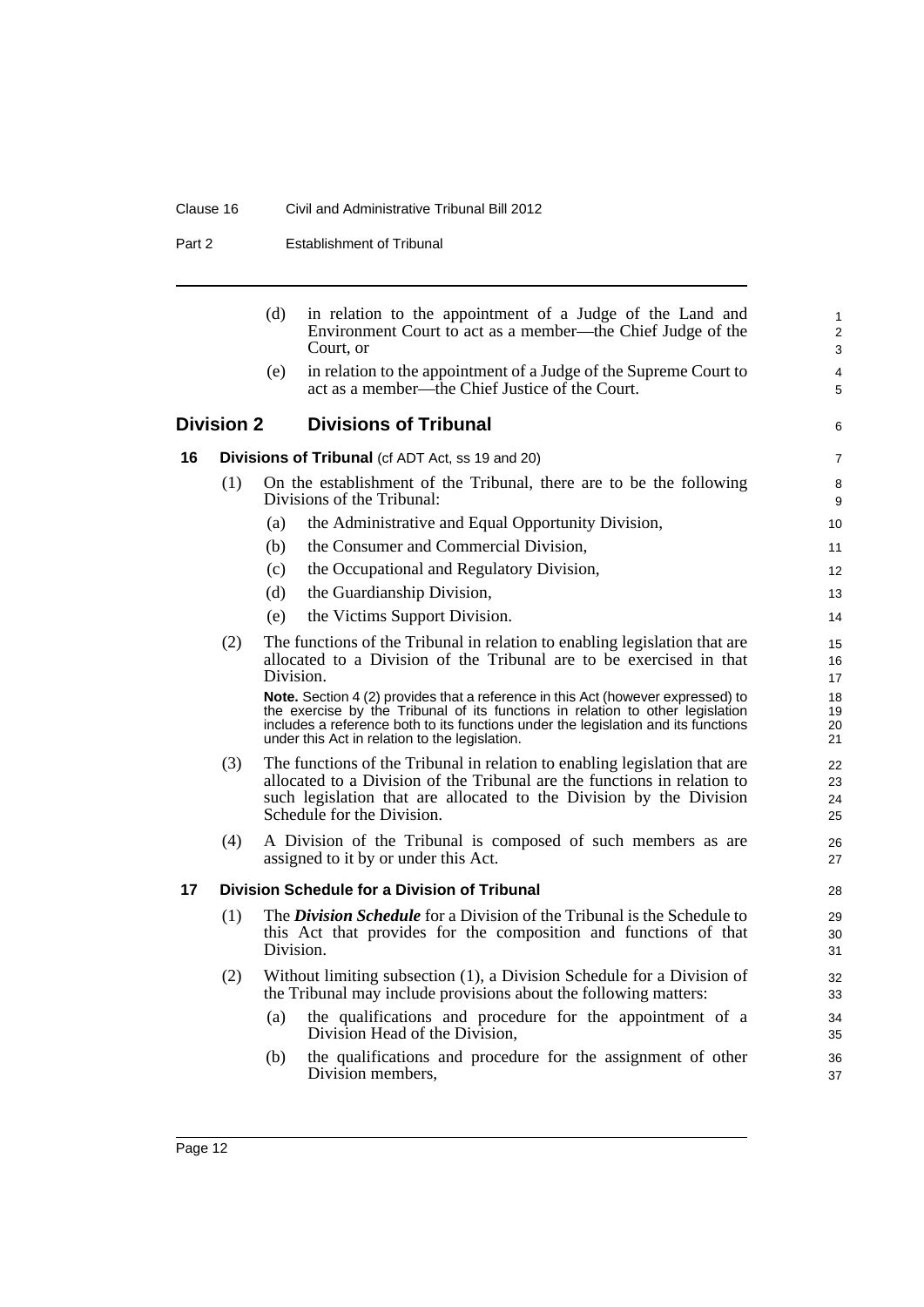### Clause 16 Civil and Administrative Tribunal Bill 2012

Part 2 **Establishment of Tribunal** 

<span id="page-21-2"></span><span id="page-21-1"></span><span id="page-21-0"></span>

|    |                   | (d)       | in relation to the appointment of a Judge of the Land and<br>Environment Court to act as a member—the Chief Judge of the<br>Court, or                                                                                                                                                                      | $\mathbf{1}$<br>$\overline{2}$<br>3 |
|----|-------------------|-----------|------------------------------------------------------------------------------------------------------------------------------------------------------------------------------------------------------------------------------------------------------------------------------------------------------------|-------------------------------------|
|    |                   | (e)       | in relation to the appointment of a Judge of the Supreme Court to<br>act as a member—the Chief Justice of the Court.                                                                                                                                                                                       | $\overline{4}$<br>5                 |
|    | <b>Division 2</b> |           | <b>Divisions of Tribunal</b>                                                                                                                                                                                                                                                                               | 6                                   |
| 16 |                   |           | <b>Divisions of Tribunal</b> (cf ADT Act, ss 19 and 20)                                                                                                                                                                                                                                                    | $\overline{7}$                      |
|    | (1)               |           | On the establishment of the Tribunal, there are to be the following<br>Divisions of the Tribunal:                                                                                                                                                                                                          | 8<br>9                              |
|    |                   | (a)       | the Administrative and Equal Opportunity Division,                                                                                                                                                                                                                                                         | 10                                  |
|    |                   | (b)       | the Consumer and Commercial Division,                                                                                                                                                                                                                                                                      | 11                                  |
|    |                   | (c)       | the Occupational and Regulatory Division,                                                                                                                                                                                                                                                                  | 12                                  |
|    |                   | (d)       | the Guardianship Division,                                                                                                                                                                                                                                                                                 | 13                                  |
|    |                   | (e)       | the Victims Support Division.                                                                                                                                                                                                                                                                              | 14                                  |
|    | (2)               | Division. | The functions of the Tribunal in relation to enabling legislation that are<br>allocated to a Division of the Tribunal are to be exercised in that                                                                                                                                                          | 15<br>16<br>17                      |
|    |                   |           | Note. Section 4 (2) provides that a reference in this Act (however expressed) to<br>the exercise by the Tribunal of its functions in relation to other legislation<br>includes a reference both to its functions under the legislation and its functions<br>under this Act in relation to the legislation. | 18<br>19<br>20<br>21                |
|    | (3)               |           | The functions of the Tribunal in relation to enabling legislation that are<br>allocated to a Division of the Tribunal are the functions in relation to<br>such legislation that are allocated to the Division by the Division<br>Schedule for the Division.                                                | 22<br>23<br>24<br>25                |
|    | (4)               |           | A Division of the Tribunal is composed of such members as are<br>assigned to it by or under this Act.                                                                                                                                                                                                      | 26<br>27                            |
| 17 |                   |           | Division Schedule for a Division of Tribunal                                                                                                                                                                                                                                                               | 28                                  |
|    | (1)               | Division. | The <i>Division Schedule</i> for a Division of the Tribunal is the Schedule to<br>this Act that provides for the composition and functions of that                                                                                                                                                         | 29<br>30<br>31                      |
|    | (2)               |           | Without limiting subsection (1), a Division Schedule for a Division of<br>the Tribunal may include provisions about the following matters:                                                                                                                                                                 | 32<br>33                            |
|    |                   | (a)       | the qualifications and procedure for the appointment of a<br>Division Head of the Division,                                                                                                                                                                                                                | 34<br>35                            |
|    |                   | (b)       | the qualifications and procedure for the assignment of other<br>Division members,                                                                                                                                                                                                                          | 36<br>37                            |
|    |                   |           |                                                                                                                                                                                                                                                                                                            |                                     |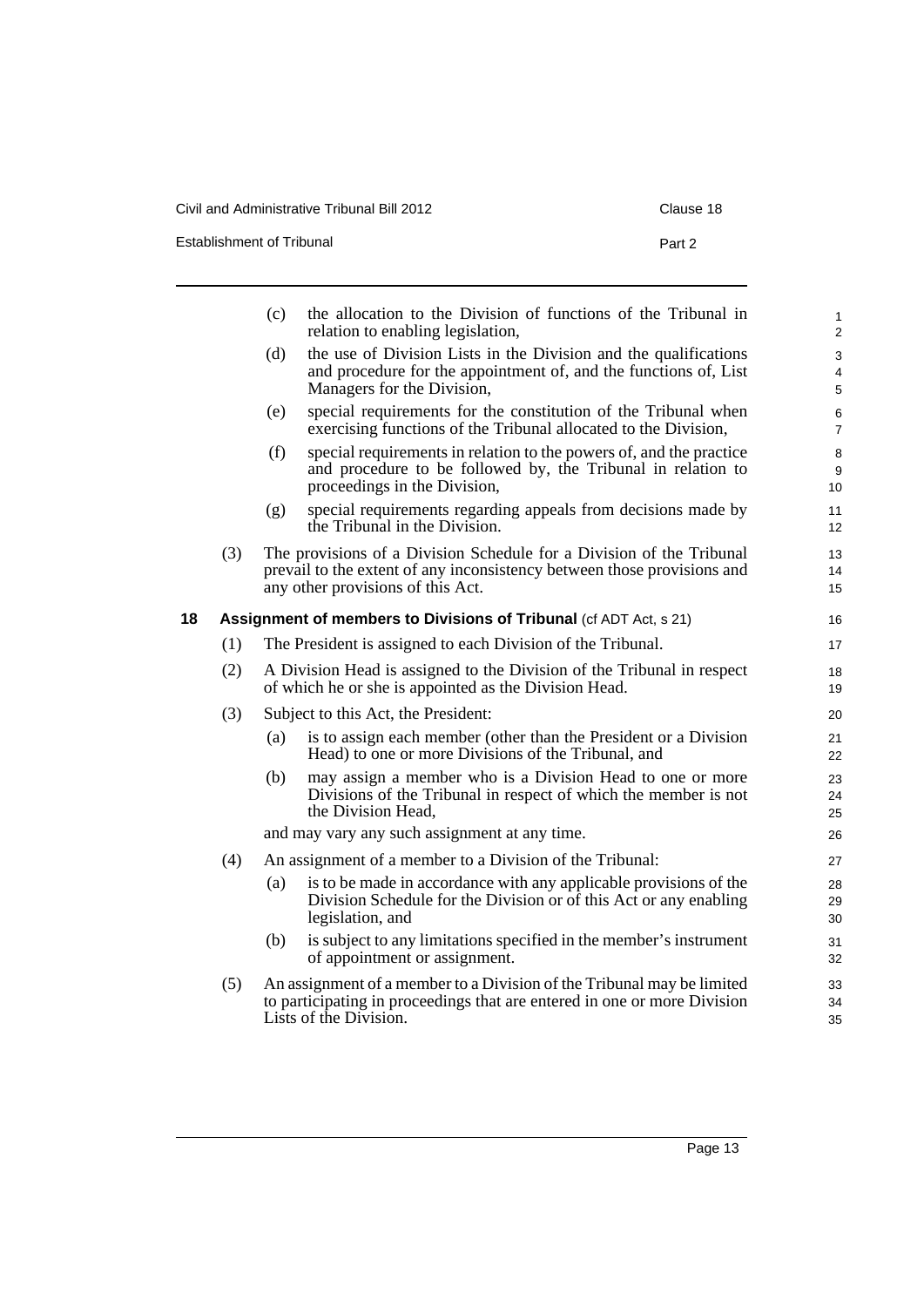Civil and Administrative Tribunal Bill 2012 Clause 18

Establishment of Tribunal **Part 2** Part 2

<span id="page-22-0"></span>

|    |     | (c) | the allocation to the Division of functions of the Tribunal in<br>relation to enabling legislation,                                                                                  | $\mathbf{1}$<br>$\overline{2}$ |
|----|-----|-----|--------------------------------------------------------------------------------------------------------------------------------------------------------------------------------------|--------------------------------|
|    |     | (d) | the use of Division Lists in the Division and the qualifications<br>and procedure for the appointment of, and the functions of, List<br>Managers for the Division,                   | 3<br>4<br>5                    |
|    |     | (e) | special requirements for the constitution of the Tribunal when<br>exercising functions of the Tribunal allocated to the Division,                                                    | 6<br>$\overline{7}$            |
|    |     | (f) | special requirements in relation to the powers of, and the practice<br>and procedure to be followed by, the Tribunal in relation to<br>proceedings in the Division,                  | 8<br>9<br>10 <sup>10</sup>     |
|    |     | (g) | special requirements regarding appeals from decisions made by<br>the Tribunal in the Division.                                                                                       | 11<br>12 <sup>2</sup>          |
|    | (3) |     | The provisions of a Division Schedule for a Division of the Tribunal<br>prevail to the extent of any inconsistency between those provisions and<br>any other provisions of this Act. | 13<br>14<br>15                 |
| 18 |     |     | Assignment of members to Divisions of Tribunal (cf ADT Act, s 21)                                                                                                                    | 16                             |
|    | (1) |     | The President is assigned to each Division of the Tribunal.                                                                                                                          | 17                             |
|    | (2) |     | A Division Head is assigned to the Division of the Tribunal in respect<br>of which he or she is appointed as the Division Head.                                                      | 18<br>19                       |
|    | (3) |     | Subject to this Act, the President:                                                                                                                                                  | 20                             |
|    |     | (a) | is to assign each member (other than the President or a Division<br>Head) to one or more Divisions of the Tribunal, and                                                              | 21<br>22                       |
|    |     | (b) | may assign a member who is a Division Head to one or more<br>Divisions of the Tribunal in respect of which the member is not<br>the Division Head,                                   | 23<br>24<br>25                 |
|    |     |     | and may vary any such assignment at any time.                                                                                                                                        | 26                             |
|    | (4) |     | An assignment of a member to a Division of the Tribunal:                                                                                                                             | 27                             |
|    |     | (a) | is to be made in accordance with any applicable provisions of the<br>Division Schedule for the Division or of this Act or any enabling<br>legislation, and                           | 28<br>29<br>30                 |
|    |     | (b) | is subject to any limitations specified in the member's instrument<br>of appointment or assignment.                                                                                  | 31<br>32                       |
|    | (5) |     | An assignment of a member to a Division of the Tribunal may be limited<br>to participating in proceedings that are entered in one or more Division<br>Lists of the Division.         | 33<br>34<br>35                 |
|    |     |     |                                                                                                                                                                                      |                                |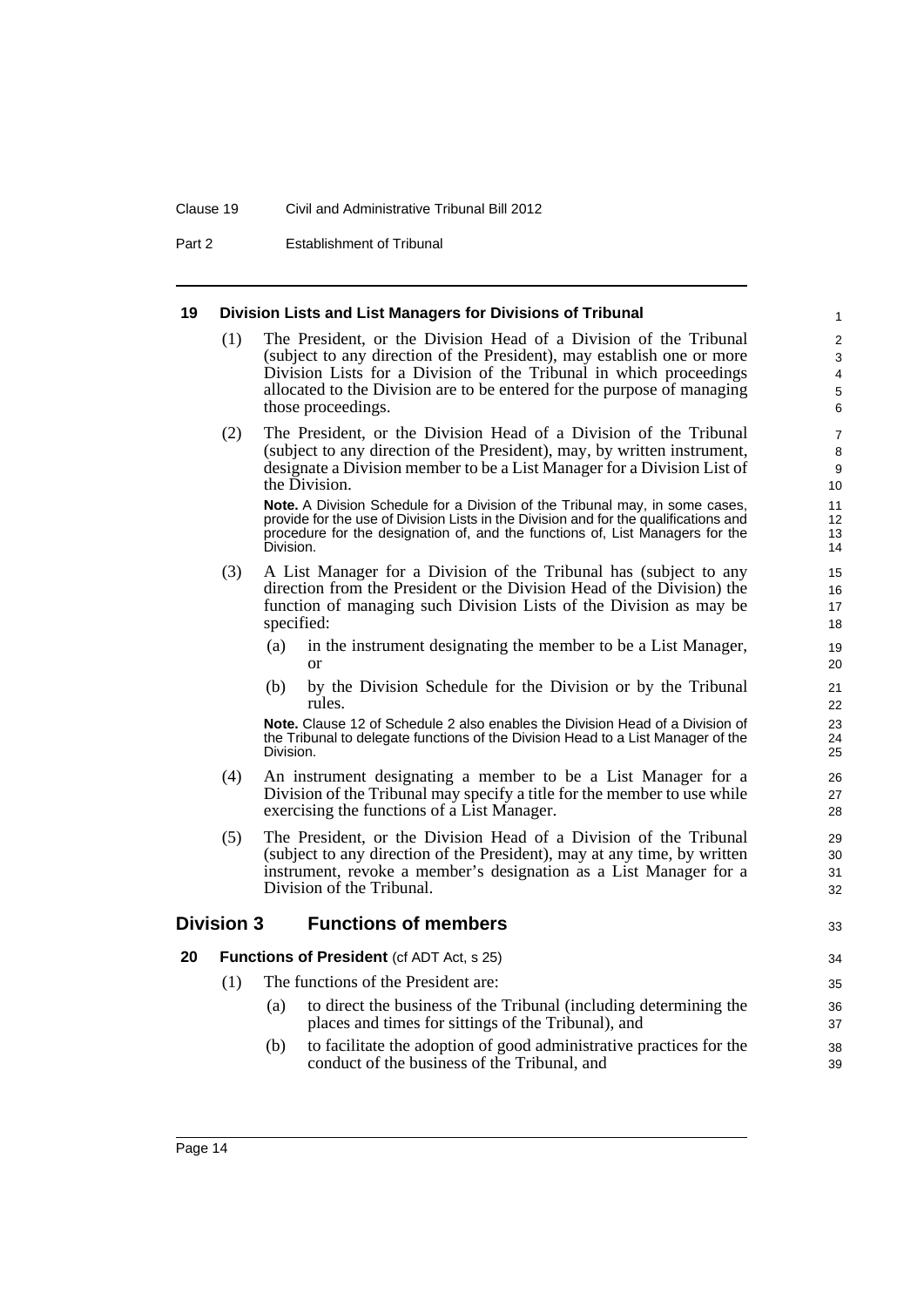#### Clause 19 Civil and Administrative Tribunal Bill 2012

Part 2 Establishment of Tribunal

#### <span id="page-23-0"></span>**19 Division Lists and List Managers for Divisions of Tribunal**

- (1) The President, or the Division Head of a Division of the Tribunal (subject to any direction of the President), may establish one or more Division Lists for a Division of the Tribunal in which proceedings allocated to the Division are to be entered for the purpose of managing those proceedings.
- (2) The President, or the Division Head of a Division of the Tribunal (subject to any direction of the President), may, by written instrument, designate a Division member to be a List Manager for a Division List of the Division.

**Note.** A Division Schedule for a Division of the Tribunal may, in some cases, provide for the use of Division Lists in the Division and for the qualifications and procedure for the designation of, and the functions of, List Managers for the Division.

- (3) A List Manager for a Division of the Tribunal has (subject to any direction from the President or the Division Head of the Division) the function of managing such Division Lists of the Division as may be specified:
	- (a) in the instrument designating the member to be a List Manager, or
	- (b) by the Division Schedule for the Division or by the Tribunal rules.

**Note.** Clause 12 of Schedule 2 also enables the Division Head of a Division of the Tribunal to delegate functions of the Division Head to a List Manager of the Division.

- (4) An instrument designating a member to be a List Manager for a Division of the Tribunal may specify a title for the member to use while exercising the functions of a List Manager.
- (5) The President, or the Division Head of a Division of the Tribunal (subject to any direction of the President), may at any time, by written instrument, revoke a member's designation as a List Manager for a Division of the Tribunal.

#### <span id="page-23-1"></span>**Division 3 Functions of members**

33

- <span id="page-23-2"></span>**20 Functions of President** (cf ADT Act, s 25)
	- (1) The functions of the President are:
		- (a) to direct the business of the Tribunal (including determining the places and times for sittings of the Tribunal), and
		- (b) to facilitate the adoption of good administrative practices for the conduct of the business of the Tribunal, and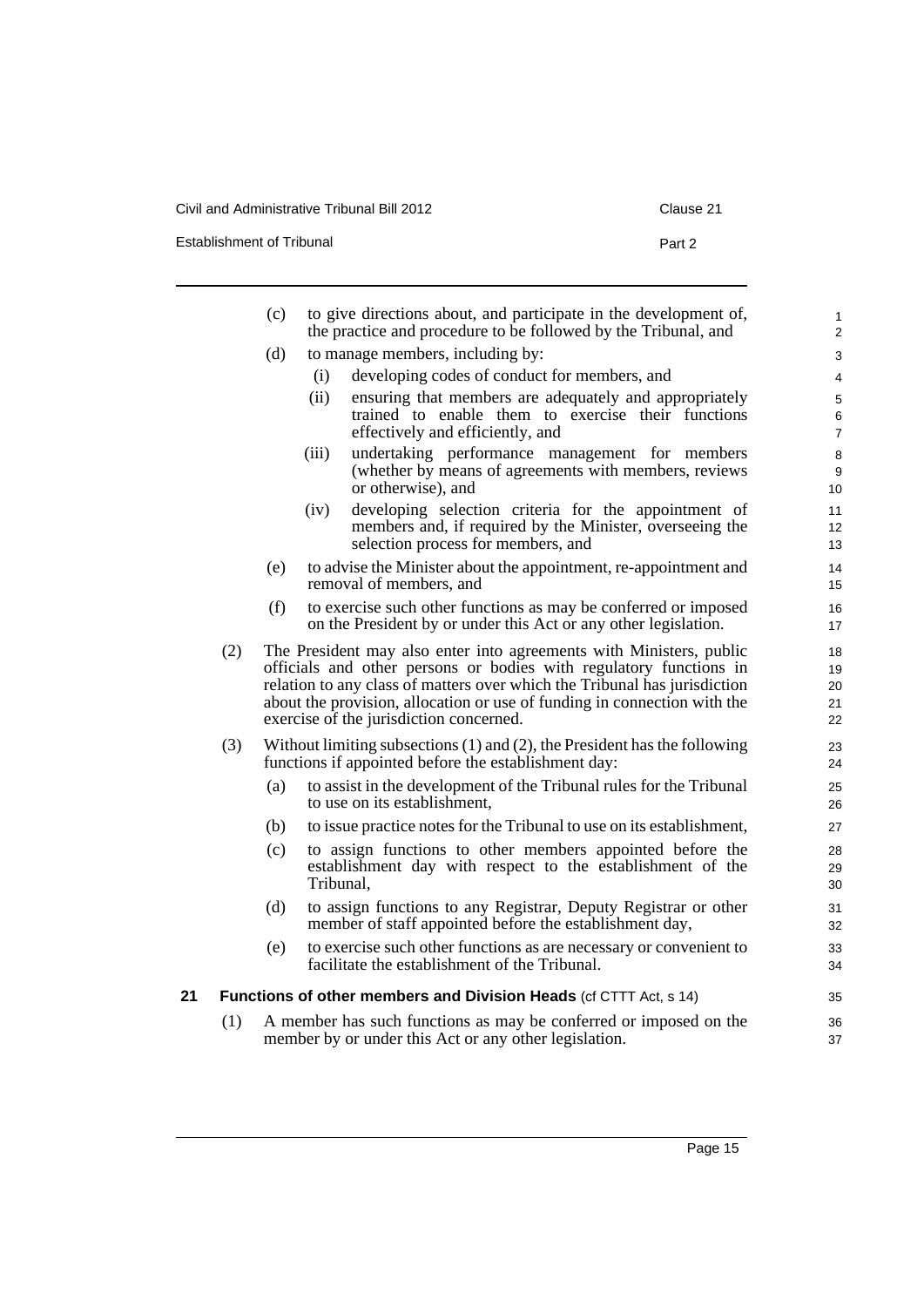Civil and Administrative Tribunal Bill 2012 Clause 21

Establishment of Tribunal **Part 2** Part 2

<span id="page-24-0"></span>

|    |     | (c) | to give directions about, and participate in the development of,<br>the practice and procedure to be followed by the Tribunal, and                                                                                                                                                                                                            | 1<br>$\overline{2}$        |
|----|-----|-----|-----------------------------------------------------------------------------------------------------------------------------------------------------------------------------------------------------------------------------------------------------------------------------------------------------------------------------------------------|----------------------------|
|    |     | (d) | to manage members, including by:                                                                                                                                                                                                                                                                                                              | 3                          |
|    |     |     | developing codes of conduct for members, and<br>(i)                                                                                                                                                                                                                                                                                           | 4                          |
|    |     |     | (ii)<br>ensuring that members are adequately and appropriately                                                                                                                                                                                                                                                                                | 5                          |
|    |     |     | trained to enable them to exercise their functions<br>effectively and efficiently, and                                                                                                                                                                                                                                                        | 6<br>$\overline{7}$        |
|    |     |     | undertaking performance management for members<br>(iii)<br>(whether by means of agreements with members, reviews<br>or otherwise), and                                                                                                                                                                                                        | 8<br>9<br>10               |
|    |     |     | developing selection criteria for the appointment of<br>(iv)<br>members and, if required by the Minister, overseeing the<br>selection process for members, and                                                                                                                                                                                | 11<br>12<br>13             |
|    |     | (e) | to advise the Minister about the appointment, re-appointment and<br>removal of members, and                                                                                                                                                                                                                                                   | 14<br>15                   |
|    |     | (f) | to exercise such other functions as may be conferred or imposed<br>on the President by or under this Act or any other legislation.                                                                                                                                                                                                            | 16<br>17                   |
|    | (2) |     | The President may also enter into agreements with Ministers, public<br>officials and other persons or bodies with regulatory functions in<br>relation to any class of matters over which the Tribunal has jurisdiction<br>about the provision, allocation or use of funding in connection with the<br>exercise of the jurisdiction concerned. | 18<br>19<br>20<br>21<br>22 |
|    | (3) |     | Without limiting subsections $(1)$ and $(2)$ , the President has the following<br>functions if appointed before the establishment day:                                                                                                                                                                                                        | 23<br>24                   |
|    |     | (a) | to assist in the development of the Tribunal rules for the Tribunal<br>to use on its establishment,                                                                                                                                                                                                                                           | 25<br>26                   |
|    |     | (b) | to issue practice notes for the Tribunal to use on its establishment,                                                                                                                                                                                                                                                                         | 27                         |
|    |     | (c) | to assign functions to other members appointed before the<br>establishment day with respect to the establishment of the<br>Tribunal,                                                                                                                                                                                                          | 28<br>29<br>30             |
|    |     | (d) | to assign functions to any Registrar, Deputy Registrar or other<br>member of staff appointed before the establishment day,                                                                                                                                                                                                                    | 31<br>32                   |
|    |     | (e) | to exercise such other functions as are necessary or convenient to<br>facilitate the establishment of the Tribunal.                                                                                                                                                                                                                           | 33<br>34                   |
| 21 |     |     | <b>Functions of other members and Division Heads (cf CTTT Act, s 14)</b>                                                                                                                                                                                                                                                                      | 35                         |
|    | (1) |     | A member has such functions as may be conferred or imposed on the<br>member by or under this Act or any other legislation.                                                                                                                                                                                                                    | 36<br>37                   |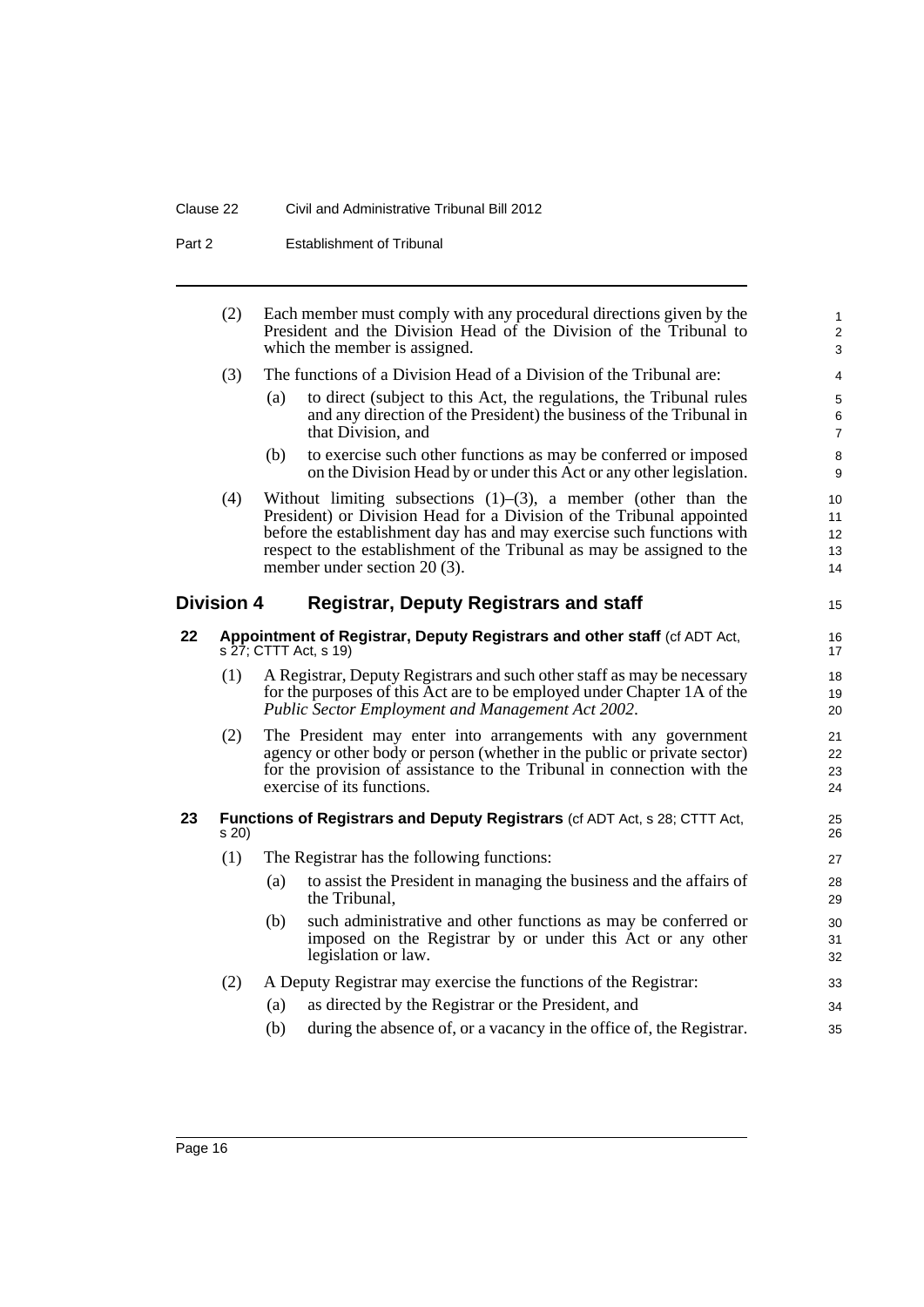#### Clause 22 Civil and Administrative Tribunal Bill 2012

Part 2 **Establishment of Tribunal** 

<span id="page-25-2"></span><span id="page-25-1"></span><span id="page-25-0"></span>

|    | (2)               |     | Each member must comply with any procedural directions given by the<br>President and the Division Head of the Division of the Tribunal to<br>which the member is assigned.                                                                                                                                                       | $\mathbf{1}$<br>2<br>3             |
|----|-------------------|-----|----------------------------------------------------------------------------------------------------------------------------------------------------------------------------------------------------------------------------------------------------------------------------------------------------------------------------------|------------------------------------|
|    | (3)               |     | The functions of a Division Head of a Division of the Tribunal are:                                                                                                                                                                                                                                                              | $\overline{4}$                     |
|    |                   | (a) | to direct (subject to this Act, the regulations, the Tribunal rules<br>and any direction of the President) the business of the Tribunal in<br>that Division, and                                                                                                                                                                 | $\,$ 5 $\,$<br>6<br>$\overline{7}$ |
|    |                   | (b) | to exercise such other functions as may be conferred or imposed<br>on the Division Head by or under this Act or any other legislation.                                                                                                                                                                                           | 8<br>$\boldsymbol{9}$              |
|    | (4)               |     | Without limiting subsections $(1)$ – $(3)$ , a member (other than the<br>President) or Division Head for a Division of the Tribunal appointed<br>before the establishment day has and may exercise such functions with<br>respect to the establishment of the Tribunal as may be assigned to the<br>member under section 20 (3). | 10<br>11<br>12<br>13<br>14         |
|    | <b>Division 4</b> |     | <b>Registrar, Deputy Registrars and staff</b>                                                                                                                                                                                                                                                                                    | 15                                 |
| 22 |                   |     | Appointment of Registrar, Deputy Registrars and other staff (cf ADT Act,<br>$s$ 27; CTTT Act, $s$ 19)                                                                                                                                                                                                                            | 16<br>17                           |
|    | (1)               |     | A Registrar, Deputy Registrars and such other staff as may be necessary<br>for the purposes of this Act are to be employed under Chapter 1A of the<br>Public Sector Employment and Management Act 2002.                                                                                                                          | 18<br>19<br>20                     |
|    | (2)               |     | The President may enter into arrangements with any government<br>agency or other body or person (whether in the public or private sector)<br>for the provision of assistance to the Tribunal in connection with the<br>exercise of its functions.                                                                                | 21<br>22<br>23<br>24               |
| 23 | s 20)             |     | <b>Functions of Registrars and Deputy Registrars (cf ADT Act, s 28; CTTT Act,</b>                                                                                                                                                                                                                                                | 25<br>26                           |
|    | (1)               |     | The Registrar has the following functions:                                                                                                                                                                                                                                                                                       | 27                                 |
|    |                   | (a) | to assist the President in managing the business and the affairs of<br>the Tribunal,                                                                                                                                                                                                                                             | 28<br>29                           |
|    |                   | (b) | such administrative and other functions as may be conferred or<br>imposed on the Registrar by or under this Act or any other<br>legislation or law.                                                                                                                                                                              | 30<br>31<br>32                     |
|    | (2)               |     | A Deputy Registrar may exercise the functions of the Registrar:                                                                                                                                                                                                                                                                  | 33                                 |
|    |                   | (a) | as directed by the Registrar or the President, and                                                                                                                                                                                                                                                                               | 34                                 |
|    |                   | (b) | during the absence of, or a vacancy in the office of, the Registrar.                                                                                                                                                                                                                                                             | 35                                 |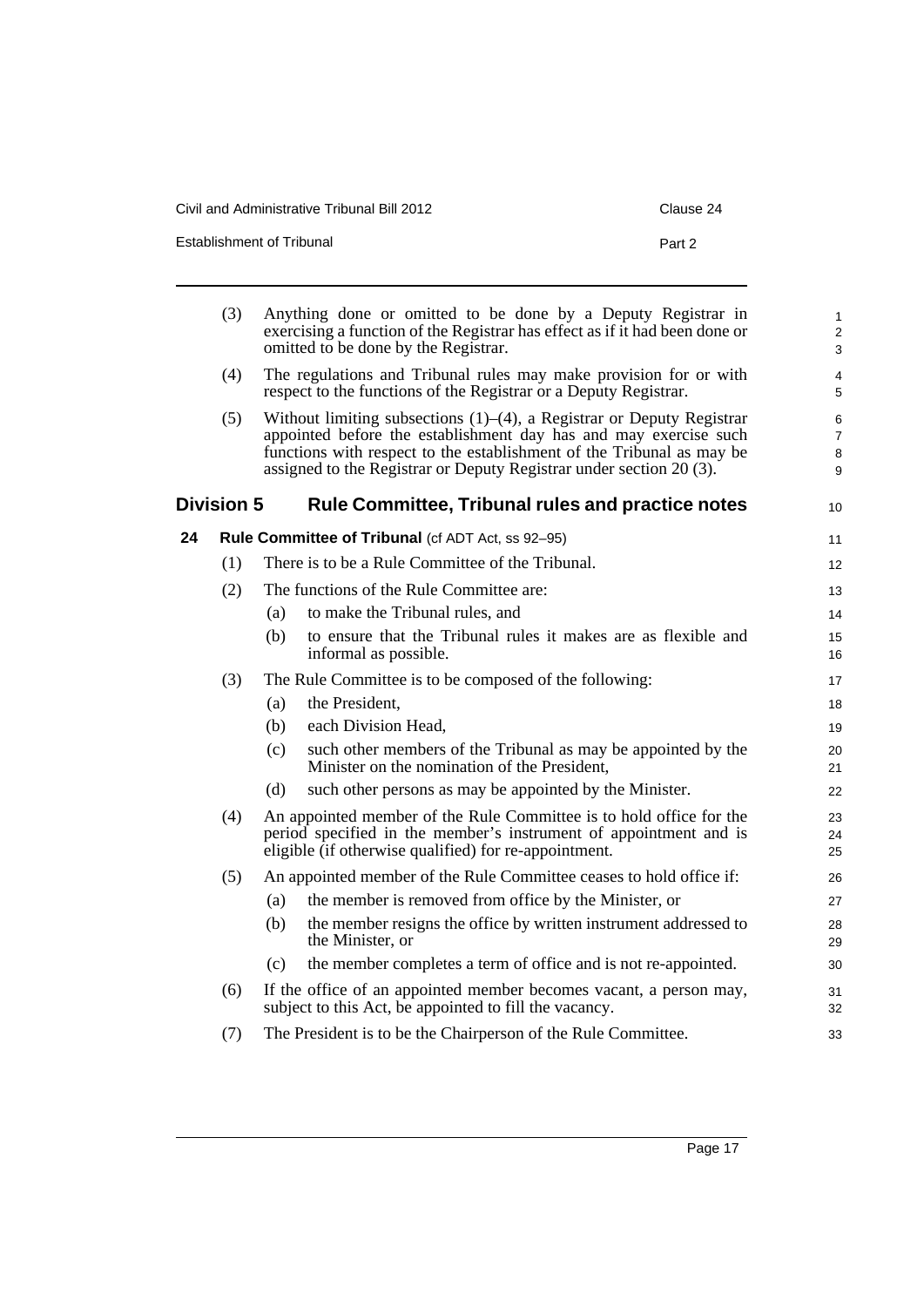| Civil and Administrative Tribunal Bill 2012 | Clause 24 |
|---------------------------------------------|-----------|
| Establishment of Tribunal                   | Part 2    |

<span id="page-26-1"></span><span id="page-26-0"></span>

|    | (3)               |     | Anything done or omitted to be done by a Deputy Registrar in<br>exercising a function of the Registrar has effect as if it had been done or<br>omitted to be done by the Registrar.                                                                                                              | 1<br>$\overline{c}$<br>3      |
|----|-------------------|-----|--------------------------------------------------------------------------------------------------------------------------------------------------------------------------------------------------------------------------------------------------------------------------------------------------|-------------------------------|
|    | (4)               |     | The regulations and Tribunal rules may make provision for or with<br>respect to the functions of the Registrar or a Deputy Registrar.                                                                                                                                                            | 4<br>5                        |
|    | (5)               |     | Without limiting subsections $(1)$ – $(4)$ , a Registrar or Deputy Registrar<br>appointed before the establishment day has and may exercise such<br>functions with respect to the establishment of the Tribunal as may be<br>assigned to the Registrar or Deputy Registrar under section 20 (3). | 6<br>$\overline{7}$<br>8<br>9 |
|    | <b>Division 5</b> |     | <b>Rule Committee, Tribunal rules and practice notes</b>                                                                                                                                                                                                                                         | 10                            |
| 24 |                   |     | Rule Committee of Tribunal (cf ADT Act, ss 92-95)                                                                                                                                                                                                                                                | 11                            |
|    | (1)               |     | There is to be a Rule Committee of the Tribunal.                                                                                                                                                                                                                                                 | 12                            |
|    | (2)               |     | The functions of the Rule Committee are:                                                                                                                                                                                                                                                         | 13                            |
|    |                   | (a) | to make the Tribunal rules, and                                                                                                                                                                                                                                                                  | 14                            |
|    |                   | (b) | to ensure that the Tribunal rules it makes are as flexible and<br>informal as possible.                                                                                                                                                                                                          | 15<br>16                      |
|    | (3)               |     | The Rule Committee is to be composed of the following:                                                                                                                                                                                                                                           | 17                            |
|    |                   | (a) | the President,                                                                                                                                                                                                                                                                                   | 18                            |
|    |                   | (b) | each Division Head,                                                                                                                                                                                                                                                                              | 19                            |
|    |                   | (c) | such other members of the Tribunal as may be appointed by the<br>Minister on the nomination of the President,                                                                                                                                                                                    | 20<br>21                      |
|    |                   | (d) | such other persons as may be appointed by the Minister.                                                                                                                                                                                                                                          | 22                            |
|    | (4)               |     | An appointed member of the Rule Committee is to hold office for the<br>period specified in the member's instrument of appointment and is<br>eligible (if otherwise qualified) for re-appointment.                                                                                                | 23<br>24<br>25                |
|    | (5)               |     | An appointed member of the Rule Committee ceases to hold office if:                                                                                                                                                                                                                              | 26                            |
|    |                   | (a) | the member is removed from office by the Minister, or                                                                                                                                                                                                                                            | 27                            |
|    |                   | (b) | the member resigns the office by written instrument addressed to<br>the Minister, or                                                                                                                                                                                                             | 28<br>29                      |
|    |                   | (c) | the member completes a term of office and is not re-appointed.                                                                                                                                                                                                                                   | 30                            |
|    | (6)               |     | If the office of an appointed member becomes vacant, a person may,<br>subject to this Act, be appointed to fill the vacancy.                                                                                                                                                                     | 31<br>32                      |
|    | (7)               |     | The President is to be the Chairperson of the Rule Committee.                                                                                                                                                                                                                                    | 33                            |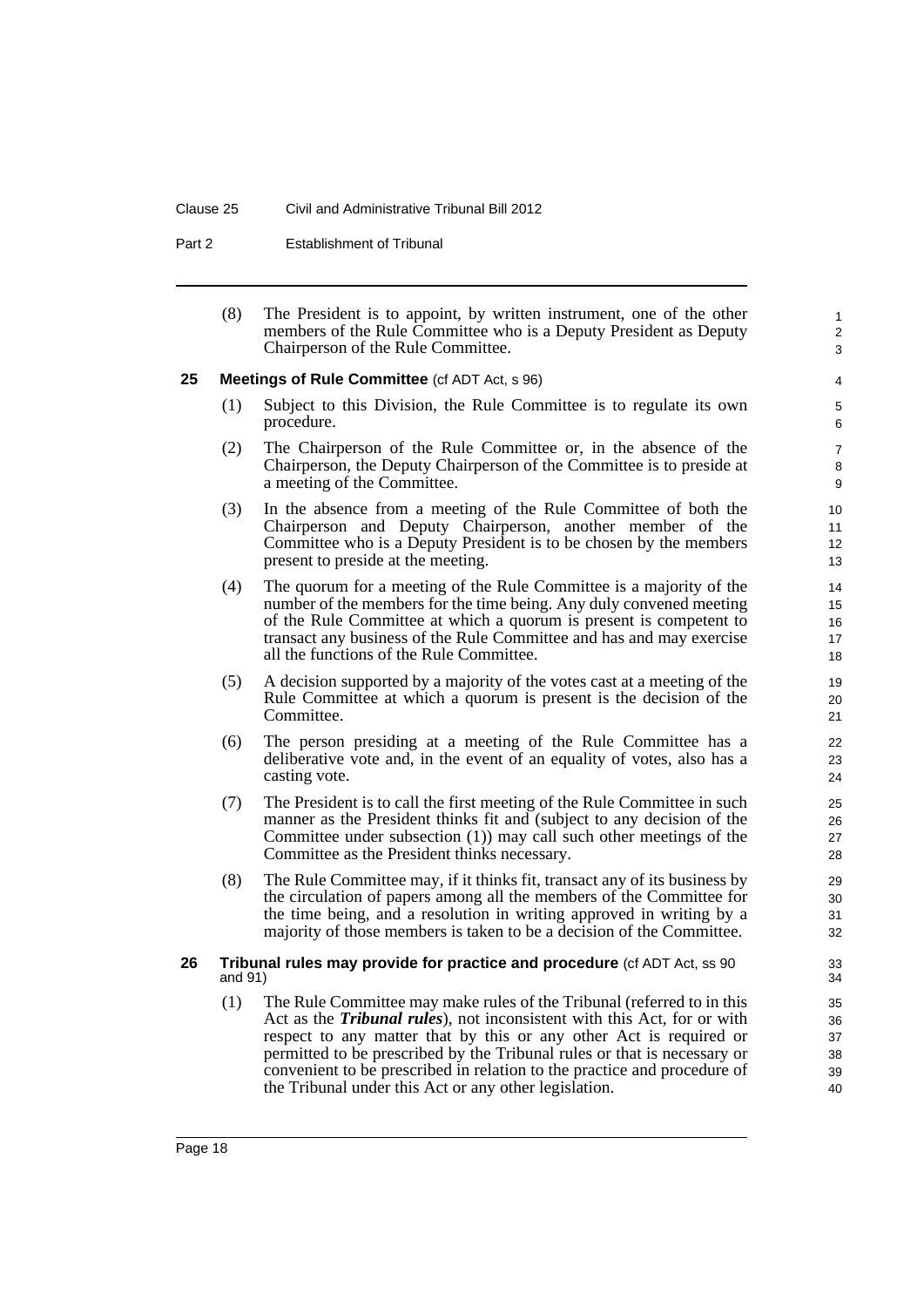#### Clause 25 Civil and Administrative Tribunal Bill 2012

Part 2 Establishment of Tribunal

(8) The President is to appoint, by written instrument, one of the other members of the Rule Committee who is a Deputy President as Deputy Chairperson of the Rule Committee.

1 2 3

#### <span id="page-27-0"></span>**25 Meetings of Rule Committee** (cf ADT Act, s 96)

- (1) Subject to this Division, the Rule Committee is to regulate its own procedure.
- (2) The Chairperson of the Rule Committee or, in the absence of the Chairperson, the Deputy Chairperson of the Committee is to preside at a meeting of the Committee.
- (3) In the absence from a meeting of the Rule Committee of both the Chairperson and Deputy Chairperson, another member of the Committee who is a Deputy President is to be chosen by the members present to preside at the meeting.
- (4) The quorum for a meeting of the Rule Committee is a majority of the number of the members for the time being. Any duly convened meeting of the Rule Committee at which a quorum is present is competent to transact any business of the Rule Committee and has and may exercise all the functions of the Rule Committee.
- (5) A decision supported by a majority of the votes cast at a meeting of the Rule Committee at which a quorum is present is the decision of the Committee.
- (6) The person presiding at a meeting of the Rule Committee has a deliberative vote and, in the event of an equality of votes, also has a casting vote.
- (7) The President is to call the first meeting of the Rule Committee in such manner as the President thinks fit and (subject to any decision of the Committee under subsection (1)) may call such other meetings of the Committee as the President thinks necessary.
- (8) The Rule Committee may, if it thinks fit, transact any of its business by the circulation of papers among all the members of the Committee for the time being, and a resolution in writing approved in writing by a majority of those members is taken to be a decision of the Committee.

#### <span id="page-27-1"></span>**26 Tribunal rules may provide for practice and procedure** (cf ADT Act, ss 90 and 91)

(1) The Rule Committee may make rules of the Tribunal (referred to in this Act as the *Tribunal rules*), not inconsistent with this Act, for or with respect to any matter that by this or any other Act is required or permitted to be prescribed by the Tribunal rules or that is necessary or convenient to be prescribed in relation to the practice and procedure of the Tribunal under this Act or any other legislation.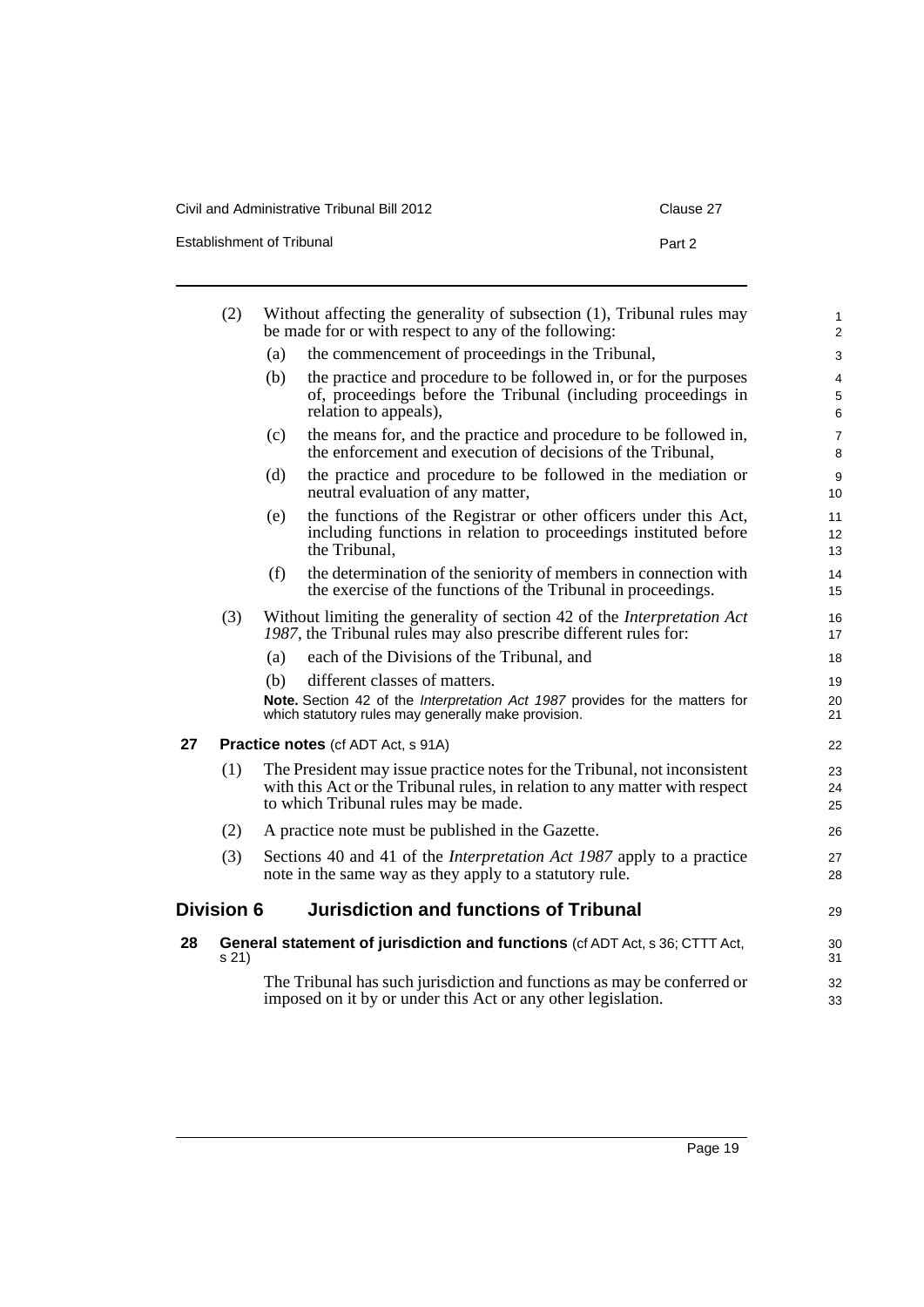| Establishment of Tribunal | Part 2 |
|---------------------------|--------|
|                           |        |

<span id="page-28-2"></span><span id="page-28-1"></span><span id="page-28-0"></span>

|    | (2)               |     | Without affecting the generality of subsection (1), Tribunal rules may<br>be made for or with respect to any of the following:                                                                   | 1<br>$\overline{c}$ |
|----|-------------------|-----|--------------------------------------------------------------------------------------------------------------------------------------------------------------------------------------------------|---------------------|
|    |                   | (a) | the commencement of proceedings in the Tribunal,                                                                                                                                                 | 3                   |
|    |                   | (b) | the practice and procedure to be followed in, or for the purposes<br>of, proceedings before the Tribunal (including proceedings in<br>relation to appeals),                                      | 4<br>5<br>6         |
|    |                   | (c) | the means for, and the practice and procedure to be followed in,<br>the enforcement and execution of decisions of the Tribunal,                                                                  | $\overline{7}$<br>8 |
|    |                   | (d) | the practice and procedure to be followed in the mediation or<br>neutral evaluation of any matter,                                                                                               | 9<br>10             |
|    |                   | (e) | the functions of the Registrar or other officers under this Act,<br>including functions in relation to proceedings instituted before<br>the Tribunal,                                            | 11<br>12<br>13      |
|    |                   | (f) | the determination of the seniority of members in connection with<br>the exercise of the functions of the Tribunal in proceedings.                                                                | 14<br>15            |
|    | (3)               |     | Without limiting the generality of section 42 of the <i>Interpretation Act</i><br>1987, the Tribunal rules may also prescribe different rules for:                                               | 16<br>17            |
|    |                   | (a) | each of the Divisions of the Tribunal, and                                                                                                                                                       | 18                  |
|    |                   | (b) | different classes of matters.                                                                                                                                                                    | 19                  |
|    |                   |     | Note. Section 42 of the Interpretation Act 1987 provides for the matters for<br>which statutory rules may generally make provision.                                                              | 20<br>21            |
| 27 |                   |     | Practice notes (cf ADT Act, s 91A)                                                                                                                                                               | 22                  |
|    | (1)               |     | The President may issue practice notes for the Tribunal, not inconsistent<br>with this Act or the Tribunal rules, in relation to any matter with respect<br>to which Tribunal rules may be made. | 23<br>24<br>25      |
|    | (2)               |     | A practice note must be published in the Gazette.                                                                                                                                                | 26                  |
|    | (3)               |     | Sections 40 and 41 of the <i>Interpretation Act 1987</i> apply to a practice<br>note in the same way as they apply to a statutory rule.                                                          | 27<br>28            |
|    | <b>Division 6</b> |     | <b>Jurisdiction and functions of Tribunal</b>                                                                                                                                                    | 29                  |
| 28 | s 21)             |     | General statement of jurisdiction and functions (cf ADT Act, s 36; CTTT Act,                                                                                                                     | 30<br>31            |
|    |                   |     | The Tribunal has such jurisdiction and functions as may be conferred or<br>imposed on it by or under this Act or any other legislation.                                                          | 32<br>33            |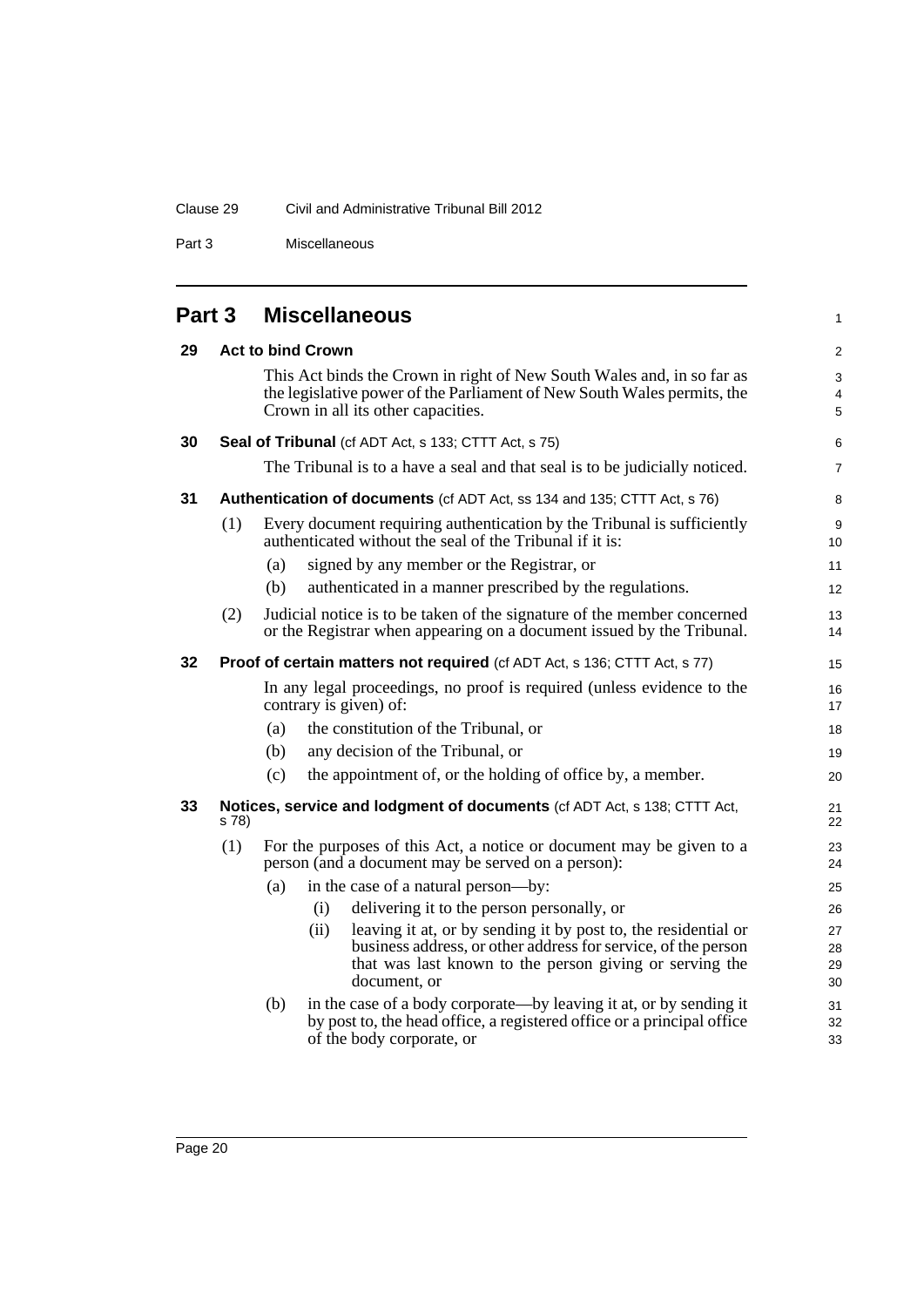### Clause 29 Civil and Administrative Tribunal Bill 2012

Part 3 Miscellaneous

<span id="page-29-0"></span>

| Miscellaneous<br>Part 3 |
|-------------------------|
|-------------------------|

<span id="page-29-5"></span><span id="page-29-4"></span><span id="page-29-3"></span><span id="page-29-2"></span><span id="page-29-1"></span>

| 29 |       |     | <b>Act to bind Crown</b>                                                                                                                                                                                           | $\boldsymbol{2}$     |
|----|-------|-----|--------------------------------------------------------------------------------------------------------------------------------------------------------------------------------------------------------------------|----------------------|
|    |       |     | This Act binds the Crown in right of New South Wales and, in so far as<br>the legislative power of the Parliament of New South Wales permits, the<br>Crown in all its other capacities.                            | 3<br>4<br>5          |
| 30 |       |     | <b>Seal of Tribunal</b> (cf ADT Act, s 133; CTTT Act, s 75)                                                                                                                                                        | 6                    |
|    |       |     | The Tribunal is to a have a seal and that seal is to be judicially noticed.                                                                                                                                        | 7                    |
| 31 |       |     | Authentication of documents (cf ADT Act, ss 134 and 135; CTTT Act, s 76)                                                                                                                                           | 8                    |
|    | (1)   |     | Every document requiring authentication by the Tribunal is sufficiently<br>authenticated without the seal of the Tribunal if it is:                                                                                | 9<br>10              |
|    |       | (a) | signed by any member or the Registrar, or                                                                                                                                                                          | 11                   |
|    |       | (b) | authenticated in a manner prescribed by the regulations.                                                                                                                                                           | 12                   |
|    | (2)   |     | Judicial notice is to be taken of the signature of the member concerned<br>or the Registrar when appearing on a document issued by the Tribunal.                                                                   | 13<br>14             |
| 32 |       |     | <b>Proof of certain matters not required</b> (cf ADT Act, s 136; CTTT Act, s 77)                                                                                                                                   | 15                   |
|    |       |     | In any legal proceedings, no proof is required (unless evidence to the<br>contrary is given) of:                                                                                                                   | 16<br>17             |
|    |       | (a) | the constitution of the Tribunal, or                                                                                                                                                                               | 18                   |
|    |       | (b) | any decision of the Tribunal, or                                                                                                                                                                                   | 19                   |
|    |       | (c) | the appointment of, or the holding of office by, a member.                                                                                                                                                         | 20                   |
| 33 | s 78) |     | Notices, service and lodgment of documents (cf ADT Act, s 138; CTTT Act,                                                                                                                                           | 21<br>22             |
|    | (1)   |     | For the purposes of this Act, a notice or document may be given to a<br>person (and a document may be served on a person):                                                                                         | 23<br>24             |
|    |       | (a) | in the case of a natural person—by:                                                                                                                                                                                | 25                   |
|    |       |     | delivering it to the person personally, or<br>(i)                                                                                                                                                                  | 26                   |
|    |       |     | leaving it at, or by sending it by post to, the residential or<br>(ii)<br>business address, or other address for service, of the person<br>that was last known to the person giving or serving the<br>document, or | 27<br>28<br>29<br>30 |
|    |       | (b) | in the case of a body corporate—by leaving it at, or by sending it<br>by post to, the head office, a registered office or a principal office<br>of the body corporate, or                                          | 31<br>32<br>33       |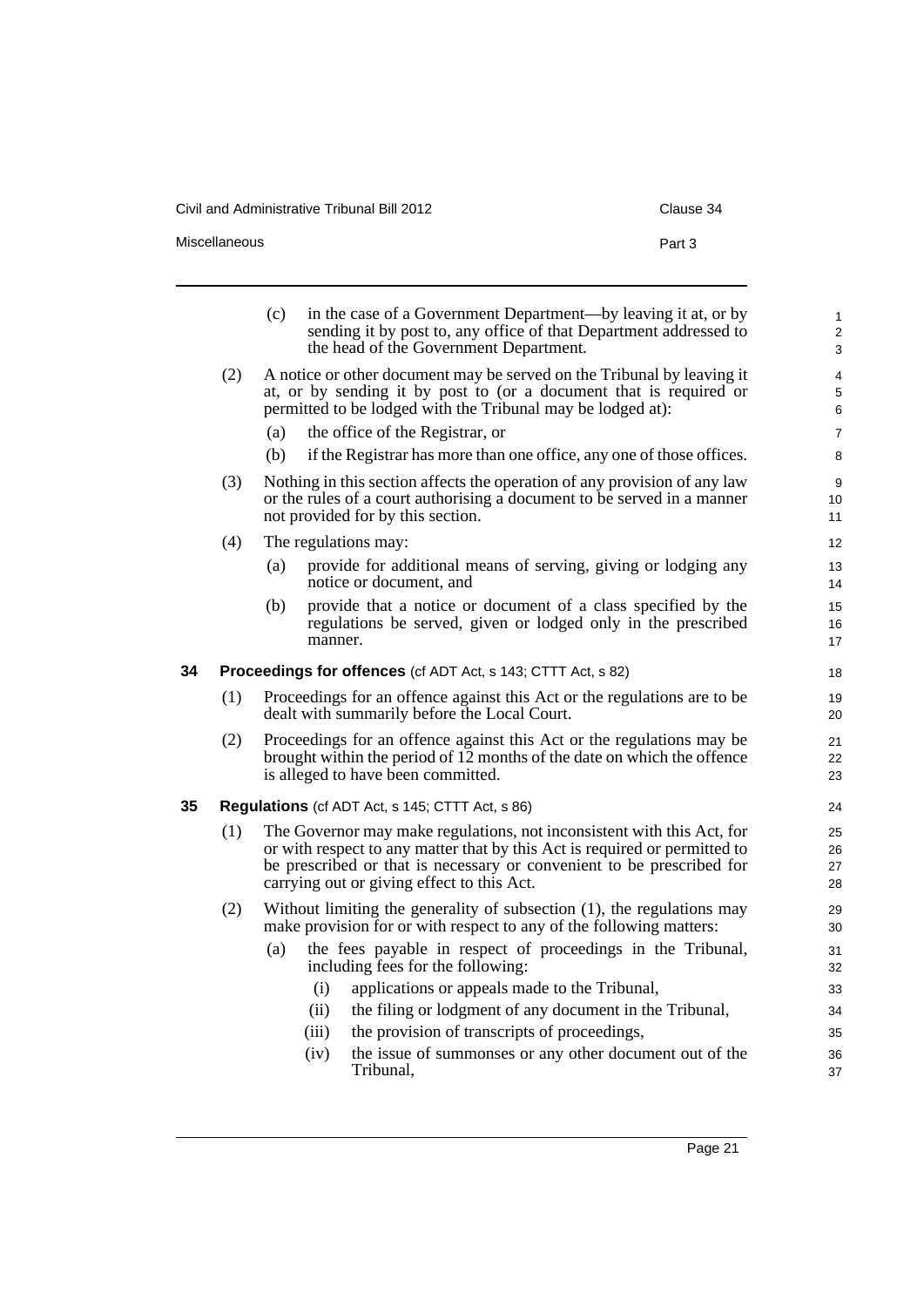Civil and Administrative Tribunal Bill 2012 Clause 344

<span id="page-30-1"></span><span id="page-30-0"></span>l.

Miscellaneous **Part 3** 

|  | Clause 34 |
|--|-----------|
|  |           |
|  |           |

|    |     | (c)<br>in the case of a Government Department—by leaving it at, or by<br>sending it by post to, any office of that Department addressed to<br>the head of the Government Department.                                                                                        | $\mathbf{1}$<br>$\overline{2}$<br>3 |
|----|-----|-----------------------------------------------------------------------------------------------------------------------------------------------------------------------------------------------------------------------------------------------------------------------------|-------------------------------------|
|    | (2) | A notice or other document may be served on the Tribunal by leaving it<br>at, or by sending it by post to (or a document that is required or<br>permitted to be lodged with the Tribunal may be lodged at):                                                                 | 4<br>$\sqrt{5}$<br>$\,6$            |
|    |     | the office of the Registrar, or<br>(a)                                                                                                                                                                                                                                      | $\overline{7}$                      |
|    |     | if the Registrar has more than one office, any one of those offices.<br>(b)                                                                                                                                                                                                 | 8                                   |
|    | (3) | Nothing in this section affects the operation of any provision of any law<br>or the rules of a court authorising a document to be served in a manner<br>not provided for by this section.                                                                                   | $\boldsymbol{9}$<br>10<br>11        |
|    | (4) | The regulations may:                                                                                                                                                                                                                                                        | 12                                  |
|    |     | provide for additional means of serving, giving or lodging any<br>(a)<br>notice or document, and                                                                                                                                                                            | 13<br>14                            |
|    |     | provide that a notice or document of a class specified by the<br>(b)<br>regulations be served, given or lodged only in the prescribed<br>manner.                                                                                                                            | 15<br>16<br>17                      |
| 34 |     | Proceedings for offences (cf ADT Act, s 143; CTTT Act, s 82)                                                                                                                                                                                                                | 18                                  |
|    | (1) | Proceedings for an offence against this Act or the regulations are to be<br>dealt with summarily before the Local Court.                                                                                                                                                    | 19<br>20                            |
|    | (2) | Proceedings for an offence against this Act or the regulations may be<br>brought within the period of 12 months of the date on which the offence<br>is alleged to have been committed.                                                                                      | 21<br>22<br>23                      |
| 35 |     | <b>Regulations</b> (cf ADT Act, s 145; CTTT Act, s 86)                                                                                                                                                                                                                      | 24                                  |
|    | (1) | The Governor may make regulations, not inconsistent with this Act, for<br>or with respect to any matter that by this Act is required or permitted to<br>be prescribed or that is necessary or convenient to be prescribed for<br>carrying out or giving effect to this Act. | 25<br>26<br>27<br>28                |
|    | (2) | Without limiting the generality of subsection $(1)$ , the regulations may<br>make provision for or with respect to any of the following matters:                                                                                                                            | 29<br>30                            |
|    |     | the fees payable in respect of proceedings in the Tribunal,<br>(a)<br>including fees for the following:                                                                                                                                                                     | 31<br>32                            |
|    |     | applications or appeals made to the Tribunal,<br>(i)                                                                                                                                                                                                                        | 33                                  |
|    |     | the filing or lodgment of any document in the Tribunal,<br>(ii)                                                                                                                                                                                                             | 34                                  |
|    |     | the provision of transcripts of proceedings,<br>(iii)                                                                                                                                                                                                                       | 35                                  |
|    |     | the issue of summonses or any other document out of the<br>(iv)<br>Tribunal,                                                                                                                                                                                                | 36<br>37                            |
|    |     |                                                                                                                                                                                                                                                                             |                                     |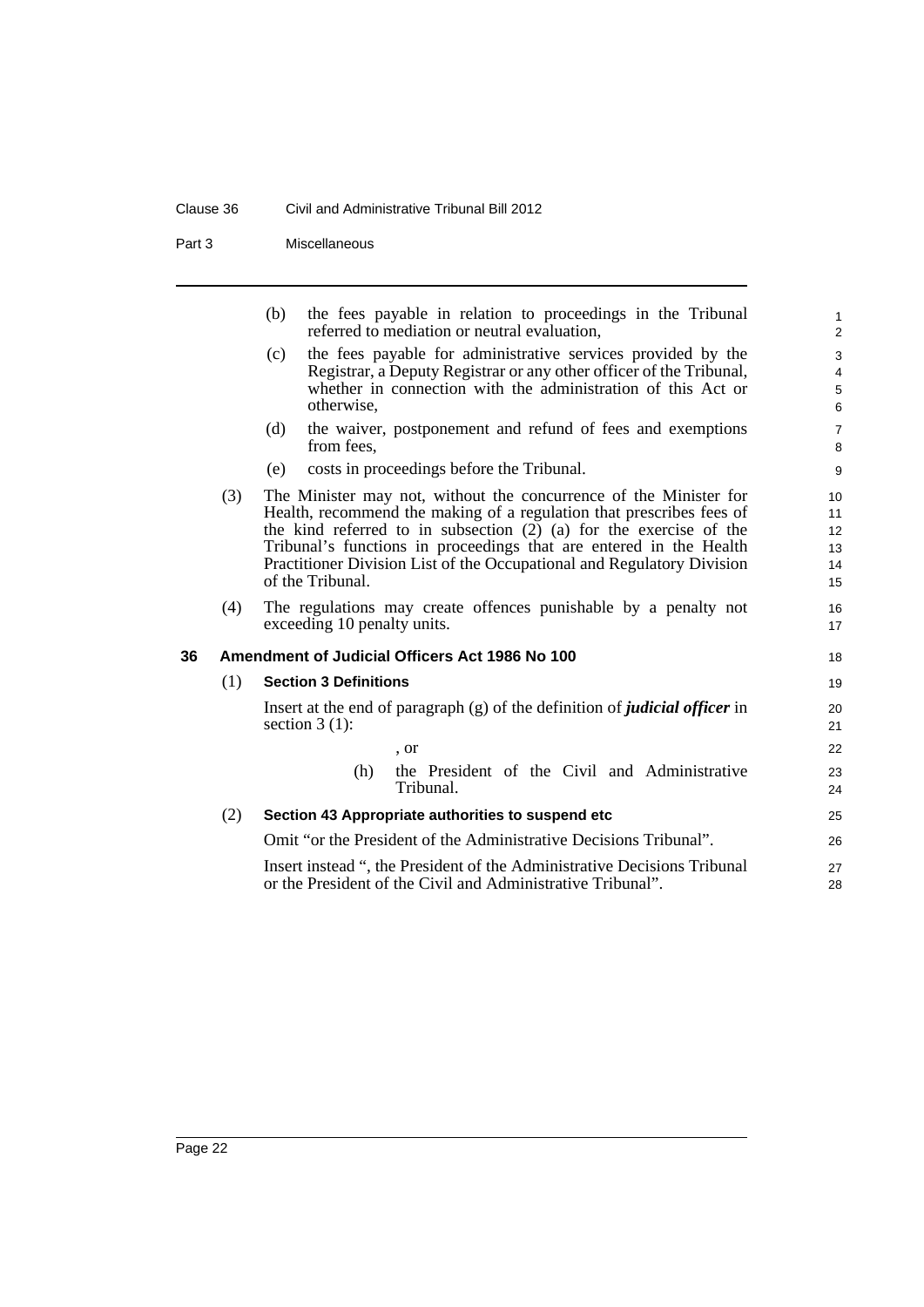#### Clause 36 Civil and Administrative Tribunal Bill 2012

Part 3 Miscellaneous

|    |     | the fees payable in relation to proceedings in the Tribunal<br>(b)<br>referred to mediation or neutral evaluation,                                                                                                                                                                                                                                                                      | $\mathbf{1}$<br>$\overline{2}$              |
|----|-----|-----------------------------------------------------------------------------------------------------------------------------------------------------------------------------------------------------------------------------------------------------------------------------------------------------------------------------------------------------------------------------------------|---------------------------------------------|
|    |     | the fees payable for administrative services provided by the<br>(c)<br>Registrar, a Deputy Registrar or any other officer of the Tribunal,<br>whether in connection with the administration of this Act or<br>otherwise,                                                                                                                                                                | 3<br>$\overline{4}$<br>$\mathbf 5$<br>$\,6$ |
|    |     | the waiver, postponement and refund of fees and exemptions<br>(d)<br>from fees.                                                                                                                                                                                                                                                                                                         | $\overline{7}$<br>8                         |
|    |     | costs in proceedings before the Tribunal.<br>(e)                                                                                                                                                                                                                                                                                                                                        | 9                                           |
|    | (3) | The Minister may not, without the concurrence of the Minister for<br>Health, recommend the making of a regulation that prescribes fees of<br>the kind referred to in subsection $(2)$ $(a)$ for the exercise of the<br>Tribunal's functions in proceedings that are entered in the Health<br>Practitioner Division List of the Occupational and Regulatory Division<br>of the Tribunal. | 10<br>11<br>12<br>13<br>14<br>15            |
|    | (4) | The regulations may create offences punishable by a penalty not<br>exceeding 10 penalty units.                                                                                                                                                                                                                                                                                          | 16<br>17                                    |
| 36 |     | Amendment of Judicial Officers Act 1986 No 100                                                                                                                                                                                                                                                                                                                                          | 18                                          |
|    | (1) | <b>Section 3 Definitions</b>                                                                                                                                                                                                                                                                                                                                                            | 19                                          |
|    |     | Insert at the end of paragraph $(g)$ of the definition of <i>judicial officer</i> in<br>section $3(1)$ :                                                                                                                                                                                                                                                                                | 20<br>21                                    |
|    |     | , or                                                                                                                                                                                                                                                                                                                                                                                    | 22                                          |
|    |     | the President of the Civil and Administrative<br>(h)<br>Tribunal.                                                                                                                                                                                                                                                                                                                       | 23<br>24                                    |
|    | (2) | Section 43 Appropriate authorities to suspend etc                                                                                                                                                                                                                                                                                                                                       | 25                                          |
|    |     | Omit "or the President of the Administrative Decisions Tribunal".                                                                                                                                                                                                                                                                                                                       | 26                                          |
|    |     | Insert instead ", the President of the Administrative Decisions Tribunal                                                                                                                                                                                                                                                                                                                | 27                                          |

<span id="page-31-0"></span>Insert instead ", the President of the Administrative Decisions Tribunal or the President of the Civil and Administrative Tribunal".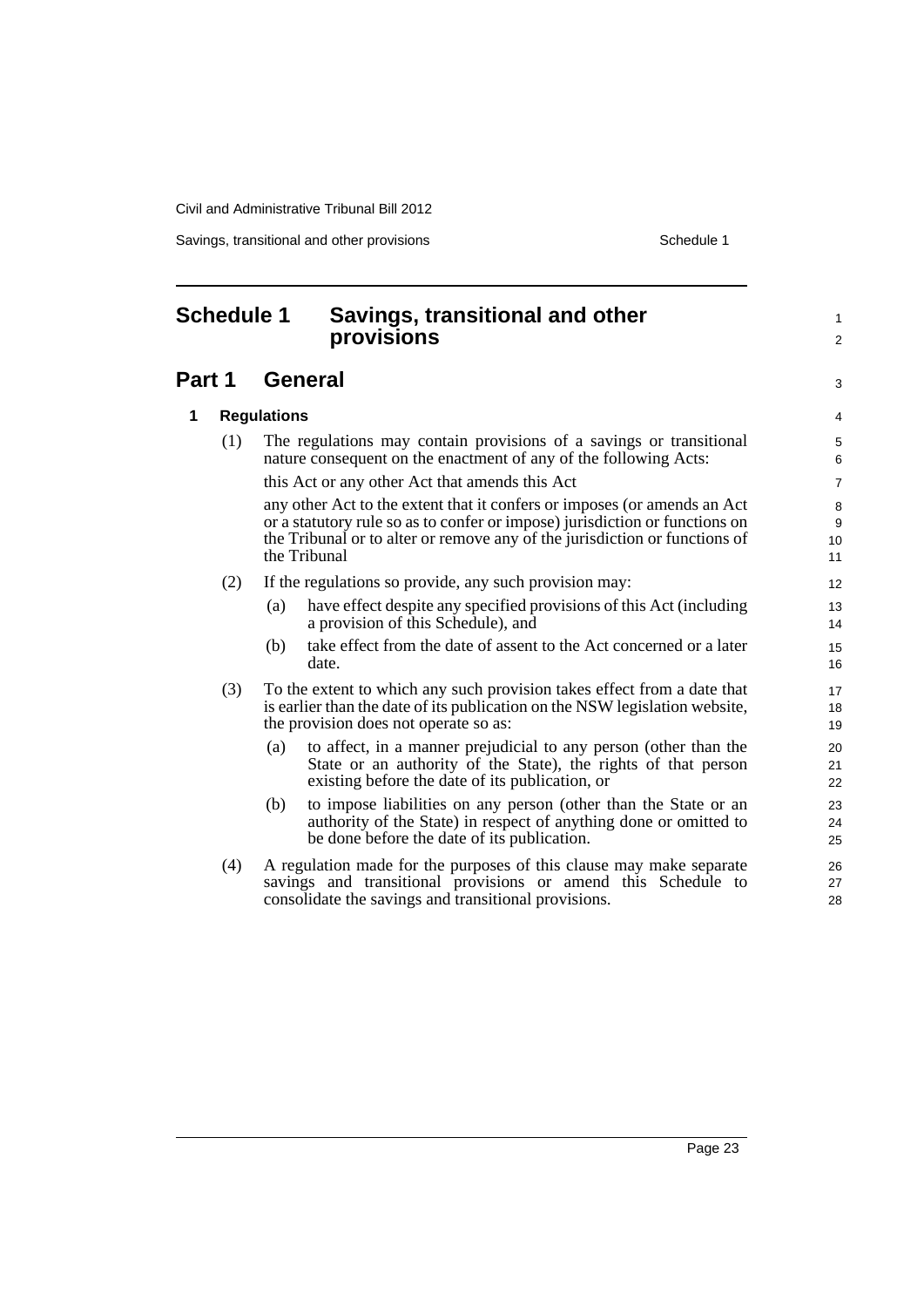Savings, transitional and other provisions Schedule 1 and the schedule 1

#### <span id="page-32-0"></span>**Schedule 1 Savings, transitional and other provisions Part 1 General 1 Regulations** (1) The regulations may contain provisions of a savings or transitional nature consequent on the enactment of any of the following Acts: this Act or any other Act that amends this Act any other Act to the extent that it confers or imposes (or amends an Act or a statutory rule so as to confer or impose) jurisdiction or functions on the Tribunal or to alter or remove any of the jurisdiction or functions of the Tribunal (2) If the regulations so provide, any such provision may: (a) have effect despite any specified provisions of this Act (including a provision of this Schedule), and (b) take effect from the date of assent to the Act concerned or a later date. (3) To the extent to which any such provision takes effect from a date that is earlier than the date of its publication on the NSW legislation website, the provision does not operate so as: (a) to affect, in a manner prejudicial to any person (other than the State or an authority of the State), the rights of that person existing before the date of its publication, or (b) to impose liabilities on any person (other than the State or an authority of the State) in respect of anything done or omitted to be done before the date of its publication. (4) A regulation made for the purposes of this clause may make separate savings and transitional provisions or amend this Schedule to consolidate the savings and transitional provisions. 1  $\overline{2}$ 3 4 5 6 7 8 **9** 10 11 12 13 14 15 16 17 18 19 20 21 22 23 24 25 26 27 28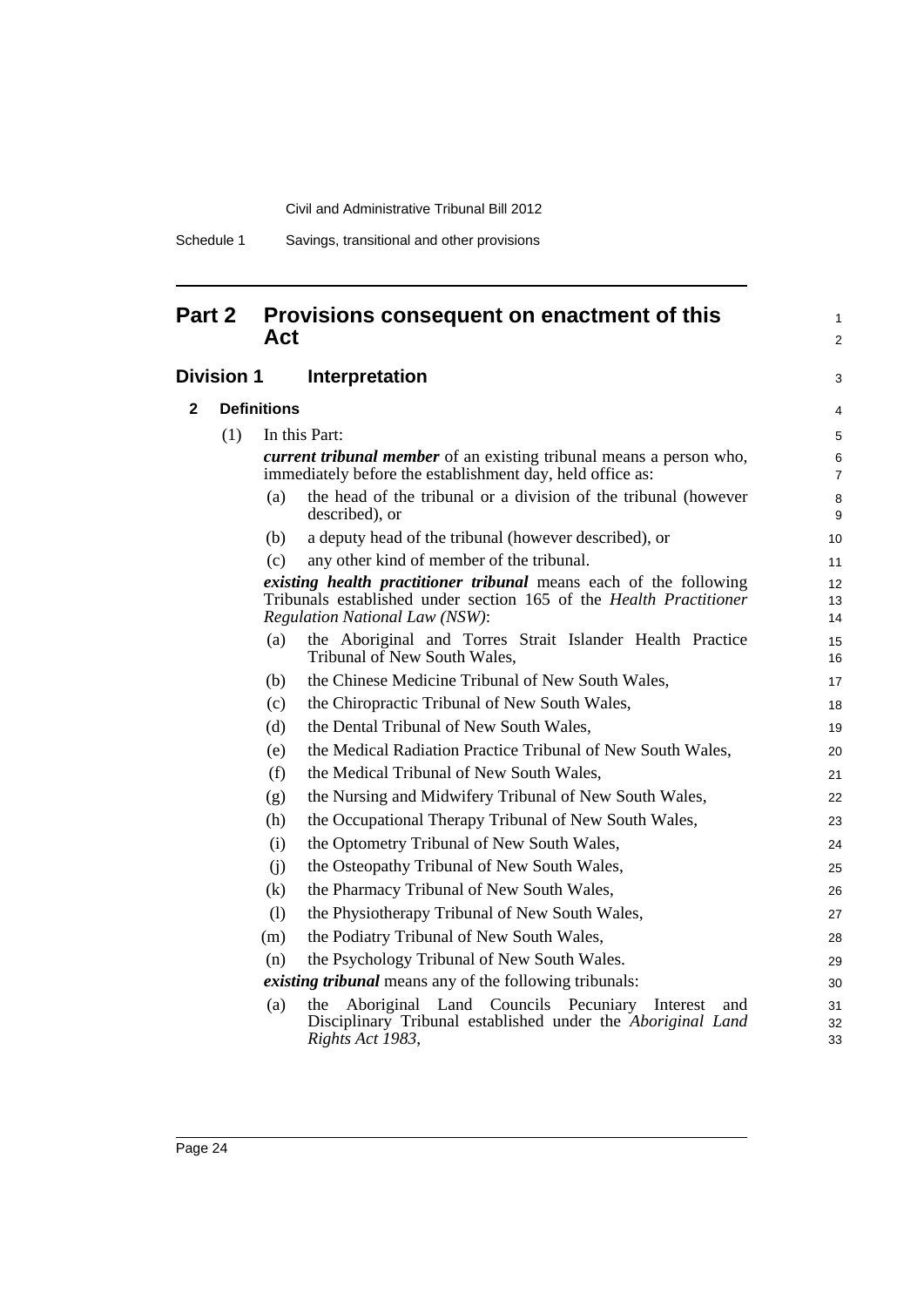# **Part 2 Provisions consequent on enactment of this Act**

# **Division 1 Interpretation**

| $\mathbf{2}$ | <b>Definitions</b> |     |                                                                                                                                                                                         |                     |
|--------------|--------------------|-----|-----------------------------------------------------------------------------------------------------------------------------------------------------------------------------------------|---------------------|
|              | (1)                |     | In this Part:                                                                                                                                                                           | 5                   |
|              |                    |     | <i>current tribunal member</i> of an existing tribunal means a person who,<br>immediately before the establishment day, held office as:                                                 | 6<br>$\overline{7}$ |
|              |                    | (a) | the head of the tribunal or a division of the tribunal (however<br>described), or                                                                                                       | 8<br>9              |
|              |                    | (b) | a deputy head of the tribunal (however described), or                                                                                                                                   | 10                  |
|              |                    | (c) | any other kind of member of the tribunal.                                                                                                                                               | 11                  |
|              |                    |     | <i>existing health practitioner tribunal</i> means each of the following<br>Tribunals established under section 165 of the Health Practitioner<br><b>Regulation National Law (NSW):</b> | 12<br>13<br>14      |
|              |                    | (a) | the Aboriginal and Torres Strait Islander Health Practice<br>Tribunal of New South Wales,                                                                                               | 15<br>16            |
|              |                    | (b) | the Chinese Medicine Tribunal of New South Wales,                                                                                                                                       | 17                  |
|              |                    | (c) | the Chiropractic Tribunal of New South Wales,                                                                                                                                           | 18                  |
|              |                    | (d) | the Dental Tribunal of New South Wales,                                                                                                                                                 | 19                  |
|              |                    | (e) | the Medical Radiation Practice Tribunal of New South Wales,                                                                                                                             | 20                  |
|              |                    | (f) | the Medical Tribunal of New South Wales,                                                                                                                                                | 21                  |
|              |                    | (g) | the Nursing and Midwifery Tribunal of New South Wales,                                                                                                                                  | 22                  |
|              |                    | (h) | the Occupational Therapy Tribunal of New South Wales,                                                                                                                                   | 23                  |
|              |                    | (i) | the Optometry Tribunal of New South Wales,                                                                                                                                              | 24                  |
|              |                    | (i) | the Osteopathy Tribunal of New South Wales,                                                                                                                                             | 25                  |
|              |                    | (k) | the Pharmacy Tribunal of New South Wales,                                                                                                                                               | 26                  |
|              |                    | (1) | the Physiotherapy Tribunal of New South Wales,                                                                                                                                          | 27                  |
|              |                    | (m) | the Podiatry Tribunal of New South Wales,                                                                                                                                               | 28                  |
|              |                    | (n) | the Psychology Tribunal of New South Wales.                                                                                                                                             | 29                  |
|              |                    |     | <i>existing tribunal</i> means any of the following tribunals:                                                                                                                          | 30                  |
|              |                    | (a) | the Aboriginal Land Councils Pecuniary Interest<br>and<br>Disciplinary Tribunal established under the Aboriginal Land<br>Rights Act 1983,                                               | 31<br>32<br>33      |

1 2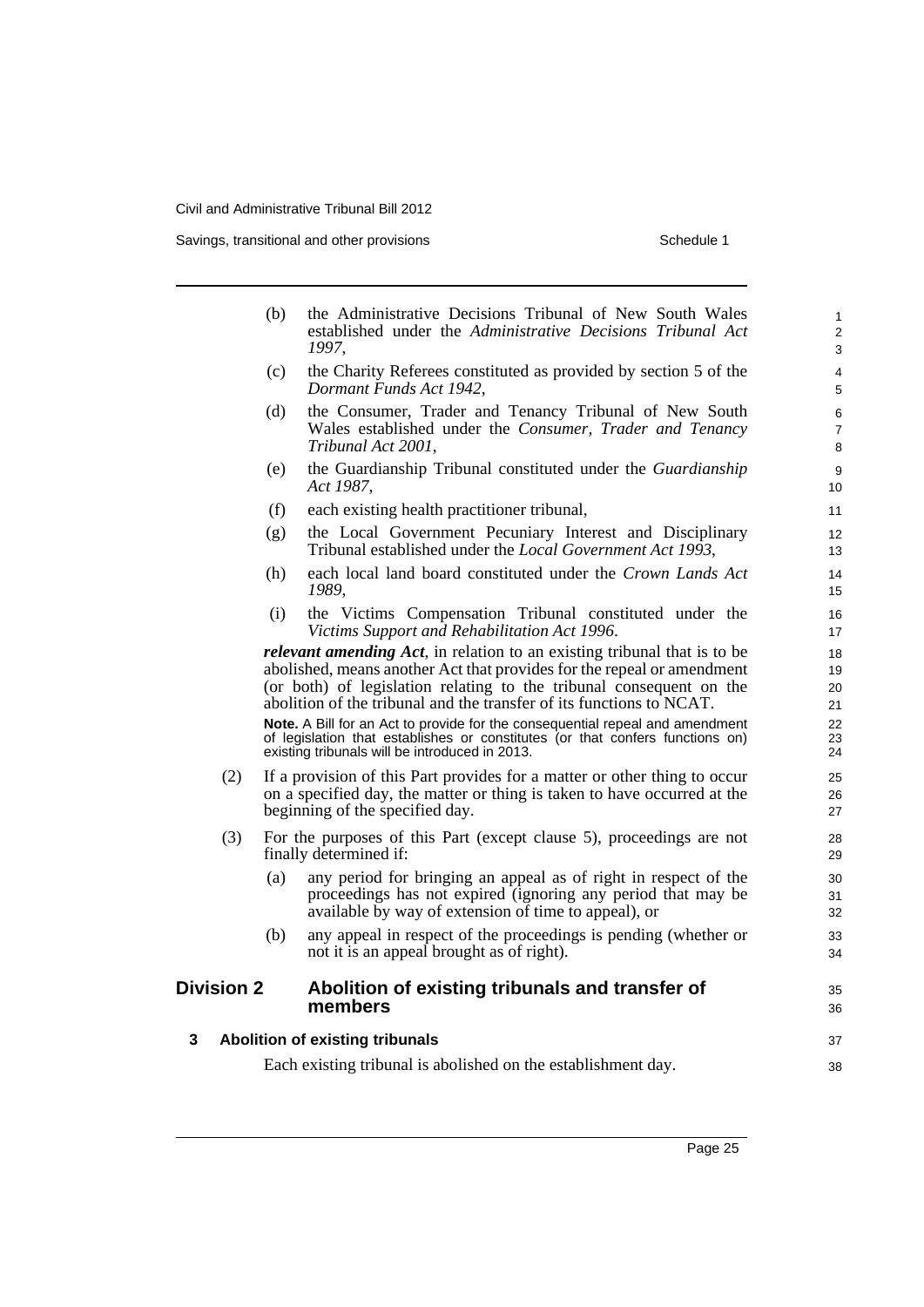Savings, transitional and other provisions Schedule 1

|   |                   | (b) | the Administrative Decisions Tribunal of New South Wales<br>established under the Administrative Decisions Tribunal Act<br>1997,                                                                                                                                                                          | $\mathbf{1}$<br>$\overline{2}$<br>3 |
|---|-------------------|-----|-----------------------------------------------------------------------------------------------------------------------------------------------------------------------------------------------------------------------------------------------------------------------------------------------------------|-------------------------------------|
|   |                   | (c) | the Charity Referees constituted as provided by section 5 of the<br>Dormant Funds Act 1942,                                                                                                                                                                                                               | 4<br>5                              |
|   |                   | (d) | the Consumer, Trader and Tenancy Tribunal of New South<br>Wales established under the Consumer, Trader and Tenancy<br>Tribunal Act 2001,                                                                                                                                                                  | 6<br>$\overline{7}$<br>8            |
|   |                   | (e) | the Guardianship Tribunal constituted under the Guardianship<br>Act 1987,                                                                                                                                                                                                                                 | 9<br>10                             |
|   |                   | (f) | each existing health practitioner tribunal,                                                                                                                                                                                                                                                               | 11                                  |
|   |                   | (g) | the Local Government Pecuniary Interest and Disciplinary<br>Tribunal established under the Local Government Act 1993,                                                                                                                                                                                     | 12<br>13                            |
|   |                   | (h) | each local land board constituted under the Crown Lands Act<br>1989,                                                                                                                                                                                                                                      | 14<br>15                            |
|   |                   | (i) | the Victims Compensation Tribunal constituted under the<br>Victims Support and Rehabilitation Act 1996.                                                                                                                                                                                                   | 16<br>17                            |
|   |                   |     | <i>relevant amending Act</i> , in relation to an existing tribunal that is to be<br>abolished, means another Act that provides for the repeal or amendment<br>(or both) of legislation relating to the tribunal consequent on the<br>abolition of the tribunal and the transfer of its functions to NCAT. | 18<br>19<br>20<br>21                |
|   |                   |     | Note. A Bill for an Act to provide for the consequential repeal and amendment<br>of legislation that establishes or constitutes (or that confers functions on)<br>existing tribunals will be introduced in 2013.                                                                                          | 22<br>23<br>24                      |
|   | (2)               |     | If a provision of this Part provides for a matter or other thing to occur<br>on a specified day, the matter or thing is taken to have occurred at the<br>beginning of the specified day.                                                                                                                  | 25<br>26<br>27                      |
|   | (3)               |     | For the purposes of this Part (except clause 5), proceedings are not<br>finally determined if:                                                                                                                                                                                                            | 28<br>29                            |
|   |                   | (a) | any period for bringing an appeal as of right in respect of the<br>proceedings has not expired (ignoring any period that may be<br>available by way of extension of time to appeal), or                                                                                                                   | 30<br>31<br>32                      |
|   |                   | (b) | any appeal in respect of the proceedings is pending (whether or<br>not it is an appeal brought as of right).                                                                                                                                                                                              | 33<br>34                            |
|   | <b>Division 2</b> |     | Abolition of existing tribunals and transfer of<br>members                                                                                                                                                                                                                                                | 35<br>36                            |
| 3 |                   |     | <b>Abolition of existing tribunals</b>                                                                                                                                                                                                                                                                    | 37                                  |
|   |                   |     | Each existing tribunal is abolished on the establishment day.                                                                                                                                                                                                                                             | 38                                  |
|   |                   |     |                                                                                                                                                                                                                                                                                                           |                                     |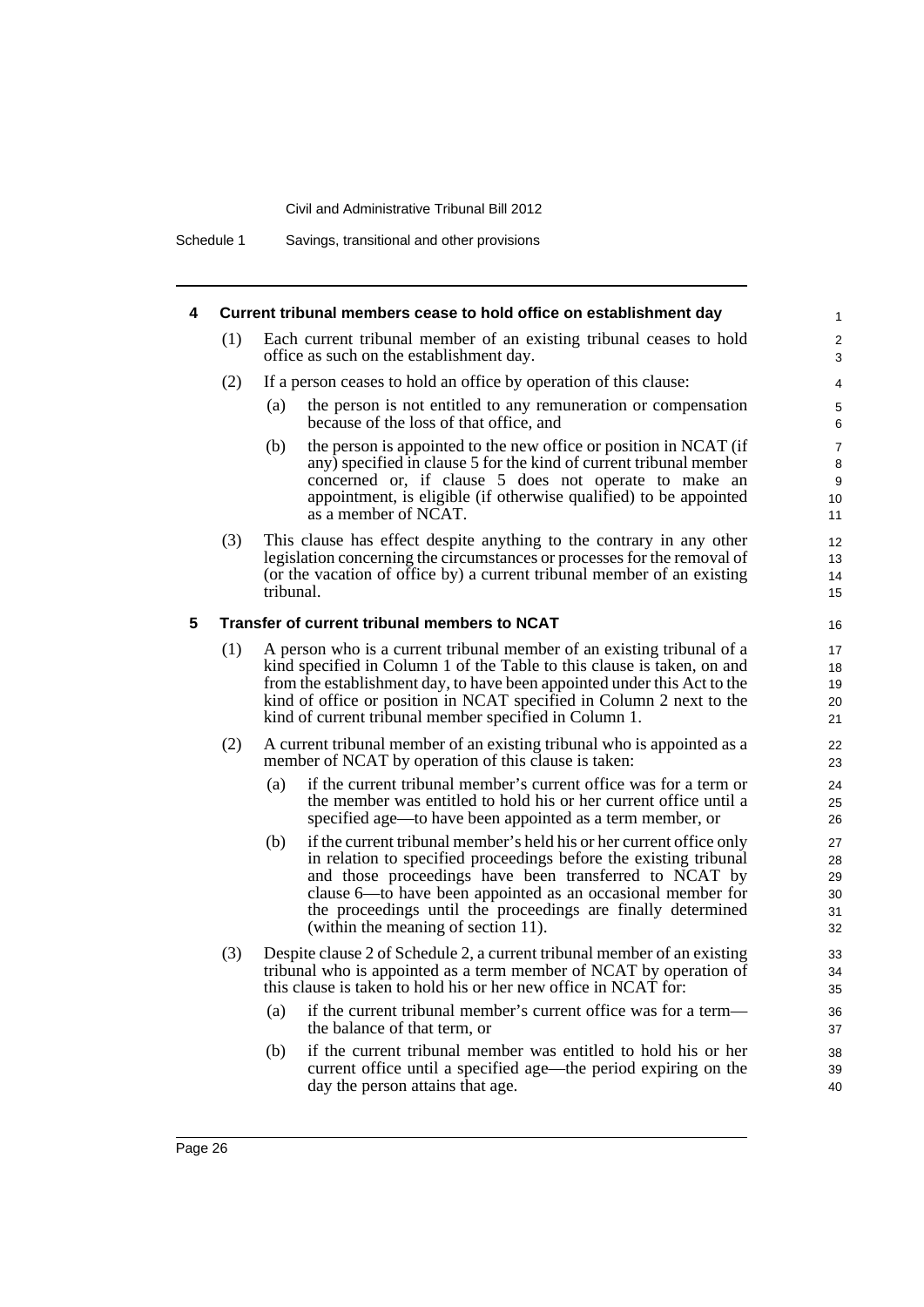Schedule 1 Savings, transitional and other provisions

| 4 |     | Current tribunal members cease to hold office on establishment day                                                                                                                                                                                                                                                                                                               | $\mathbf{1}$                         |
|---|-----|----------------------------------------------------------------------------------------------------------------------------------------------------------------------------------------------------------------------------------------------------------------------------------------------------------------------------------------------------------------------------------|--------------------------------------|
|   | (1) | Each current tribunal member of an existing tribunal ceases to hold<br>office as such on the establishment day.                                                                                                                                                                                                                                                                  | 2<br>3                               |
|   | (2) | If a person ceases to hold an office by operation of this clause:                                                                                                                                                                                                                                                                                                                | 4                                    |
|   |     | the person is not entitled to any remuneration or compensation<br>(a)<br>because of the loss of that office, and                                                                                                                                                                                                                                                                 | 5<br>6                               |
|   |     | (b)<br>the person is appointed to the new office or position in NCAT (if<br>any) specified in clause 5 for the kind of current tribunal member<br>concerned or, if clause 5 does not operate to make an<br>appointment, is eligible (if otherwise qualified) to be appointed<br>as a member of NCAT.                                                                             | $\overline{7}$<br>8<br>9<br>10<br>11 |
|   | (3) | This clause has effect despite anything to the contrary in any other<br>legislation concerning the circumstances or processes for the removal of<br>(or the vacation of office by) a current tribunal member of an existing<br>tribunal.                                                                                                                                         | 12<br>13<br>14<br>15                 |
| 5 |     | Transfer of current tribunal members to NCAT                                                                                                                                                                                                                                                                                                                                     | 16                                   |
|   | (1) | A person who is a current tribunal member of an existing tribunal of a<br>kind specified in Column 1 of the Table to this clause is taken, on and<br>from the establishment day, to have been appointed under this Act to the<br>kind of office or position in NCAT specified in Column 2 next to the<br>kind of current tribunal member specified in Column 1.                  | 17<br>18<br>19<br>20<br>21           |
|   | (2) | A current tribunal member of an existing tribunal who is appointed as a<br>member of NCAT by operation of this clause is taken:                                                                                                                                                                                                                                                  | 22<br>23                             |
|   |     | if the current tribunal member's current office was for a term or<br>(a)<br>the member was entitled to hold his or her current office until a<br>specified age—to have been appointed as a term member, or                                                                                                                                                                       | 24<br>25<br>26                       |
|   |     | (b)<br>if the current tribunal member's held his or her current office only<br>in relation to specified proceedings before the existing tribunal<br>and those proceedings have been transferred to NCAT by<br>clause 6—to have been appointed as an occasional member for<br>the proceedings until the proceedings are finally determined<br>(within the meaning of section 11). | 27<br>28<br>29<br>30<br>31<br>32     |
|   | (3) | Despite clause 2 of Schedule 2, a current tribunal member of an existing<br>tribunal who is appointed as a term member of NCAT by operation of<br>this clause is taken to hold his or her new office in NCAT for:                                                                                                                                                                | 33<br>34<br>35                       |
|   |     | if the current tribunal member's current office was for a term—<br>(a)<br>the balance of that term, or                                                                                                                                                                                                                                                                           | 36<br>37                             |
|   |     | if the current tribunal member was entitled to hold his or her<br>(b)<br>current office until a specified age—the period expiring on the<br>day the person attains that age.                                                                                                                                                                                                     | 38<br>39<br>40                       |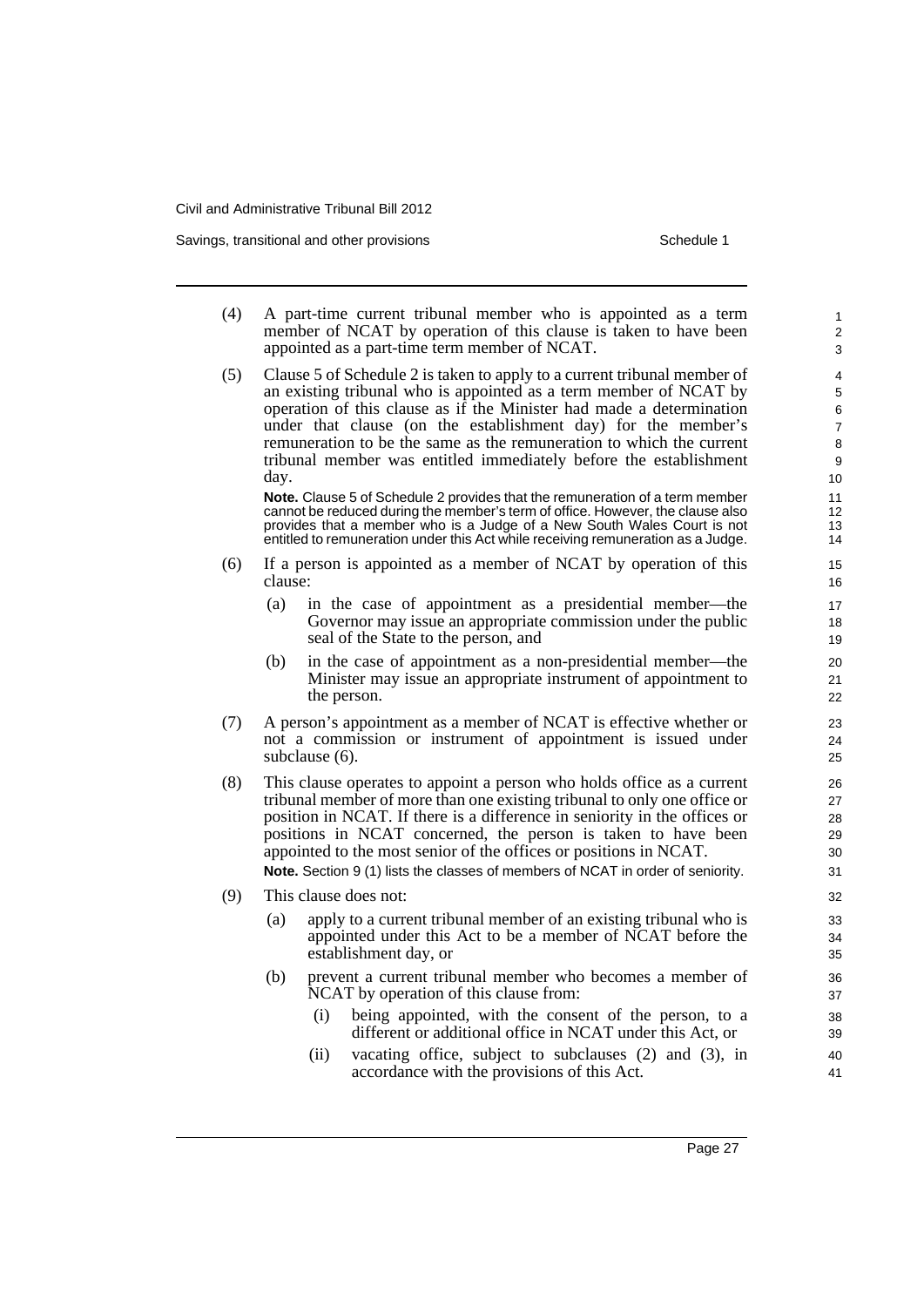Savings, transitional and other provisions Schedule 1

| (4) |         | A part-time current tribunal member who is appointed as a term<br>member of NCAT by operation of this clause is taken to have been<br>appointed as a part-time term member of NCAT.                                                                                                                                                                                                                                                                      | 1<br>$\overline{\mathbf{c}}$<br>3 |
|-----|---------|----------------------------------------------------------------------------------------------------------------------------------------------------------------------------------------------------------------------------------------------------------------------------------------------------------------------------------------------------------------------------------------------------------------------------------------------------------|-----------------------------------|
| (5) | day.    | Clause 5 of Schedule 2 is taken to apply to a current tribunal member of<br>an existing tribunal who is appointed as a term member of NCAT by<br>operation of this clause as if the Minister had made a determination<br>under that clause (on the establishment day) for the member's<br>remuneration to be the same as the remuneration to which the current<br>tribunal member was entitled immediately before the establishment                      | 4<br>5<br>6<br>7<br>8<br>9<br>10  |
|     |         | Note. Clause 5 of Schedule 2 provides that the remuneration of a term member<br>cannot be reduced during the member's term of office. However, the clause also<br>provides that a member who is a Judge of a New South Wales Court is not<br>entitled to remuneration under this Act while receiving remuneration as a Judge.                                                                                                                            | 11<br>12<br>13<br>14              |
| (6) | clause: | If a person is appointed as a member of NCAT by operation of this                                                                                                                                                                                                                                                                                                                                                                                        | 15<br>16                          |
|     | (a)     | in the case of appointment as a presidential member-the<br>Governor may issue an appropriate commission under the public<br>seal of the State to the person, and                                                                                                                                                                                                                                                                                         | 17<br>18<br>19                    |
|     | (b)     | in the case of appointment as a non-presidential member—the<br>Minister may issue an appropriate instrument of appointment to<br>the person.                                                                                                                                                                                                                                                                                                             | 20<br>21<br>22                    |
| (7) |         | A person's appointment as a member of NCAT is effective whether or<br>not a commission or instrument of appointment is issued under<br>subclause (6).                                                                                                                                                                                                                                                                                                    | 23<br>24<br>25                    |
| (8) |         | This clause operates to appoint a person who holds office as a current<br>tribunal member of more than one existing tribunal to only one office or<br>position in NCAT. If there is a difference in seniority in the offices or<br>positions in NCAT concerned, the person is taken to have been<br>appointed to the most senior of the offices or positions in NCAT.<br>Note. Section 9 (1) lists the classes of members of NCAT in order of seniority. | 26<br>27<br>28<br>29<br>30<br>31  |
| (9) |         | This clause does not:                                                                                                                                                                                                                                                                                                                                                                                                                                    | 32                                |
|     | (a)     | apply to a current tribunal member of an existing tribunal who is<br>appointed under this Act to be a member of NCAT before the<br>establishment day, or                                                                                                                                                                                                                                                                                                 | 33<br>34<br>35                    |
|     | (b)     | prevent a current tribunal member who becomes a member of<br>NCAT by operation of this clause from:                                                                                                                                                                                                                                                                                                                                                      | 36<br>37                          |
|     |         | being appointed, with the consent of the person, to a<br>(i)<br>different or additional office in NCAT under this Act, or                                                                                                                                                                                                                                                                                                                                | 38<br>39                          |
|     |         | vacating office, subject to subclauses (2) and (3), in<br>(ii)                                                                                                                                                                                                                                                                                                                                                                                           | 40                                |

accordance with the provisions of this Act.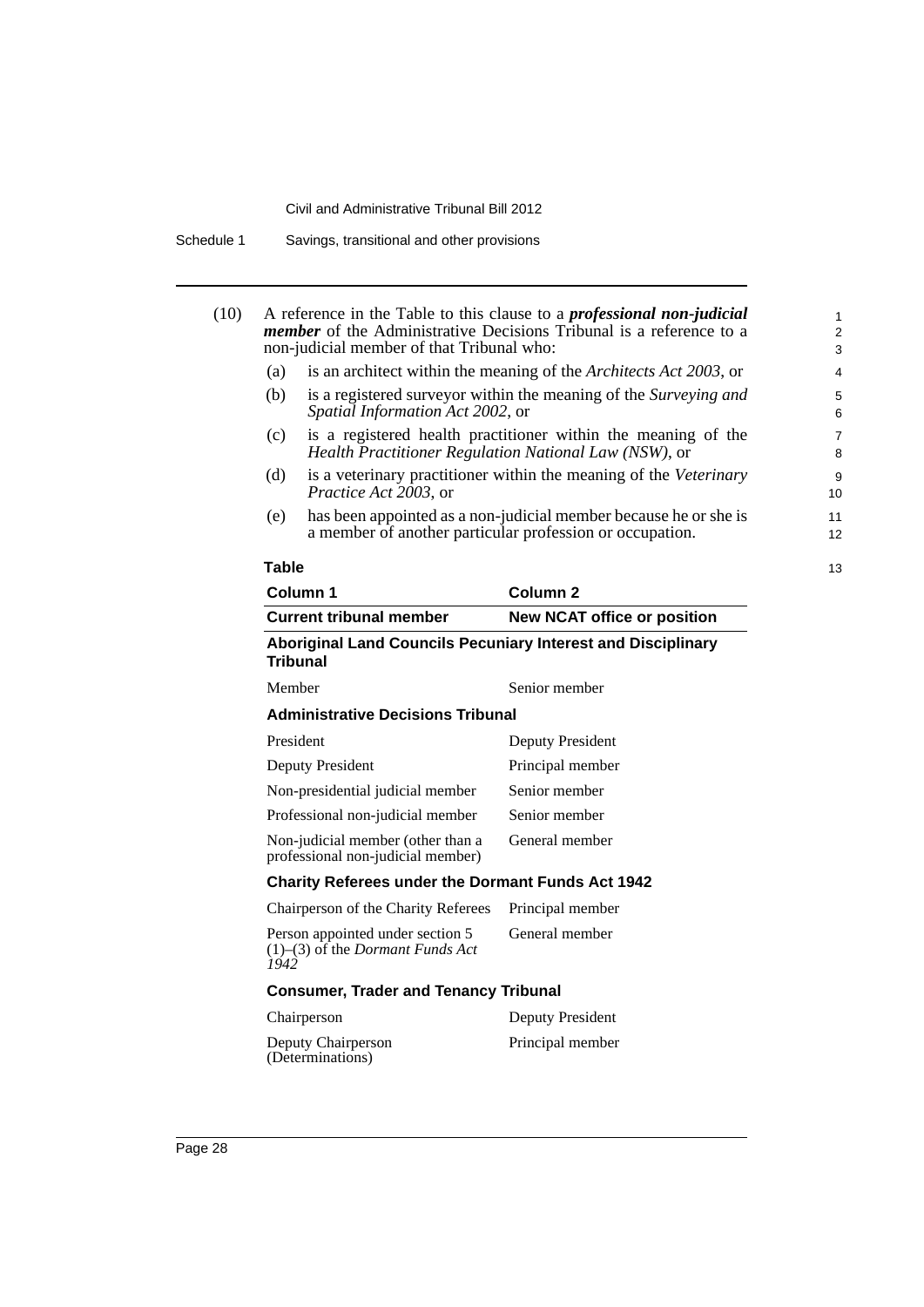|              |                                                                                   | A reference in the Table to this clause to a <i>professional non-judicial</i><br><i>member</i> of the Administrative Decisions Tribunal is a reference to a |  |
|--------------|-----------------------------------------------------------------------------------|-------------------------------------------------------------------------------------------------------------------------------------------------------------|--|
|              | non-judicial member of that Tribunal who:                                         |                                                                                                                                                             |  |
| (a)          | is an architect within the meaning of the Architects Act 2003, or                 |                                                                                                                                                             |  |
| (b)          | Spatial Information Act 2002, or                                                  | is a registered surveyor within the meaning of the Surveying and                                                                                            |  |
| (c)          |                                                                                   | is a registered health practitioner within the meaning of the<br>Health Practitioner Regulation National Law (NSW), or                                      |  |
| (d)          | Practice Act 2003, or                                                             | is a veterinary practitioner within the meaning of the Veterinary                                                                                           |  |
| (e)          |                                                                                   | has been appointed as a non-judicial member because he or she is<br>a member of another particular profession or occupation.                                |  |
| <b>Table</b> |                                                                                   |                                                                                                                                                             |  |
|              | Column 1                                                                          | Column <sub>2</sub>                                                                                                                                         |  |
|              | <b>Current tribunal member</b>                                                    | <b>New NCAT office or position</b>                                                                                                                          |  |
|              | <b>Tribunal</b>                                                                   | Aboriginal Land Councils Pecuniary Interest and Disciplinary                                                                                                |  |
| Member       |                                                                                   | Senior member                                                                                                                                               |  |
|              | <b>Administrative Decisions Tribunal</b>                                          |                                                                                                                                                             |  |
| President    |                                                                                   | <b>Deputy President</b>                                                                                                                                     |  |
|              | <b>Deputy President</b>                                                           | Principal member                                                                                                                                            |  |
|              | Non-presidential judicial member                                                  | Senior member                                                                                                                                               |  |
|              | Professional non-judicial member                                                  | Senior member                                                                                                                                               |  |
|              | Non-judicial member (other than a<br>professional non-judicial member)            | General member                                                                                                                                              |  |
|              | <b>Charity Referees under the Dormant Funds Act 1942</b>                          |                                                                                                                                                             |  |
|              | Chairperson of the Charity Referees                                               | Principal member                                                                                                                                            |  |
| 1942         | Person appointed under section 5<br>$(1)$ – $(3)$ of the <i>Dormant Funds Act</i> | General member                                                                                                                                              |  |
|              | <b>Consumer, Trader and Tenancy Tribunal</b>                                      |                                                                                                                                                             |  |
|              | Chairperson                                                                       | <b>Deputy President</b>                                                                                                                                     |  |
|              | Deputy Chairperson<br>(Determinations)                                            | Principal member                                                                                                                                            |  |
|              |                                                                                   |                                                                                                                                                             |  |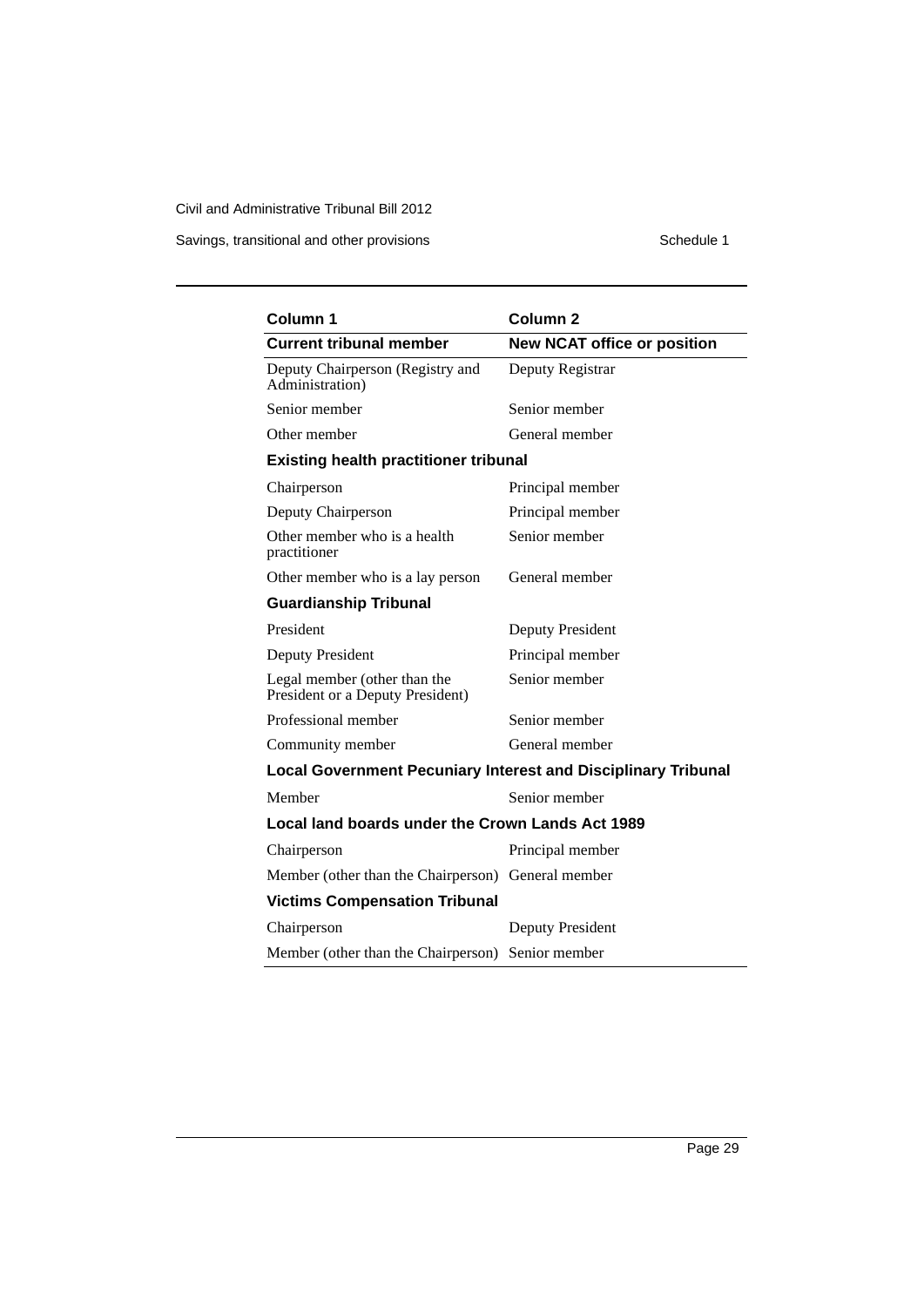Savings, transitional and other provisions Schedule 1

| Column 1                                                             | Column <sub>2</sub>                |
|----------------------------------------------------------------------|------------------------------------|
| <b>Current tribunal member</b>                                       | <b>New NCAT office or position</b> |
| Deputy Chairperson (Registry and<br>Administration)                  | Deputy Registrar                   |
| Senior member                                                        | Senior member                      |
| Other member                                                         | General member                     |
| <b>Existing health practitioner tribunal</b>                         |                                    |
| Chairperson                                                          | Principal member                   |
| Deputy Chairperson                                                   | Principal member                   |
| Other member who is a health<br>practitioner                         | Senior member                      |
| Other member who is a lay person                                     | General member                     |
| <b>Guardianship Tribunal</b>                                         |                                    |
| President                                                            | <b>Deputy President</b>            |
| Deputy President                                                     | Principal member                   |
| Legal member (other than the<br>President or a Deputy President)     | Senior member                      |
| Professional member                                                  | Senior member                      |
| Community member                                                     | General member                     |
| <b>Local Government Pecuniary Interest and Disciplinary Tribunal</b> |                                    |
| Member                                                               | Senior member                      |
| Local land boards under the Crown Lands Act 1989                     |                                    |
| Chairperson                                                          | Principal member                   |
| Member (other than the Chairperson) General member                   |                                    |
| <b>Victims Compensation Tribunal</b>                                 |                                    |
| Chairperson                                                          | Deputy President                   |
| Member (other than the Chairperson) Senior member                    |                                    |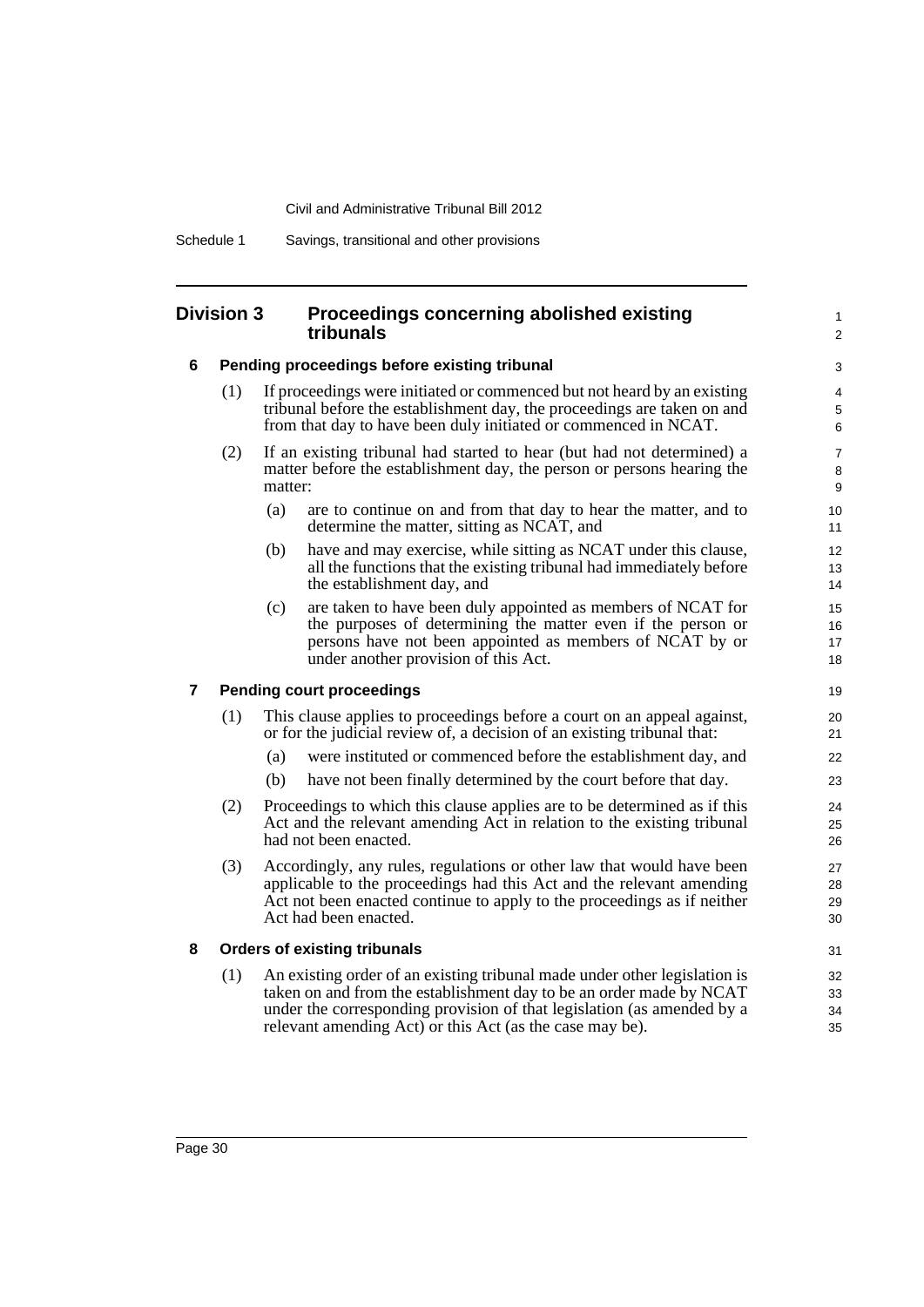Schedule 1 Savings, transitional and other provisions

#### **Division 3 Proceedings concerning abolished existing tribunals**

#### **6 Pending proceedings before existing tribunal**

- (1) If proceedings were initiated or commenced but not heard by an existing tribunal before the establishment day, the proceedings are taken on and from that day to have been duly initiated or commenced in NCAT.
- (2) If an existing tribunal had started to hear (but had not determined) a matter before the establishment day, the person or persons hearing the matter:
	- (a) are to continue on and from that day to hear the matter, and to determine the matter, sitting as NCAT, and

1  $\overline{2}$ 

- (b) have and may exercise, while sitting as NCAT under this clause, all the functions that the existing tribunal had immediately before the establishment day, and
- (c) are taken to have been duly appointed as members of NCAT for the purposes of determining the matter even if the person or persons have not been appointed as members of NCAT by or under another provision of this Act.

#### **7 Pending court proceedings**

- (1) This clause applies to proceedings before a court on an appeal against, or for the judicial review of, a decision of an existing tribunal that:
	- (a) were instituted or commenced before the establishment day, and
	- (b) have not been finally determined by the court before that day.
- (2) Proceedings to which this clause applies are to be determined as if this Act and the relevant amending Act in relation to the existing tribunal had not been enacted.
- (3) Accordingly, any rules, regulations or other law that would have been applicable to the proceedings had this Act and the relevant amending Act not been enacted continue to apply to the proceedings as if neither Act had been enacted.

#### **8 Orders of existing tribunals**

(1) An existing order of an existing tribunal made under other legislation is taken on and from the establishment day to be an order made by NCAT under the corresponding provision of that legislation (as amended by a relevant amending Act) or this Act (as the case may be).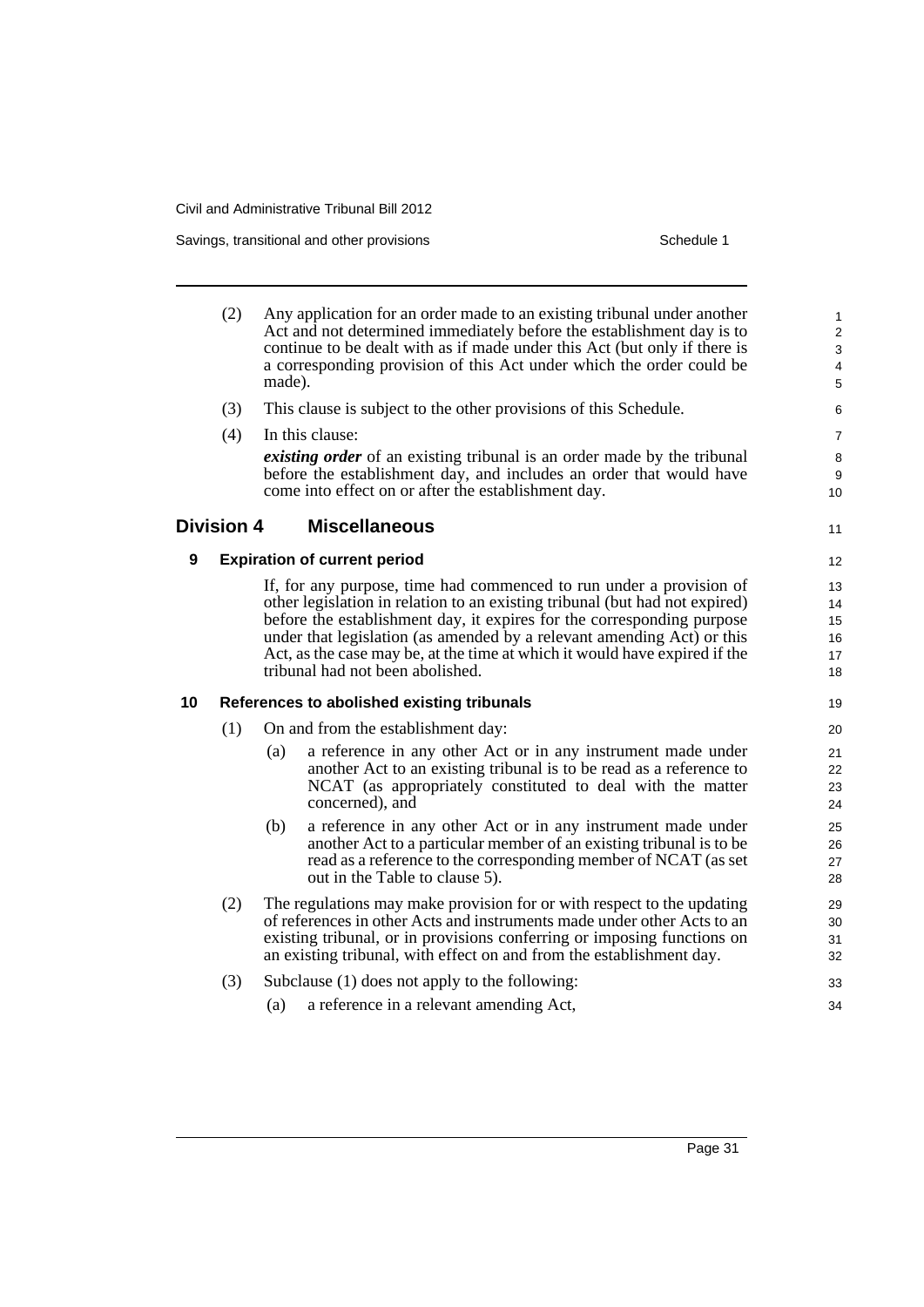Savings, transitional and other provisions Schedule 1 and the state of the state of the Schedule 1

- (2) Any application for an order made to an existing tribunal under another Act and not determined immediately before the establishment day is to continue to be dealt with as if made under this Act (but only if there is a corresponding provision of this Act under which the order could be made). (3) This clause is subject to the other provisions of this Schedule. (4) In this clause: *existing order* of an existing tribunal is an order made by the tribunal before the establishment day, and includes an order that would have come into effect on or after the establishment day. **Division 4 Miscellaneous 9 Expiration of current period** If, for any purpose, time had commenced to run under a provision of other legislation in relation to an existing tribunal (but had not expired) before the establishment day, it expires for the corresponding purpose under that legislation (as amended by a relevant amending Act) or this Act, as the case may be, at the time at which it would have expired if the tribunal had not been abolished. **10 References to abolished existing tribunals** (1) On and from the establishment day: (a) a reference in any other Act or in any instrument made under another Act to an existing tribunal is to be read as a reference to NCAT (as appropriately constituted to deal with the matter concerned), and (b) a reference in any other Act or in any instrument made under another Act to a particular member of an existing tribunal is to be read as a reference to the corresponding member of NCAT (as set out in the Table to clause 5). (2) The regulations may make provision for or with respect to the updating of references in other Acts and instruments made under other Acts to an existing tribunal, or in provisions conferring or imposing functions on an existing tribunal, with effect on and from the establishment day. (3) Subclause (1) does not apply to the following: (a) a reference in a relevant amending Act, 1 2 3 4 5 6 7 8 9 10 11 12 13 14 15 16 17 18 19 20 21 22 23 24 25 26 27 28 29 30 31 32 33 34
	- Page 31
- 
-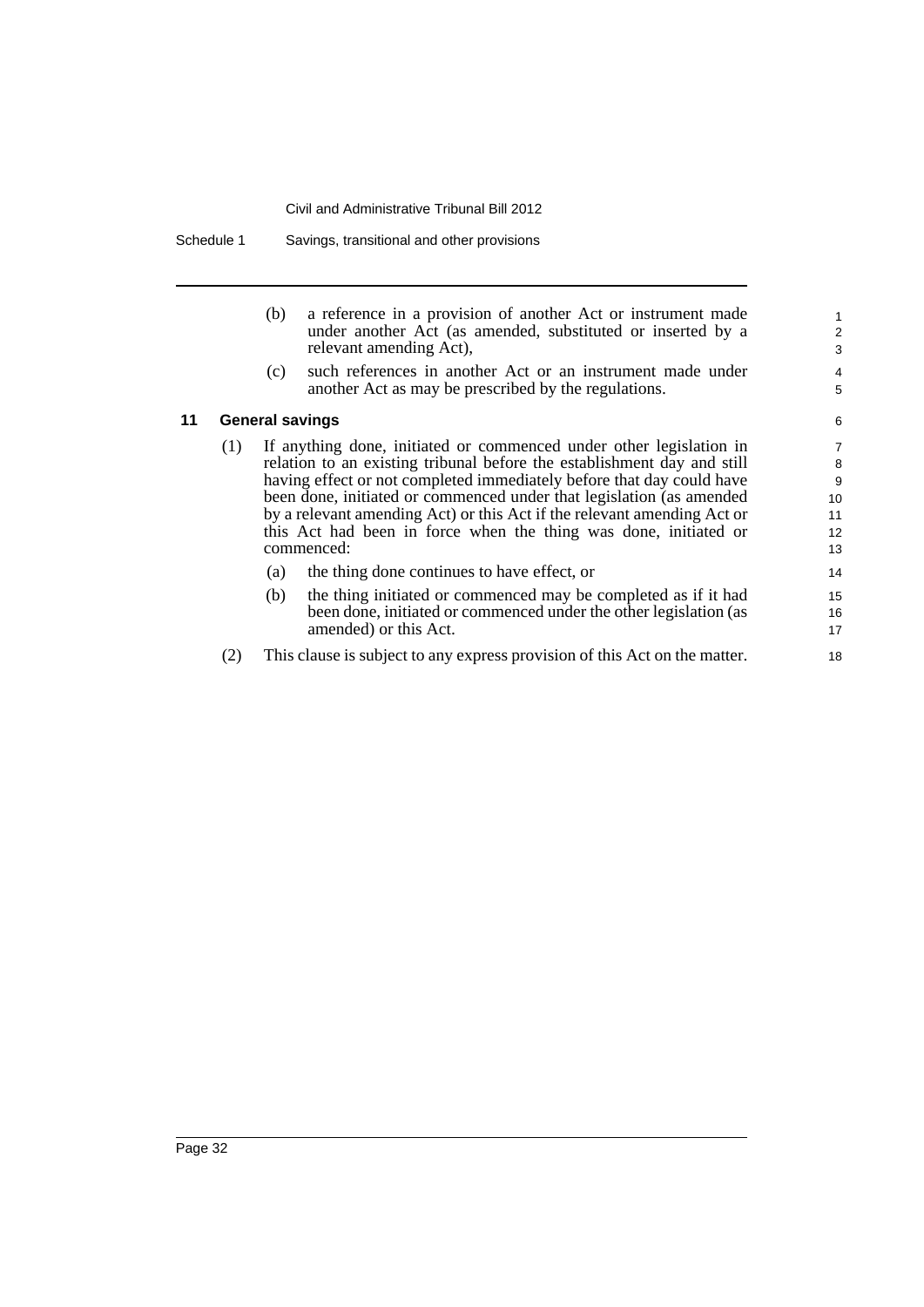Schedule 1 Savings, transitional and other provisions

|    | (b)                    | a reference in a provision of another Act or instrument made<br>under another Act (as amended, substituted or inserted by a<br>relevant amending Act), |
|----|------------------------|--------------------------------------------------------------------------------------------------------------------------------------------------------|
|    | (c)                    | such references in another Act or an instrument made under<br>another Act as may be prescribed by the regulations.                                     |
| 11 | <b>General savings</b> |                                                                                                                                                        |

- (1) If anything done, initiated or commenced under other legislation in relation to an existing tribunal before the establishment day and still having effect or not completed immediately before that day could have been done, initiated or commenced under that legislation (as amended by a relevant amending Act) or this Act if the relevant amending Act or this Act had been in force when the thing was done, initiated or commenced:
	- (a) the thing done continues to have effect, or
	- (b) the thing initiated or commenced may be completed as if it had been done, initiated or commenced under the other legislation (as amended) or this Act.
- (2) This clause is subject to any express provision of this Act on the matter.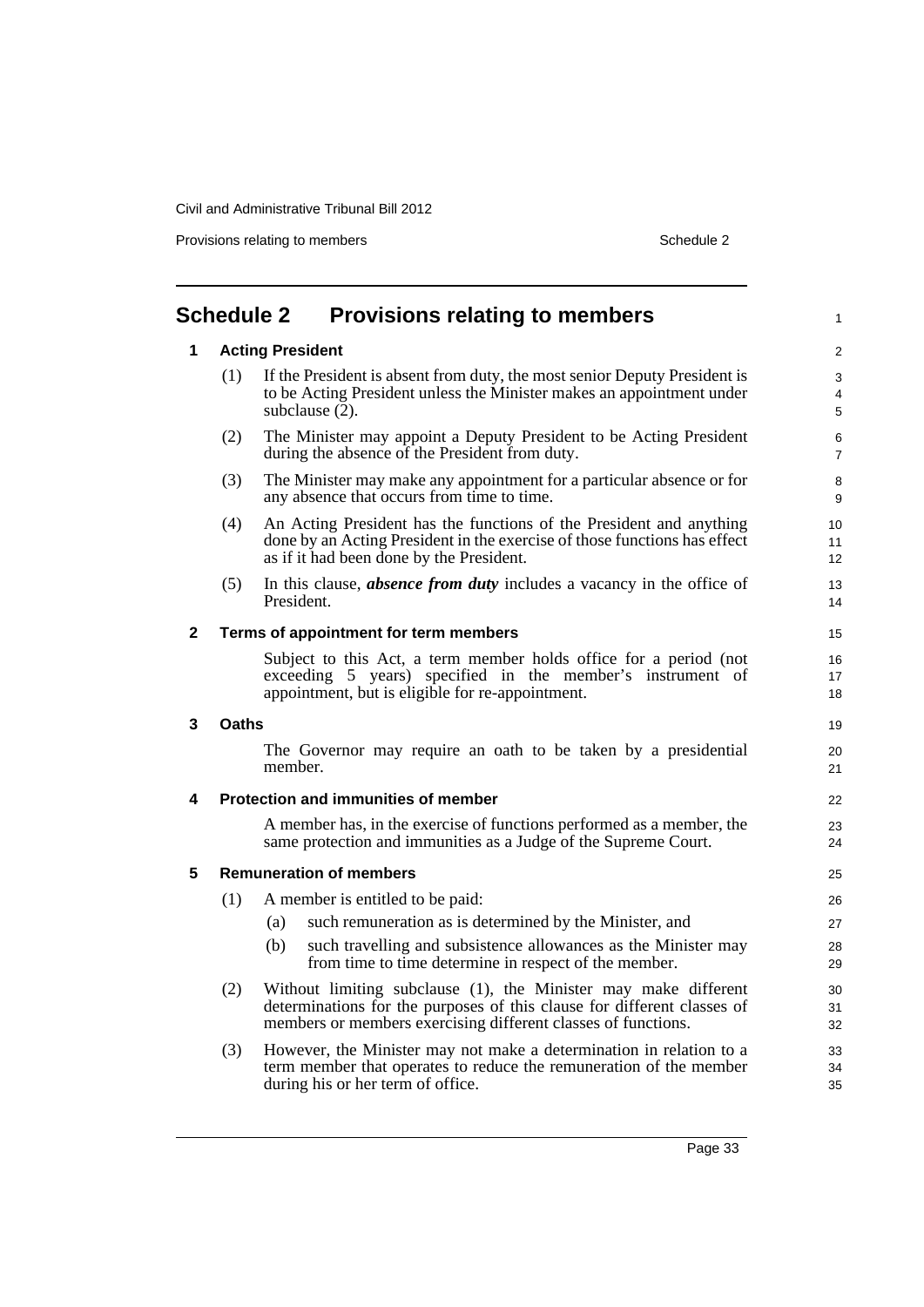Provisions relating to members **Schedule 2** Schedule 2

<span id="page-42-0"></span>

|              | <b>Acting President</b>                                                                                                                                                                                     |
|--------------|-------------------------------------------------------------------------------------------------------------------------------------------------------------------------------------------------------------|
| (1)          | If the President is absent from duty, the most senior Deputy President is<br>to be Acting President unless the Minister makes an appointment under<br>subclause (2).                                        |
| (2)          | The Minister may appoint a Deputy President to be Acting President<br>during the absence of the President from duty.                                                                                        |
| (3)          | The Minister may make any appointment for a particular absence or for<br>any absence that occurs from time to time.                                                                                         |
| (4)          | An Acting President has the functions of the President and anything<br>done by an Acting President in the exercise of those functions has effect<br>as if it had been done by the President.                |
| (5)          | In this clause, <b>absence from duty</b> includes a vacancy in the office of<br>President.                                                                                                                  |
|              | Terms of appointment for term members                                                                                                                                                                       |
|              | Subject to this Act, a term member holds office for a period (not<br>exceeding 5 years) specified in the member's instrument of<br>appointment, but is eligible for re-appointment.                         |
| <b>Oaths</b> |                                                                                                                                                                                                             |
|              | The Governor may require an oath to be taken by a presidential<br>member.                                                                                                                                   |
|              | <b>Protection and immunities of member</b>                                                                                                                                                                  |
|              | A member has, in the exercise of functions performed as a member, the<br>same protection and immunities as a Judge of the Supreme Court.                                                                    |
|              | <b>Remuneration of members</b>                                                                                                                                                                              |
| (1)          | A member is entitled to be paid:                                                                                                                                                                            |
|              | such remuneration as is determined by the Minister, and<br>(a)                                                                                                                                              |
|              | such travelling and subsistence allowances as the Minister may<br>(b)<br>from time to time determine in respect of the member.                                                                              |
| (2)          | Without limiting subclause (1), the Minister may make different<br>determinations for the purposes of this clause for different classes of<br>members or members exercising different classes of functions. |
| (3)          | However, the Minister may not make a determination in relation to a<br>term member that operates to reduce the remuneration of the member<br>during his or her term of office.                              |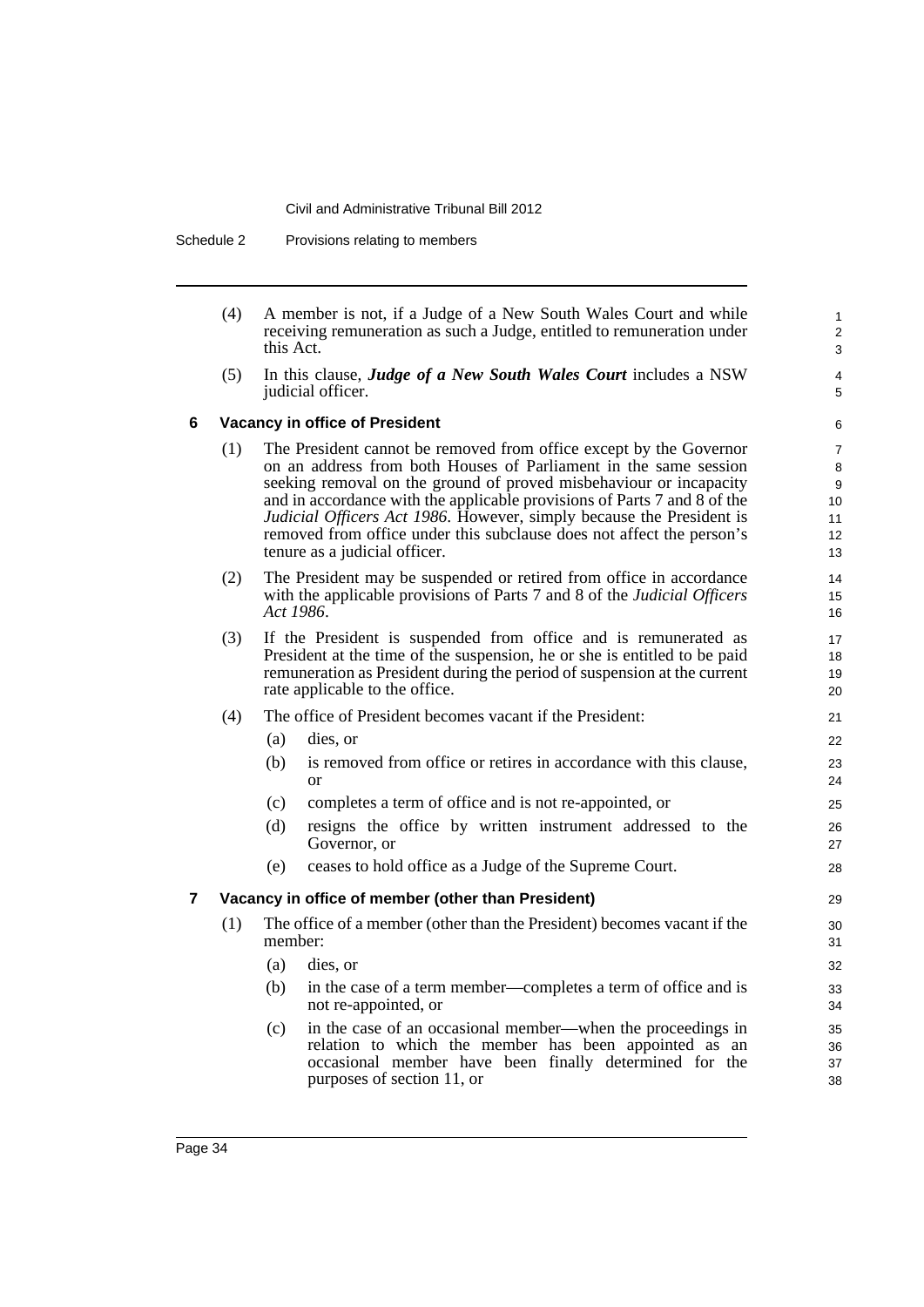| (4) | A member is not, if a Judge of a New South Wales Court and while       |
|-----|------------------------------------------------------------------------|
|     | receiving remuneration as such a Judge, entitled to remuneration under |
|     | this Act.                                                              |

(5) In this clause, *Judge of a New South Wales Court* includes a NSW judicial officer.

5 6

#### **6 Vacancy in office of President**

- (1) The President cannot be removed from office except by the Governor on an address from both Houses of Parliament in the same session seeking removal on the ground of proved misbehaviour or incapacity and in accordance with the applicable provisions of Parts 7 and 8 of the *Judicial Officers Act 1986*. However, simply because the President is removed from office under this subclause does not affect the person's tenure as a judicial officer.
- (2) The President may be suspended or retired from office in accordance with the applicable provisions of Parts 7 and 8 of the *Judicial Officers Act 1986*.
- (3) If the President is suspended from office and is remunerated as President at the time of the suspension, he or she is entitled to be paid remuneration as President during the period of suspension at the current rate applicable to the office.
- (4) The office of President becomes vacant if the President:
	- (a) dies, or
	- (b) is removed from office or retires in accordance with this clause, or
	- (c) completes a term of office and is not re-appointed, or
	- (d) resigns the office by written instrument addressed to the Governor, or
	- (e) ceases to hold office as a Judge of the Supreme Court.

#### **7 Vacancy in office of member (other than President)**

- (1) The office of a member (other than the President) becomes vacant if the member:
	- (a) dies, or
	- (b) in the case of a term member—completes a term of office and is not re-appointed, or
	- (c) in the case of an occasional member—when the proceedings in relation to which the member has been appointed as an occasional member have been finally determined for the purposes of section 11, or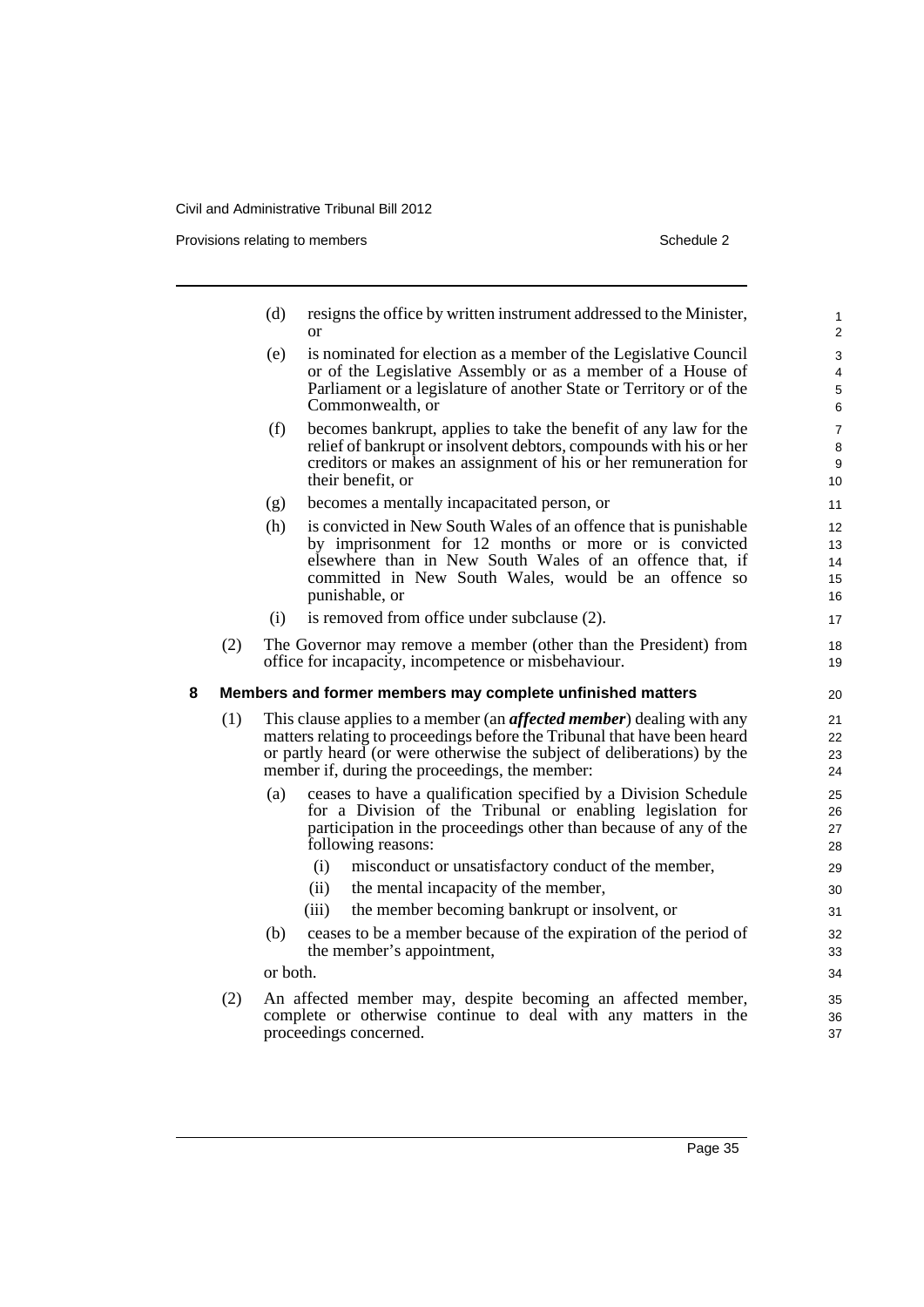Provisions relating to members Schedule 2

|   |     | (d)      | resigns the office by written instrument addressed to the Minister,<br><sub>or</sub>                                     | 1<br>2         |
|---|-----|----------|--------------------------------------------------------------------------------------------------------------------------|----------------|
|   |     | (e)      | is nominated for election as a member of the Legislative Council                                                         | 3              |
|   |     |          | or of the Legislative Assembly or as a member of a House of                                                              | 4              |
|   |     |          | Parliament or a legislature of another State or Territory or of the                                                      | $\sqrt{5}$     |
|   |     |          | Commonwealth, or                                                                                                         | 6              |
|   |     | (f)      | becomes bankrupt, applies to take the benefit of any law for the                                                         | $\overline{7}$ |
|   |     |          | relief of bankrupt or insolvent debtors, compounds with his or her                                                       | 8              |
|   |     |          | creditors or makes an assignment of his or her remuneration for<br>their benefit, or                                     | 9<br>10        |
|   |     | (g)      | becomes a mentally incapacitated person, or                                                                              | 11             |
|   |     | (h)      | is convicted in New South Wales of an offence that is punishable                                                         | 12             |
|   |     |          | by imprisonment for 12 months or more or is convicted                                                                    | 13             |
|   |     |          | elsewhere than in New South Wales of an offence that, if                                                                 | 14             |
|   |     |          | committed in New South Wales, would be an offence so                                                                     | 15             |
|   |     |          | punishable, or                                                                                                           | 16             |
|   |     | (i)      | is removed from office under subclause (2).                                                                              | 17             |
|   | (2) |          | The Governor may remove a member (other than the President) from<br>office for incapacity, incompetence or misbehaviour. | 18<br>19       |
| 8 |     |          | Members and former members may complete unfinished matters                                                               | 20             |
|   | (1) |          | This clause applies to a member (an <i>affected member</i> ) dealing with any                                            | 21             |
|   |     |          | matters relating to proceedings before the Tribunal that have been heard                                                 | 22             |
|   |     |          | or partly heard (or were otherwise the subject of deliberations) by the                                                  | 23             |
|   |     |          | member if, during the proceedings, the member:                                                                           | 24             |
|   |     | (a)      | ceases to have a qualification specified by a Division Schedule                                                          | 25             |
|   |     |          | for a Division of the Tribunal or enabling legislation for                                                               | 26             |
|   |     |          | participation in the proceedings other than because of any of the<br>following reasons:                                  | 27<br>28       |
|   |     |          | (i)<br>misconduct or unsatisfactory conduct of the member,                                                               | 29             |
|   |     |          | (ii)<br>the mental incapacity of the member,                                                                             | 30             |
|   |     |          | (iii)<br>the member becoming bankrupt or insolvent, or                                                                   | 31             |
|   |     |          |                                                                                                                          |                |
|   |     | (b)      | ceases to be a member because of the expiration of the period of<br>the member's appointment,                            | 32<br>33       |
|   |     |          |                                                                                                                          |                |
|   |     | or both. |                                                                                                                          | 34             |
|   | (2) |          | An affected member may, despite becoming an affected member,                                                             | 35             |
|   |     |          | complete or otherwise continue to deal with any matters in the                                                           | 36             |
|   |     |          | proceedings concerned.                                                                                                   | 37             |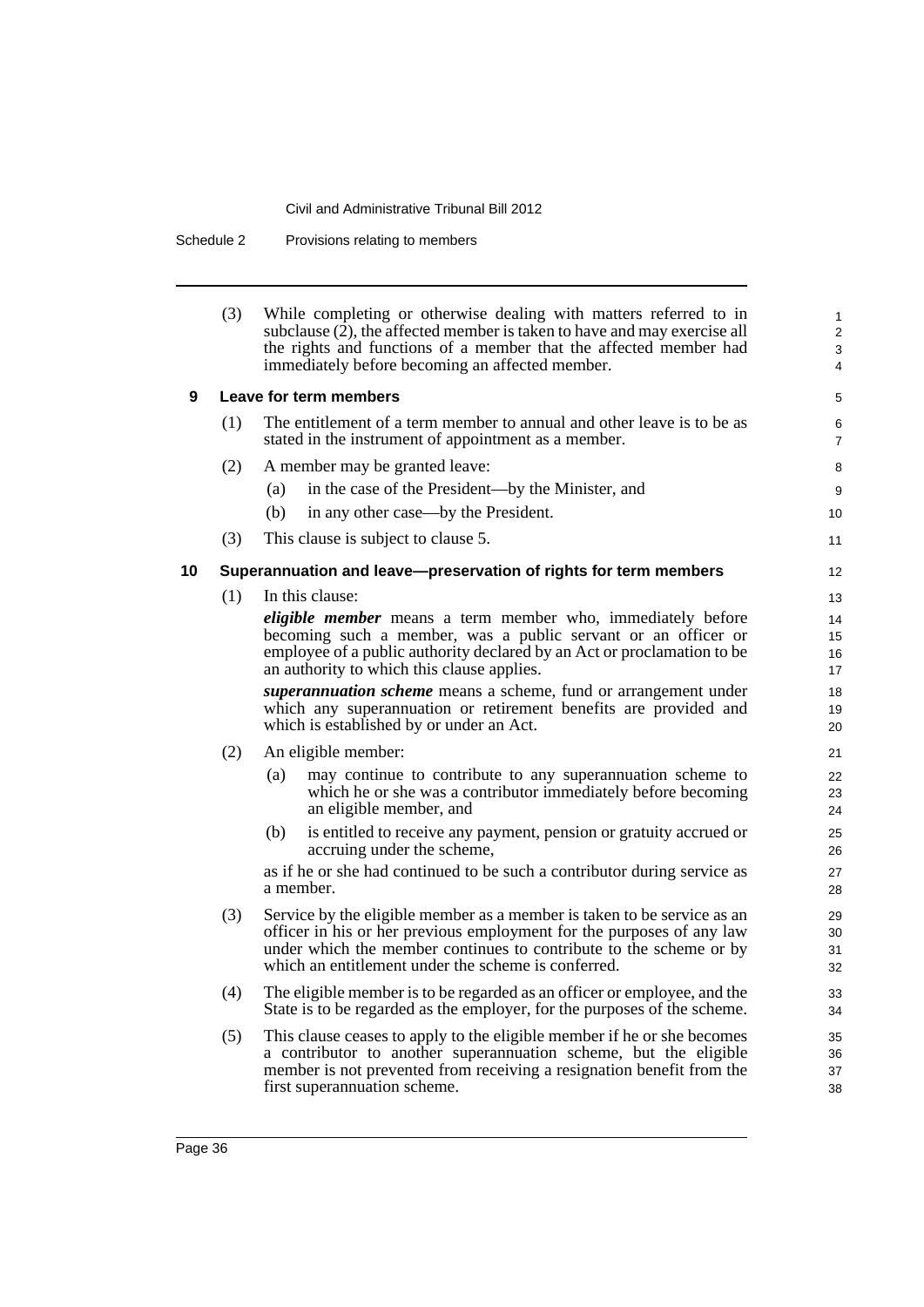Schedule 2 Provisions relating to members

|    | (3) | While completing or otherwise dealing with matters referred to in<br>subclause (2), the affected member is taken to have and may exercise all<br>the rights and functions of a member that the affected member had<br>immediately before becoming an affected member.         | $\mathbf{1}$<br>2<br>3<br>4 |
|----|-----|-------------------------------------------------------------------------------------------------------------------------------------------------------------------------------------------------------------------------------------------------------------------------------|-----------------------------|
| 9  |     | Leave for term members                                                                                                                                                                                                                                                        | 5                           |
|    | (1) | The entitlement of a term member to annual and other leave is to be as<br>stated in the instrument of appointment as a member.                                                                                                                                                | 6<br>$\overline{7}$         |
|    | (2) | A member may be granted leave:                                                                                                                                                                                                                                                | 8                           |
|    |     | in the case of the President—by the Minister, and<br>(a)                                                                                                                                                                                                                      | 9                           |
|    |     | (b)<br>in any other case—by the President.                                                                                                                                                                                                                                    | 10                          |
|    | (3) | This clause is subject to clause 5.                                                                                                                                                                                                                                           | 11                          |
| 10 |     | Superannuation and leave-preservation of rights for term members                                                                                                                                                                                                              | 12                          |
|    | (1) | In this clause:                                                                                                                                                                                                                                                               | 13                          |
|    |     | <i>eligible member</i> means a term member who, immediately before                                                                                                                                                                                                            | 14                          |
|    |     | becoming such a member, was a public servant or an officer or                                                                                                                                                                                                                 | 15                          |
|    |     | employee of a public authority declared by an Act or proclamation to be<br>an authority to which this clause applies.                                                                                                                                                         | 16<br>17                    |
|    |     | superannuation scheme means a scheme, fund or arrangement under                                                                                                                                                                                                               | 18                          |
|    |     | which any superannuation or retirement benefits are provided and                                                                                                                                                                                                              | 19                          |
|    |     | which is established by or under an Act.                                                                                                                                                                                                                                      | 20                          |
|    | (2) | An eligible member:                                                                                                                                                                                                                                                           | 21                          |
|    |     | may continue to contribute to any superannuation scheme to<br>(a)<br>which he or she was a contributor immediately before becoming<br>an eligible member, and                                                                                                                 | 22<br>23<br>24              |
|    |     | is entitled to receive any payment, pension or gratuity accrued or<br>(b)<br>accruing under the scheme,                                                                                                                                                                       | 25<br>26                    |
|    |     | as if he or she had continued to be such a contributor during service as<br>a member.                                                                                                                                                                                         | 27<br>28                    |
|    | (3) | Service by the eligible member as a member is taken to be service as an<br>officer in his or her previous employment for the purposes of any law<br>under which the member continues to contribute to the scheme or by<br>which an entitlement under the scheme is conferred. | 29<br>30<br>31<br>32        |
|    | (4) | The eligible member is to be regarded as an officer or employee, and the<br>State is to be regarded as the employer, for the purposes of the scheme.                                                                                                                          | 33<br>34                    |
|    | (5) | This clause ceases to apply to the eligible member if he or she becomes<br>a contributor to another superannuation scheme, but the eligible<br>member is not prevented from receiving a resignation benefit from the<br>first superannuation scheme.                          | 35<br>36<br>37<br>38        |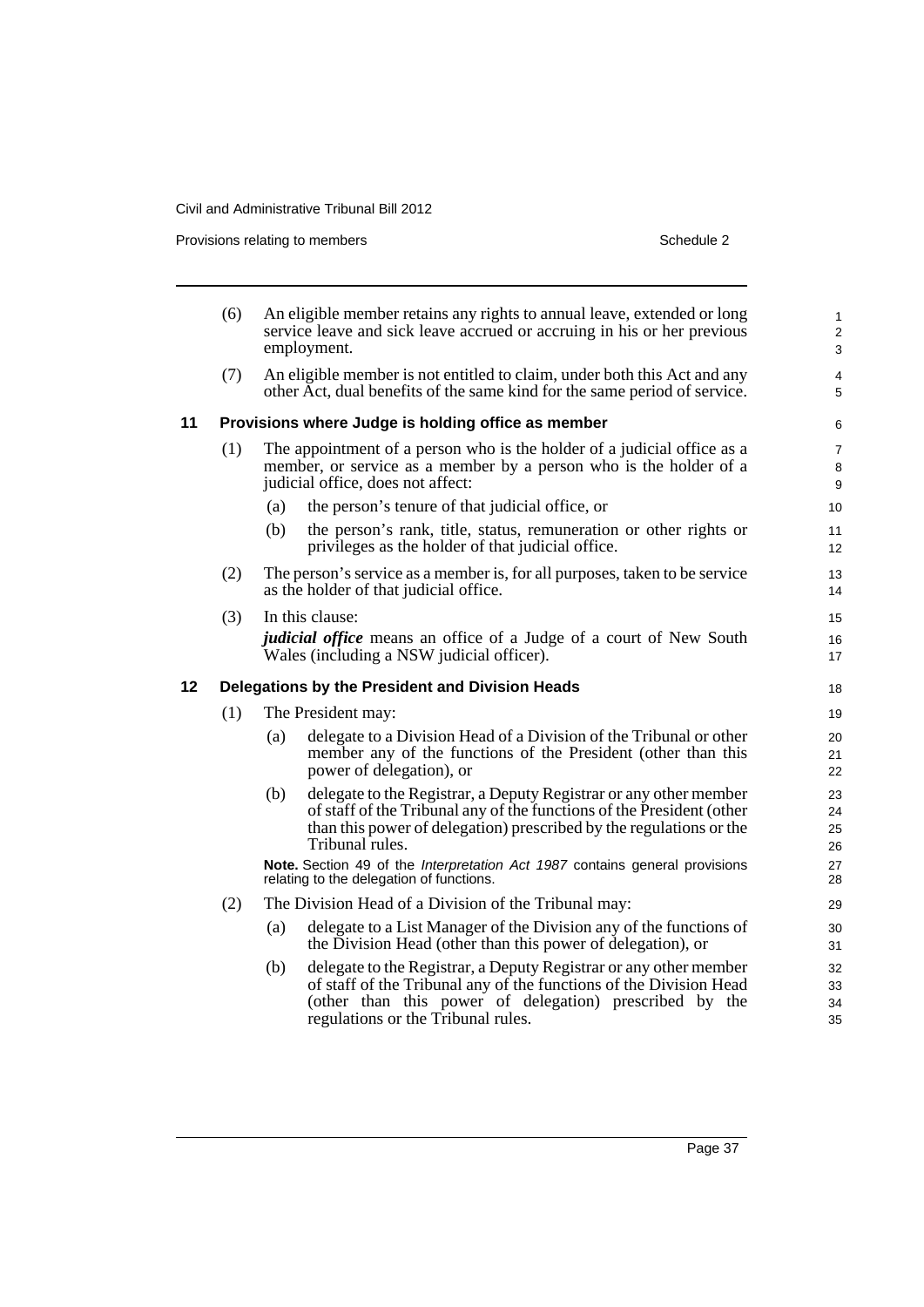Provisions relating to members **Schedule 2** Schedule 2

|    | (6) |     | An eligible member retains any rights to annual leave, extended or long<br>service leave and sick leave accrued or accruing in his or her previous<br>employment.                                                                        | $\mathbf{1}$<br>$\overline{c}$<br>3 |
|----|-----|-----|------------------------------------------------------------------------------------------------------------------------------------------------------------------------------------------------------------------------------------------|-------------------------------------|
|    | (7) |     | An eligible member is not entitled to claim, under both this Act and any<br>other Act, dual benefits of the same kind for the same period of service.                                                                                    | 4<br>5                              |
| 11 |     |     | Provisions where Judge is holding office as member                                                                                                                                                                                       | 6                                   |
|    | (1) |     | The appointment of a person who is the holder of a judicial office as a<br>member, or service as a member by a person who is the holder of a<br>judicial office, does not affect:                                                        | $\overline{7}$<br>8<br>9            |
|    |     | (a) | the person's tenure of that judicial office, or                                                                                                                                                                                          | 10                                  |
|    |     | (b) | the person's rank, title, status, remuneration or other rights or<br>privileges as the holder of that judicial office.                                                                                                                   | 11<br>12                            |
|    | (2) |     | The person's service as a member is, for all purposes, taken to be service<br>as the holder of that judicial office.                                                                                                                     | 13<br>14                            |
|    | (3) |     | In this clause:                                                                                                                                                                                                                          | 15                                  |
|    |     |     | <i>judicial office</i> means an office of a Judge of a court of New South<br>Wales (including a NSW judicial officer).                                                                                                                   | 16<br>17                            |
| 12 |     |     | Delegations by the President and Division Heads                                                                                                                                                                                          | 18                                  |
|    | (1) |     | The President may:                                                                                                                                                                                                                       | 19                                  |
|    |     | (a) | delegate to a Division Head of a Division of the Tribunal or other<br>member any of the functions of the President (other than this<br>power of delegation), or                                                                          | 20<br>21<br>22                      |
|    |     | (b) | delegate to the Registrar, a Deputy Registrar or any other member<br>of staff of the Tribunal any of the functions of the President (other<br>than this power of delegation) prescribed by the regulations or the<br>Tribunal rules.     | 23<br>24<br>25<br>26                |
|    |     |     | Note. Section 49 of the Interpretation Act 1987 contains general provisions<br>relating to the delegation of functions.                                                                                                                  | 27<br>28                            |
|    | (2) |     | The Division Head of a Division of the Tribunal may:                                                                                                                                                                                     | 29                                  |
|    |     | (a) | delegate to a List Manager of the Division any of the functions of<br>the Division Head (other than this power of delegation), or                                                                                                        | 30<br>31                            |
|    |     | (b) | delegate to the Registrar, a Deputy Registrar or any other member<br>of staff of the Tribunal any of the functions of the Division Head<br>(other than this power of delegation) prescribed by the<br>regulations or the Tribunal rules. | 32<br>33<br>34<br>35                |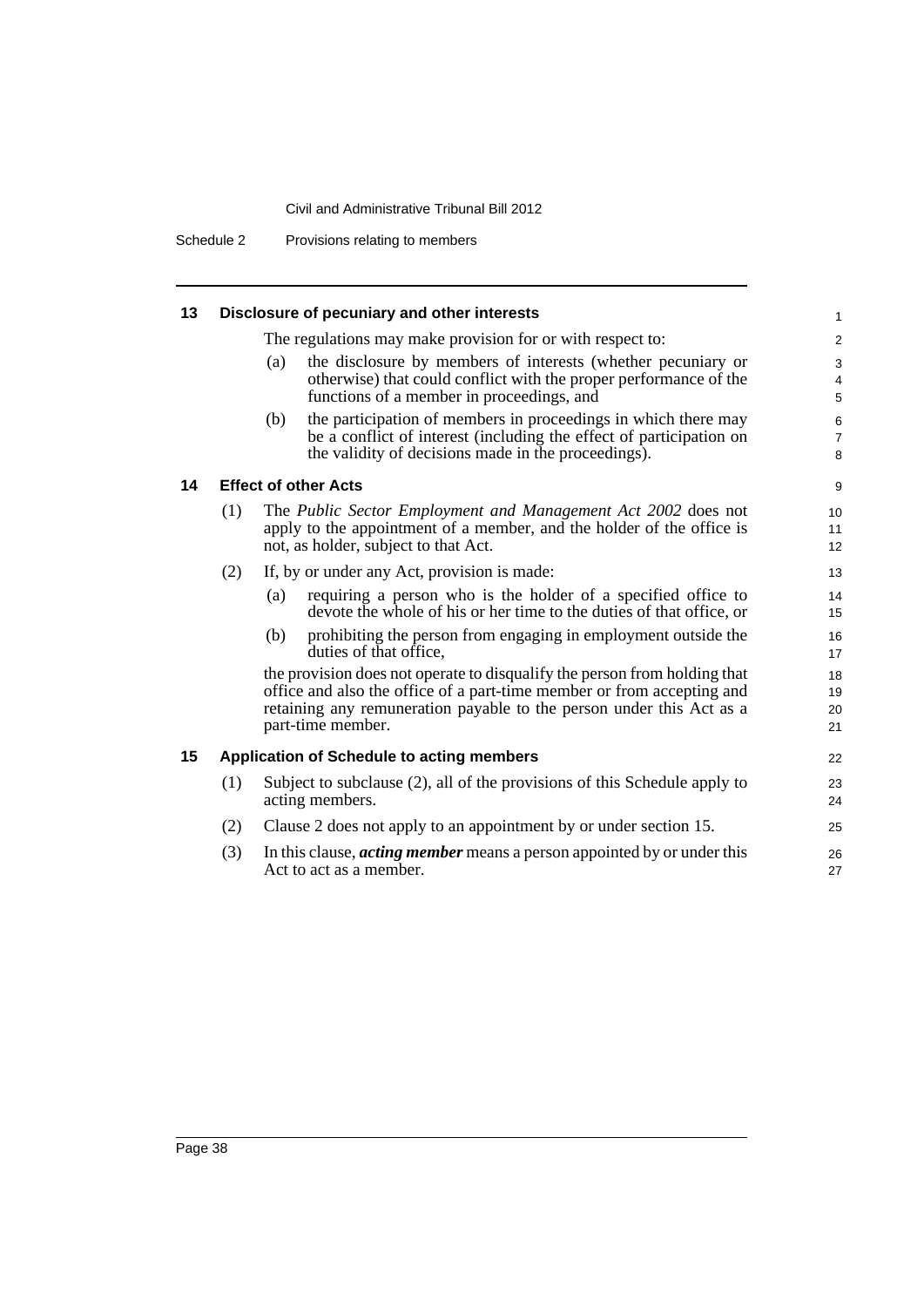Schedule 2 Provisions relating to members

| 13 |     |     | Disclosure of pecuniary and other interests                                                                                                                                                                                                      | $\mathbf{1}$                 |
|----|-----|-----|--------------------------------------------------------------------------------------------------------------------------------------------------------------------------------------------------------------------------------------------------|------------------------------|
|    |     |     | The regulations may make provision for or with respect to:                                                                                                                                                                                       | $\overline{2}$               |
|    |     | (a) | the disclosure by members of interests (whether pecuniary or<br>otherwise) that could conflict with the proper performance of the<br>functions of a member in proceedings, and                                                                   | 3<br>$\overline{4}$<br>5     |
|    |     | (b) | the participation of members in proceedings in which there may<br>be a conflict of interest (including the effect of participation on<br>the validity of decisions made in the proceedings).                                                     | $\,6$<br>$\overline{7}$<br>8 |
| 14 |     |     | <b>Effect of other Acts</b>                                                                                                                                                                                                                      | 9                            |
|    | (1) |     | The Public Sector Employment and Management Act 2002 does not<br>apply to the appointment of a member, and the holder of the office is<br>not, as holder, subject to that Act.                                                                   | 10<br>11<br>12               |
|    | (2) |     | If, by or under any Act, provision is made:                                                                                                                                                                                                      | 13                           |
|    |     | (a) | requiring a person who is the holder of a specified office to<br>devote the whole of his or her time to the duties of that office, or                                                                                                            | 14<br>15                     |
|    |     | (b) | prohibiting the person from engaging in employment outside the<br>duties of that office.                                                                                                                                                         | 16<br>17                     |
|    |     |     | the provision does not operate to disqualify the person from holding that<br>office and also the office of a part-time member or from accepting and<br>retaining any remuneration payable to the person under this Act as a<br>part-time member. | 18<br>19<br>20<br>21         |
| 15 |     |     | <b>Application of Schedule to acting members</b>                                                                                                                                                                                                 | 22                           |
|    | (1) |     | Subject to subclause (2), all of the provisions of this Schedule apply to<br>acting members.                                                                                                                                                     | 23<br>24                     |
|    | (2) |     | Clause 2 does not apply to an appointment by or under section 15.                                                                                                                                                                                | 25                           |
|    | (3) |     | In this clause, <i>acting member</i> means a person appointed by or under this<br>Act to act as a member.                                                                                                                                        | 26<br>27                     |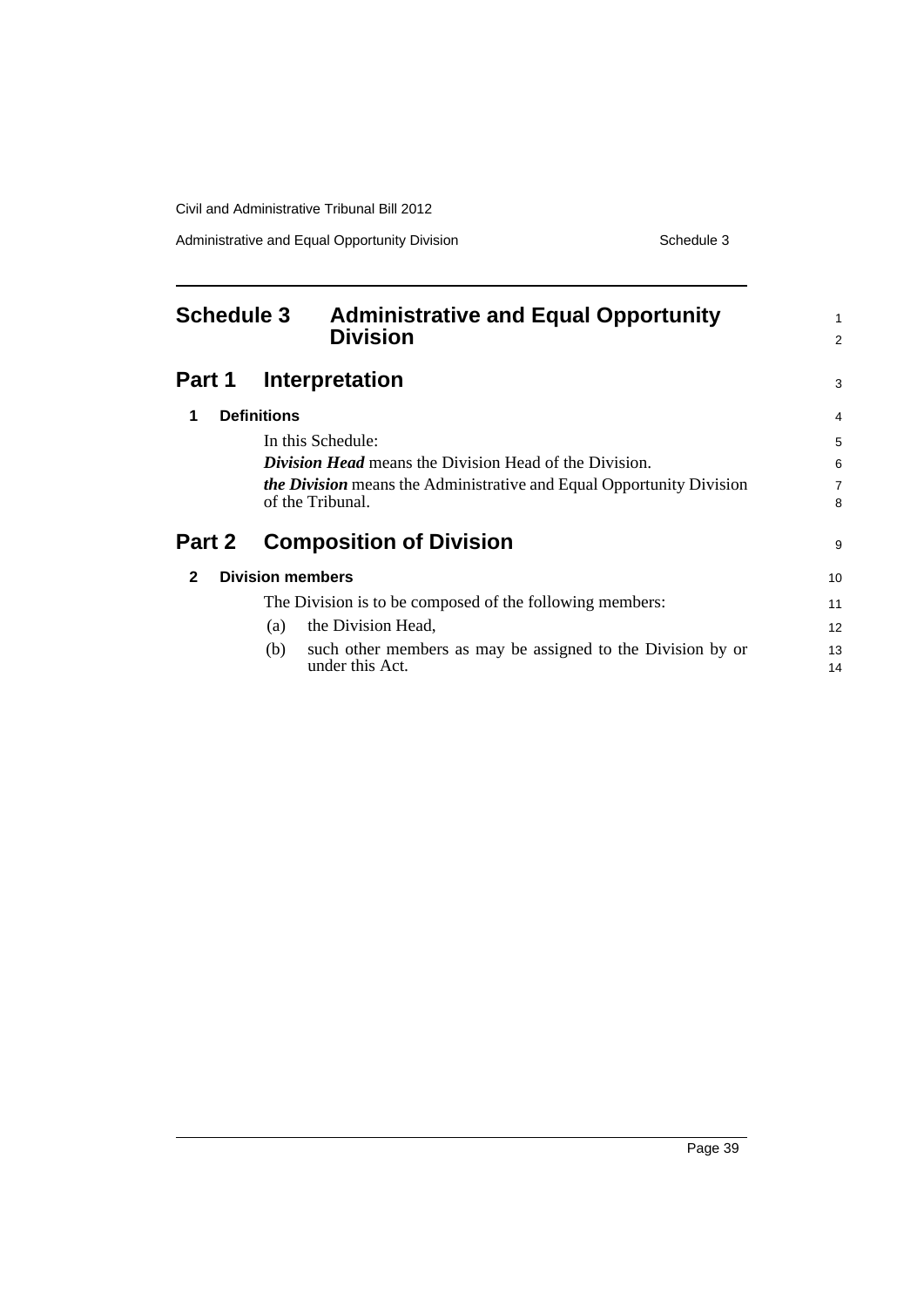Administrative and Equal Opportunity Division Schedule 3

<span id="page-48-0"></span>

| <b>Schedule 3</b>                       | <b>Administrative and Equal Opportunity</b><br><b>Division</b>       | $\mathbf{1}$<br>2 |
|-----------------------------------------|----------------------------------------------------------------------|-------------------|
| Part 1                                  | Interpretation                                                       | 3                 |
| <b>Definitions</b><br>1                 |                                                                      | 4                 |
| In this Schedule:                       |                                                                      | 5                 |
|                                         | <b>Division Head</b> means the Division Head of the Division.        | 6                 |
|                                         | the Division means the Administrative and Equal Opportunity Division | $\overline{7}$    |
| of the Tribunal.                        |                                                                      | 8                 |
| Part 2                                  | <b>Composition of Division</b>                                       | 9                 |
| <b>Division members</b><br>$\mathbf{2}$ |                                                                      | 10                |
|                                         | The Division is to be composed of the following members:             | 11                |
| (a)                                     | the Division Head,                                                   | 12                |
| (b)                                     | such other members as may be assigned to the Division by or          | 13                |
|                                         | under this Act.                                                      | 14                |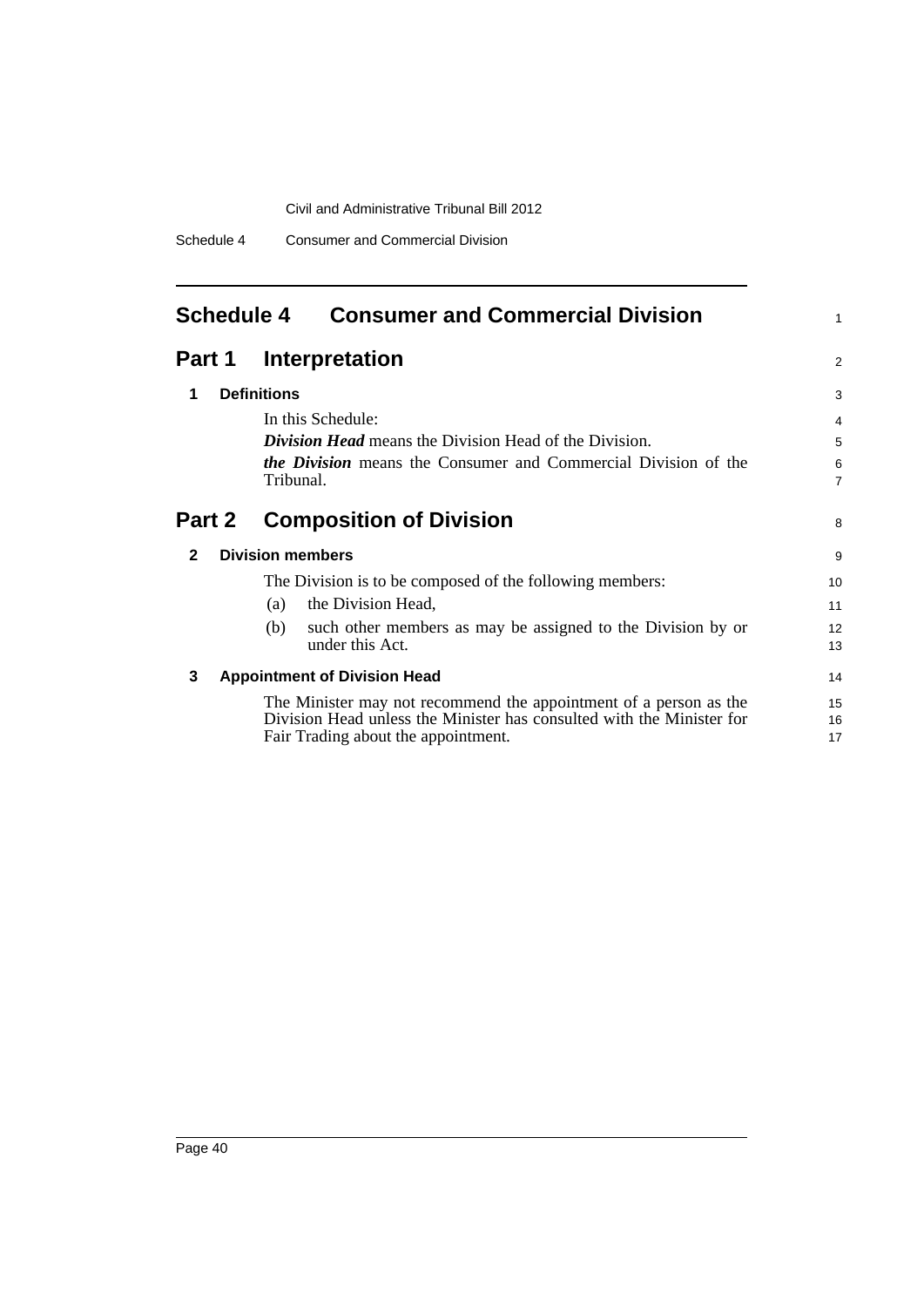Schedule 4 Consumer and Commercial Division

# <span id="page-49-0"></span>**Schedule 4 Consumer and Commercial Division**

# **Part 1 Interpretation**

| 1             | <b>Definitions</b>                                                                                                                                                                | 3                   |
|---------------|-----------------------------------------------------------------------------------------------------------------------------------------------------------------------------------|---------------------|
|               | In this Schedule:                                                                                                                                                                 | $\overline{4}$      |
|               | <b>Division Head</b> means the Division Head of the Division.                                                                                                                     | 5                   |
|               | <i>the Division</i> means the Consumer and Commercial Division of the<br>Tribunal.                                                                                                | 6<br>$\overline{7}$ |
| <b>Part 2</b> | <b>Composition of Division</b>                                                                                                                                                    | 8                   |
| 2             | <b>Division members</b>                                                                                                                                                           | 9                   |
|               | The Division is to be composed of the following members:                                                                                                                          | 10                  |
|               | the Division Head,<br>(a)                                                                                                                                                         | 11                  |
|               | such other members as may be assigned to the Division by or<br>(b)<br>under this Act.                                                                                             | 12<br>13            |
| 3             | <b>Appointment of Division Head</b>                                                                                                                                               | 14                  |
|               | The Minister may not recommend the appointment of a person as the<br>Division Head unless the Minister has consulted with the Minister for<br>Fair Trading about the appointment. | 15<br>16<br>17      |

1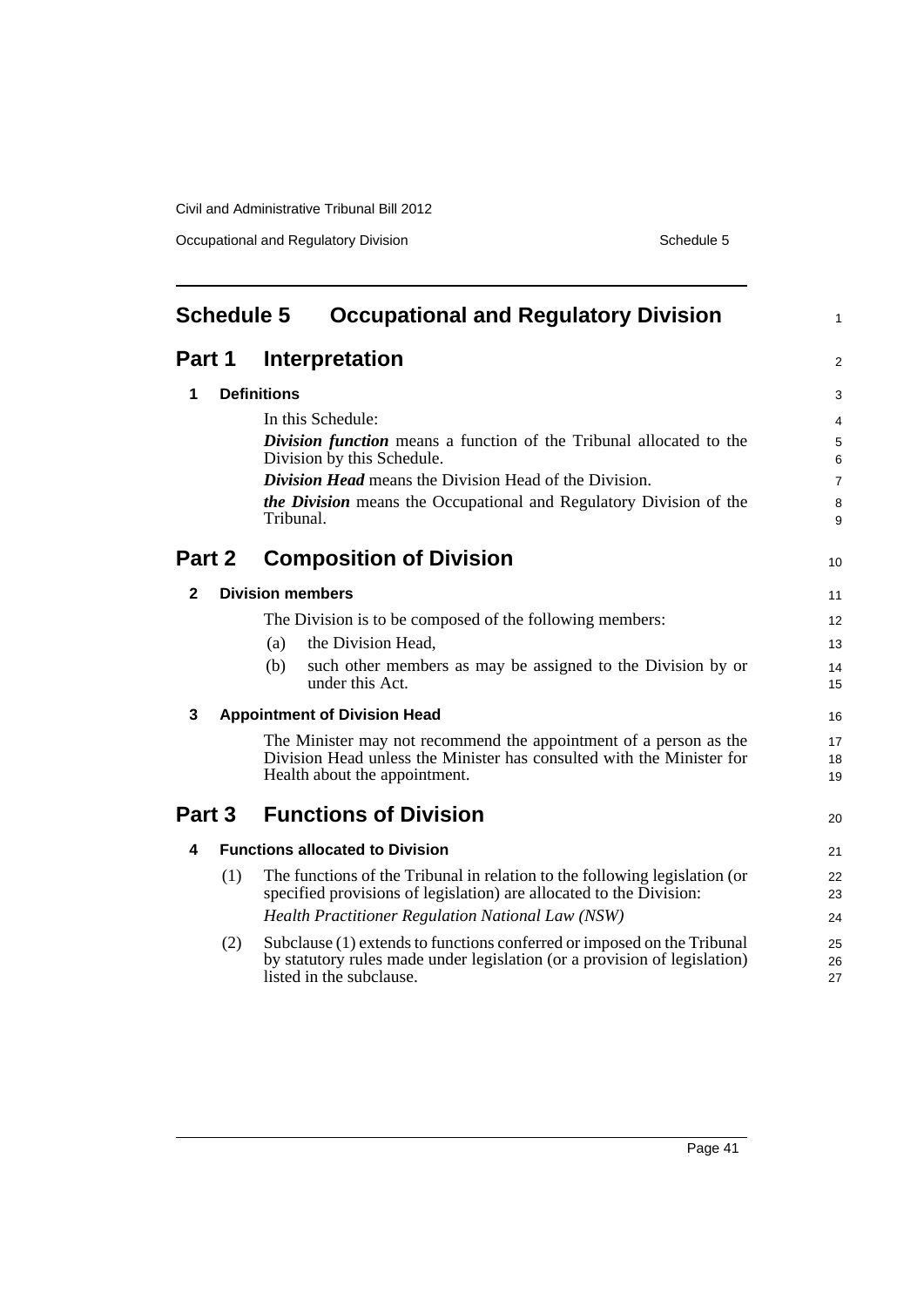Occupational and Regulatory Division Schedule 5

<span id="page-50-0"></span>

| <b>Schedule 5</b><br><b>Occupational and Regulatory Division</b> |     |                                                                                                                                                                                  | $\mathbf{1}$   |
|------------------------------------------------------------------|-----|----------------------------------------------------------------------------------------------------------------------------------------------------------------------------------|----------------|
| Part 1                                                           |     | <b>Interpretation</b>                                                                                                                                                            | $\overline{2}$ |
| 1                                                                |     | <b>Definitions</b>                                                                                                                                                               | 3              |
|                                                                  |     | In this Schedule:                                                                                                                                                                | 4              |
|                                                                  |     | Division function means a function of the Tribunal allocated to the<br>Division by this Schedule.                                                                                | 5<br>6         |
|                                                                  |     | <b>Division Head</b> means the Division Head of the Division.                                                                                                                    | $\overline{7}$ |
|                                                                  |     | <i>the Division</i> means the Occupational and Regulatory Division of the<br>Tribunal.                                                                                           | 8<br>9         |
| Part 2                                                           |     | <b>Composition of Division</b>                                                                                                                                                   | 10             |
| 2                                                                |     | <b>Division members</b>                                                                                                                                                          | 11             |
|                                                                  |     | The Division is to be composed of the following members:                                                                                                                         | 12             |
|                                                                  |     | the Division Head,<br>(a)                                                                                                                                                        | 13             |
|                                                                  |     | such other members as may be assigned to the Division by or<br>(b)<br>under this Act.                                                                                            | 14<br>15       |
| 3                                                                |     | <b>Appointment of Division Head</b>                                                                                                                                              | 16             |
|                                                                  |     | The Minister may not recommend the appointment of a person as the<br>Division Head unless the Minister has consulted with the Minister for<br>Health about the appointment.      | 17<br>18<br>19 |
| Part 3                                                           |     | <b>Functions of Division</b>                                                                                                                                                     | 20             |
| 4                                                                |     | <b>Functions allocated to Division</b>                                                                                                                                           | 21             |
|                                                                  | (1) | The functions of the Tribunal in relation to the following legislation (or<br>specified provisions of legislation) are allocated to the Division:                                | 22<br>23       |
|                                                                  |     | <b>Health Practitioner Regulation National Law (NSW)</b>                                                                                                                         | 24             |
|                                                                  | (2) | Subclause (1) extends to functions conferred or imposed on the Tribunal<br>by statutory rules made under legislation (or a provision of legislation)<br>listed in the subclause. | 25<br>26<br>27 |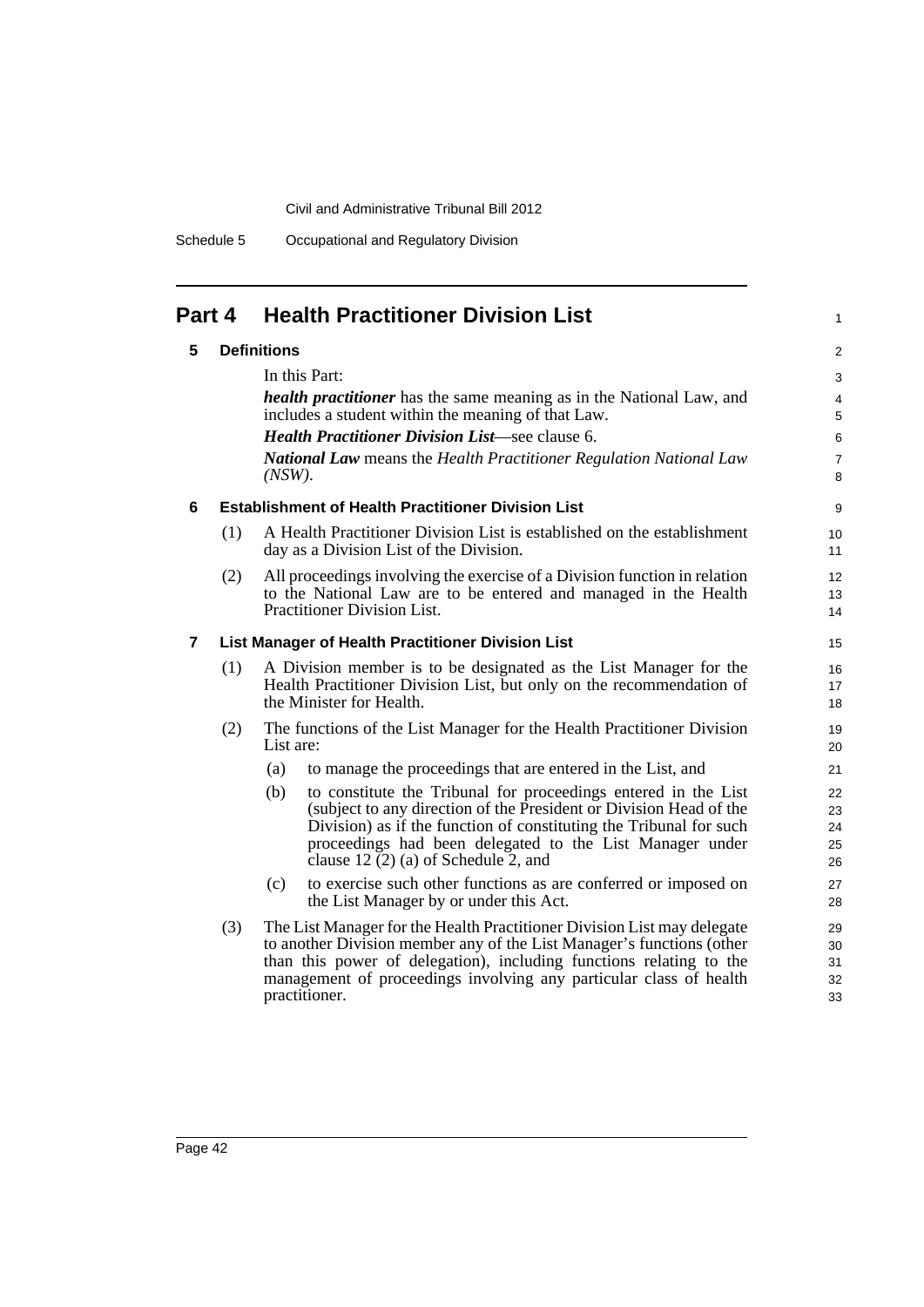Schedule 5 Occupational and Regulatory Division

| Part 4 |     | <b>Health Practitioner Division List</b>                                                                                                                                                                                                                                                                                | 1                                  |
|--------|-----|-------------------------------------------------------------------------------------------------------------------------------------------------------------------------------------------------------------------------------------------------------------------------------------------------------------------------|------------------------------------|
| 5      |     | <b>Definitions</b><br>In this Part:<br><i>health practitioner</i> has the same meaning as in the National Law, and                                                                                                                                                                                                      | $\overline{c}$<br>3                |
|        |     | includes a student within the meaning of that Law.<br><b>Health Practitioner Division List—see clause 6.</b><br><b>National Law</b> means the Health Practitioner Regulation National Law<br>$(NSW)$ .                                                                                                                  | 4<br>5<br>6<br>$\overline{7}$<br>8 |
| 6      |     | <b>Establishment of Health Practitioner Division List</b>                                                                                                                                                                                                                                                               | 9                                  |
|        | (1) | A Health Practitioner Division List is established on the establishment<br>day as a Division List of the Division.                                                                                                                                                                                                      | 10<br>11                           |
|        | (2) | All proceedings involving the exercise of a Division function in relation<br>to the National Law are to be entered and managed in the Health<br>Practitioner Division List.                                                                                                                                             | 12<br>13<br>14                     |
| 7      |     | List Manager of Health Practitioner Division List                                                                                                                                                                                                                                                                       | 15                                 |
|        | (1) | A Division member is to be designated as the List Manager for the<br>Health Practitioner Division List, but only on the recommendation of<br>the Minister for Health.                                                                                                                                                   | 16<br>17<br>18                     |
|        | (2) | The functions of the List Manager for the Health Practitioner Division<br>List are:                                                                                                                                                                                                                                     | 19<br>20                           |
|        |     | to manage the proceedings that are entered in the List, and<br>(a)                                                                                                                                                                                                                                                      | 21                                 |
|        |     | (b)<br>to constitute the Tribunal for proceedings entered in the List<br>(subject to any direction of the President or Division Head of the<br>Division) as if the function of constituting the Tribunal for such<br>proceedings had been delegated to the List Manager under<br>clause 12 $(2)$ (a) of Schedule 2, and | 22<br>23<br>24<br>25<br>26         |
|        |     | (c)<br>to exercise such other functions as are conferred or imposed on<br>the List Manager by or under this Act.                                                                                                                                                                                                        | 27<br>28                           |
|        | (3) | The List Manager for the Health Practitioner Division List may delegate<br>to another Division member any of the List Manager's functions (other<br>than this power of delegation), including functions relating to the<br>management of proceedings involving any particular class of health<br>practitioner.          | 29<br>30<br>31<br>32<br>33         |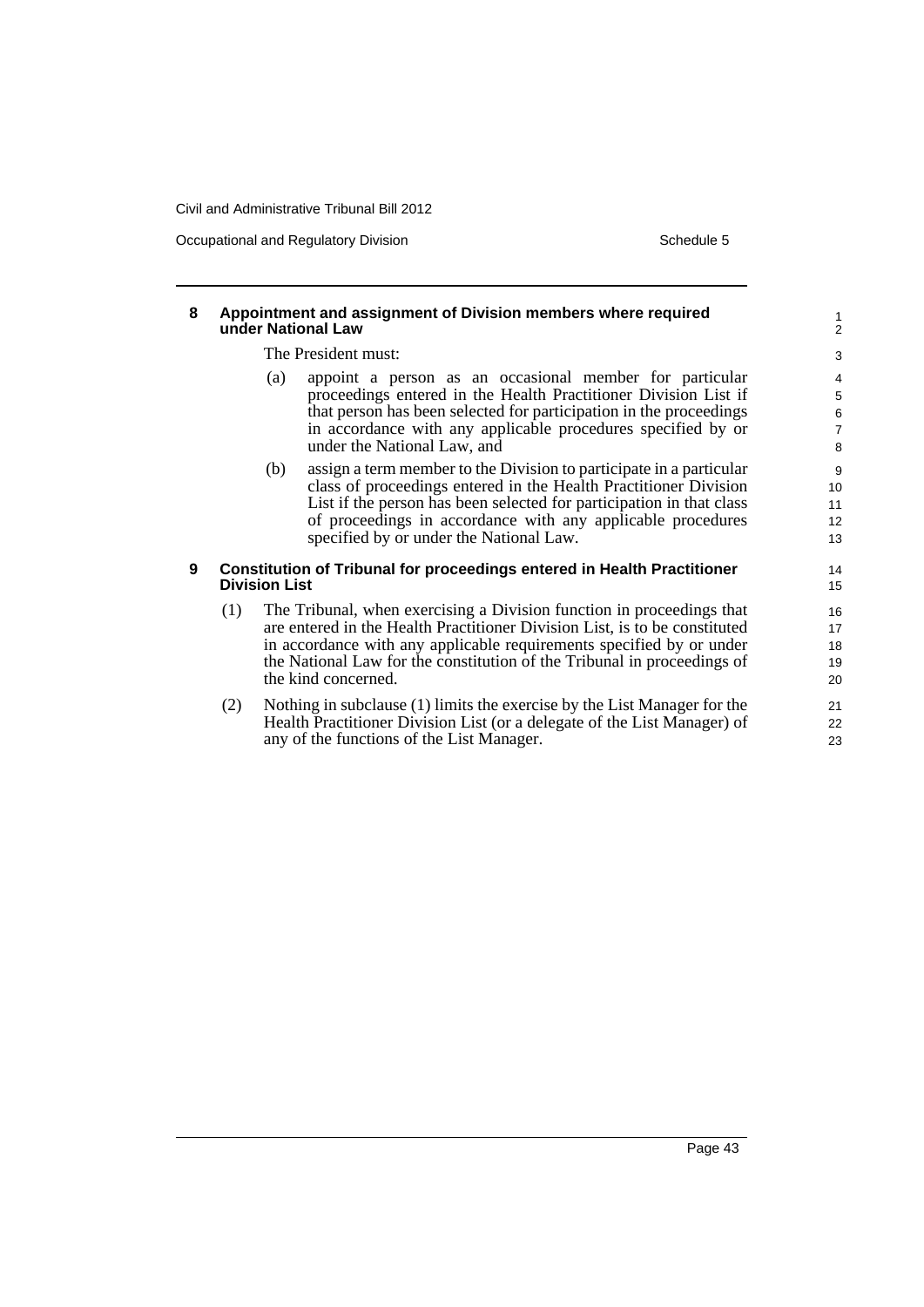Occupational and Regulatory Division Schedule 5

#### **8 Appointment and assignment of Division members where required under National Law** The President must: (a) appoint a person as an occasional member for particular proceedings entered in the Health Practitioner Division List if that person has been selected for participation in the proceedings in accordance with any applicable procedures specified by or under the National Law, and (b) assign a term member to the Division to participate in a particular class of proceedings entered in the Health Practitioner Division List if the person has been selected for participation in that class of proceedings in accordance with any applicable procedures specified by or under the National Law. **9 Constitution of Tribunal for proceedings entered in Health Practitioner Division List** (1) The Tribunal, when exercising a Division function in proceedings that are entered in the Health Practitioner Division List, is to be constituted in accordance with any applicable requirements specified by or under the National Law for the constitution of the Tribunal in proceedings of the kind concerned. (2) Nothing in subclause (1) limits the exercise by the List Manager for the Health Practitioner Division List (or a delegate of the List Manager) of 1 2  $\overline{3}$ 4 5 6 7 8 9 10 11 12 13 14 15 16 17 18 19 20 21 22

any of the functions of the List Manager.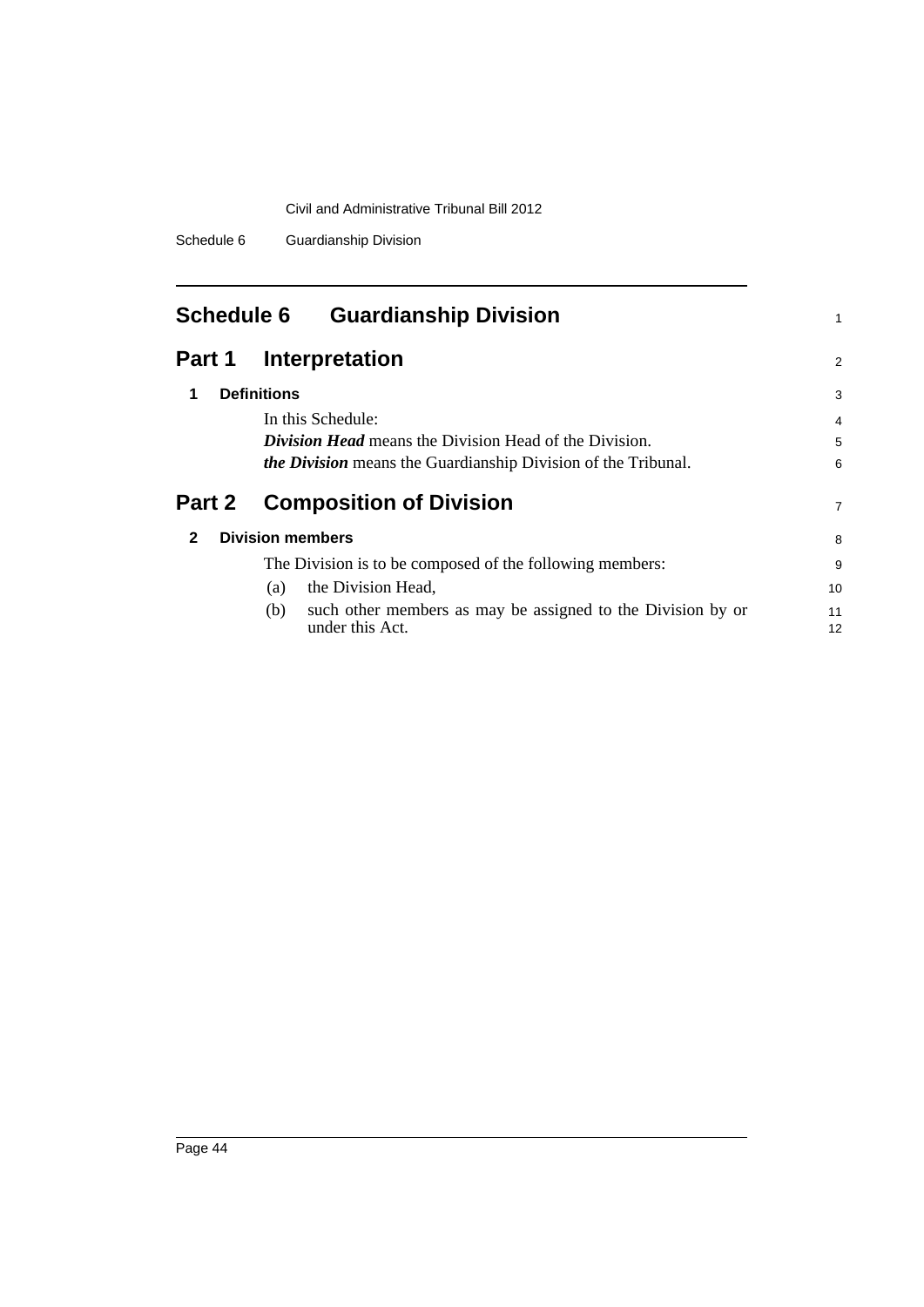Schedule 6 Guardianship Division

<span id="page-53-0"></span>

| <b>Schedule 6</b> | <b>Guardianship Division</b>                                                          |                |
|-------------------|---------------------------------------------------------------------------------------|----------------|
| Part 1            | Interpretation                                                                        | $\overline{2}$ |
| 1                 | <b>Definitions</b>                                                                    | 3              |
|                   | In this Schedule:                                                                     | 4              |
|                   | <b>Division Head</b> means the Division Head of the Division.                         | 5              |
|                   | <i>the Division</i> means the Guardianship Division of the Tribunal.                  | 6              |
| Part 2            | <b>Composition of Division</b>                                                        | 7              |
| $\mathbf{2}$      | <b>Division members</b>                                                               | 8              |
|                   | The Division is to be composed of the following members:                              | 9              |
|                   | the Division Head,<br>(a)                                                             | 10             |
|                   | such other members as may be assigned to the Division by or<br>(b)<br>under this Act. | 11<br>12       |